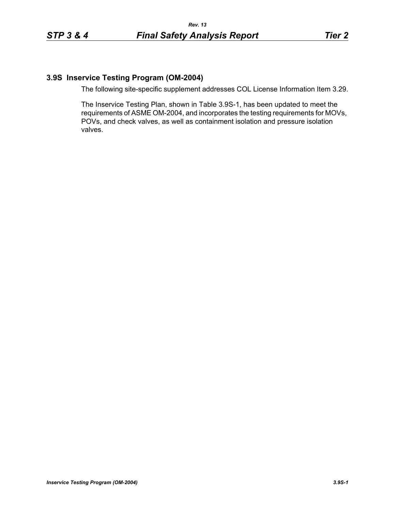## **3.9S Inservice Testing Program (OM-2004)**

The following site-specific supplement addresses COL License Information Item 3.29.

The Inservice Testing Plan, shown in Table 3.9S-1, has been updated to meet the requirements of ASME OM-2004, and incorporates the testing requirements for MOVs, POVs, and check valves, as well as containment isolation and pressure isolation valves.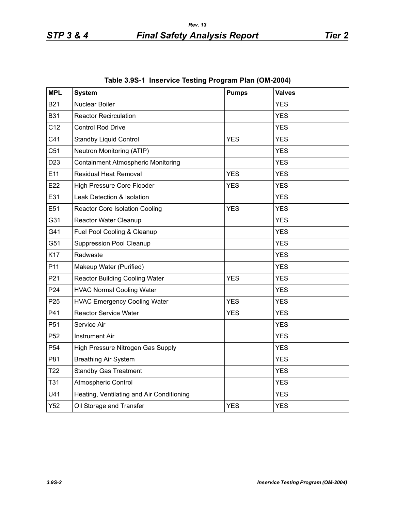| <b>MPL</b>      | <b>System</b>                             | <b>Pumps</b> | <b>Valves</b> |
|-----------------|-------------------------------------------|--------------|---------------|
| <b>B21</b>      | Nuclear Boiler                            |              | <b>YES</b>    |
| <b>B31</b>      | <b>Reactor Recirculation</b>              |              | <b>YES</b>    |
| C <sub>12</sub> | <b>Control Rod Drive</b>                  |              | <b>YES</b>    |
| C41             | <b>Standby Liquid Control</b>             | <b>YES</b>   | <b>YES</b>    |
| C <sub>51</sub> | Neutron Monitoring (ATIP)                 |              | <b>YES</b>    |
| D <sub>23</sub> | <b>Containment Atmospheric Monitoring</b> |              | <b>YES</b>    |
| E11             | <b>Residual Heat Removal</b>              | <b>YES</b>   | <b>YES</b>    |
| E22             | High Pressure Core Flooder                | <b>YES</b>   | <b>YES</b>    |
| E31             | Leak Detection & Isolation                |              | <b>YES</b>    |
| E51             | <b>Reactor Core Isolation Cooling</b>     | <b>YES</b>   | <b>YES</b>    |
| G31             | Reactor Water Cleanup                     |              | <b>YES</b>    |
| G41             | Fuel Pool Cooling & Cleanup               |              | <b>YES</b>    |
| G51             | <b>Suppression Pool Cleanup</b>           |              | <b>YES</b>    |
| K17             | Radwaste                                  |              | <b>YES</b>    |
| P <sub>11</sub> | Makeup Water (Purified)                   |              | <b>YES</b>    |
| P21             | <b>Reactor Building Cooling Water</b>     | <b>YES</b>   | <b>YES</b>    |
| P <sub>24</sub> | <b>HVAC Normal Cooling Water</b>          |              | <b>YES</b>    |
| P <sub>25</sub> | <b>HVAC Emergency Cooling Water</b>       | <b>YES</b>   | <b>YES</b>    |
| P41             | <b>Reactor Service Water</b>              | <b>YES</b>   | <b>YES</b>    |
| P <sub>51</sub> | Service Air                               |              | <b>YES</b>    |
| P <sub>52</sub> | <b>Instrument Air</b>                     |              | <b>YES</b>    |
| P <sub>54</sub> | High Pressure Nitrogen Gas Supply         |              | <b>YES</b>    |
| P81             | <b>Breathing Air System</b>               |              | <b>YES</b>    |
| T <sub>22</sub> | <b>Standby Gas Treatment</b>              |              | <b>YES</b>    |
| T31             | Atmospheric Control                       |              | <b>YES</b>    |
| U41             | Heating, Ventilating and Air Conditioning |              | <b>YES</b>    |
| Y52             | Oil Storage and Transfer                  | <b>YES</b>   | <b>YES</b>    |

|  |  | Table 3.9S-1 Inservice Testing Program Plan (OM-2004) |  |  |  |
|--|--|-------------------------------------------------------|--|--|--|
|--|--|-------------------------------------------------------|--|--|--|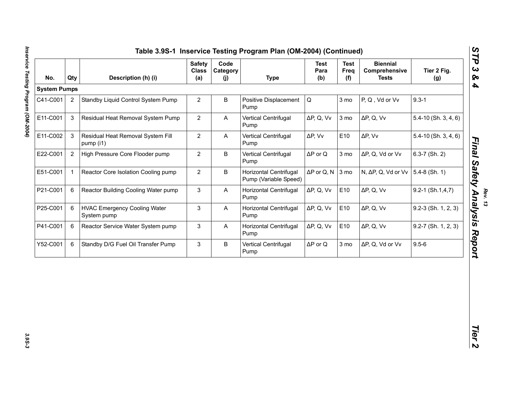| <b>System Pumps</b><br>C41-C001 |                | Description (h) (i)                                | <b>Class</b><br>(a) | Code<br>Category<br>(j) | <b>Type</b>                                     | <b>Test</b><br>Para<br>(b) | <b>Test</b><br>Freq<br>(f) | <b>Biennial</b><br>Comprehensive<br><b>Tests</b> | Tier 2 Fig.<br>(g)       |
|---------------------------------|----------------|----------------------------------------------------|---------------------|-------------------------|-------------------------------------------------|----------------------------|----------------------------|--------------------------------------------------|--------------------------|
|                                 |                |                                                    |                     |                         |                                                 |                            |                            |                                                  |                          |
|                                 | $\overline{2}$ | Standby Liquid Control System Pump                 | $\overline{2}$      | B                       | Positive Displacement<br>Pump                   | Q                          | 3 mo                       | P, Q, Vd or Vv                                   | $9.3 - 1$                |
| E11-C001                        | 3              | Residual Heat Removal System Pump                  | $\overline{2}$      | Α                       | Vertical Centrifugal<br>Pump                    | $\Delta P$ , Q, Vv         | 3 mo                       | $\Delta P$ , Q, Vv                               | $5.4 - 10$ (Sh. 3, 4, 6) |
| E11-C002                        | 3              | Residual Heat Removal System Fill<br>pump (i1)     | $\overline{2}$      | A                       | Vertical Centrifugal<br>Pump                    | $\Delta P$ , Vv            | E10                        | $\Delta P$ , Vv                                  | $5.4 - 10$ (Sh. 3, 4, 6) |
| E22-C001                        | 2              | High Pressure Core Flooder pump                    | $\overline{2}$      | B                       | Vertical Centrifugal<br>Pump                    | $\Delta P$ or Q            | 3 mo                       | ΔP, Q, Vd or Vv                                  | $6.3 - 7$ (Sh. 2)        |
| E51-C001<br>$\mathbf{1}$        |                | Reactor Core Isolation Cooling pump                | $\overline{2}$      | B                       | Horizontal Centrifugal<br>Pump (Variable Speed) | $\Delta P$ or Q, N 3 mo    |                            | N, ΔP, Q, Vd or Vv                               | $5.4-8$ (Sh. 1)          |
| P21-C001                        | 6              | Reactor Building Cooling Water pump                | 3                   | A                       | Horizontal Centrifugal<br>Pump                  | $\Delta P$ , Q, Vv         | E10                        | $\Delta P$ , Q, Vv                               | $9.2 - 1$ (Sh.1,4,7)     |
| P25-C001                        | 6              | <b>HVAC Emergency Cooling Water</b><br>System pump | 3                   | A                       | Horizontal Centrifugal<br>Pump                  | $\Delta P$ , Q, Vv         | E10                        | $\Delta P$ , Q, Vv                               | $9.2-3$ (Sh. 1, 2, 3)    |
| P41-C001                        | 6              | Reactor Service Water System pump                  | 3                   | A                       | Horizontal Centrifugal<br>Pump                  | $\Delta P$ , Q, Vv         | E10                        | $\Delta P$ , Q, Vv                               | $9.2 - 7$ (Sh. 1, 2, 3)  |
| Y52-C001                        | 6              | Standby D/G Fuel Oil Transfer Pump                 | 3                   | B                       | Vertical Centrifugal<br>Pump                    | $\Delta P$ or Q            | 3 mo                       | ΔP, Q, Vd or Vv                                  | $9.5 - 6$                |

*Final Safety Analysis Report* 

3.9S-3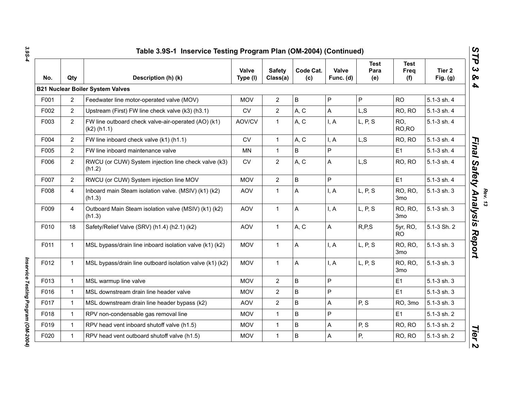| No.  | Qty                   | Description (h) (k)                                                  | Valve<br>Type (I) | <b>Safety</b><br>Class(a) | Code Cat.<br>(c) | Valve<br>Func. (d) | <b>Test</b><br>Para<br>(e) | <b>Test</b><br>Freq<br>(f) | Tier <sub>2</sub><br>Fig. $(g)$ |
|------|-----------------------|----------------------------------------------------------------------|-------------------|---------------------------|------------------|--------------------|----------------------------|----------------------------|---------------------------------|
|      |                       | <b>B21 Nuclear Boiler System Valves</b>                              |                   |                           |                  |                    |                            |                            |                                 |
| F001 | $\mathbf{2}^{\prime}$ | Feedwater line motor-operated valve (MOV)                            | <b>MOV</b>        | $\overline{2}$            | $\sf B$          | $\mathsf{P}$       | P                          | <b>RO</b>                  | 5.1-3 sh. 4                     |
| F002 | $\overline{2}$        | Upstream (First) FW line check valve (k3) (h3.1)                     | <b>CV</b>         | $\overline{2}$            | A, C             | A                  | L, S                       | RO, RO                     | 5.1-3 sh. 4                     |
| F003 | $\overline{2}$        | FW line outboard check valve-air-operated (AO) (k1)<br>$(k2)$ (h1.1) | AOV/CV            | $\mathbf{1}$              | A, C             | I, A               | L, P, S                    | RO,<br>RO,RO               | 5.1-3 sh. 4                     |
| F004 | $\overline{2}$        | FW line inboard check valve (k1) (h1.1)                              | ${\sf CV}$        | $\mathbf{1}$              | A, C             | I, A               | L, S                       | RO, RO                     | 5.1-3 sh. 4                     |
| F005 | $\overline{2}$        | FW line inboard maintenance valve                                    | <b>MN</b>         | $\mathbf{1}$              | $\mathsf B$      | P                  |                            | E1                         | 5.1-3 sh. 4                     |
| F006 | $\overline{2}$        | RWCU (or CUW) System injection line check valve (k3)<br>(h1.2)       | <b>CV</b>         | $\overline{2}$            | A, C             | A                  | L, S                       | RO, RO                     | 5.1-3 sh. 4                     |
| F007 | $\overline{2}$        | RWCU (or CUW) System injection line MOV                              | <b>MOV</b>        | $\overline{2}$            | $\overline{B}$   | $\overline{P}$     |                            | E1                         | 5.1-3 sh. 4                     |
| F008 | $\overline{4}$        | Inboard main Steam isolation valve. (MSIV) (k1) (k2)<br>(h1.3)       | <b>AOV</b>        | $\mathbf{1}$              | A                | I, A               | L, P, S                    | RO, RO,<br>3 <sub>mo</sub> | 5.1-3 sh. 3                     |
| F009 | $\overline{4}$        | Outboard Main Steam isolation valve (MSIV) (k1) (k2)<br>(h1.3)       | AOV               | $\mathbf{1}$              | A                | I, A               | L, P, S                    | RO, RO,<br>3 <sub>mo</sub> | 5.1-3 sh. 3                     |
| F010 | 18                    | Safety/Relief Valve (SRV) (h1.4) (h2.1) (k2)                         | AOV               | $\mathbf{1}$              | A, C             | A                  | R, P, S                    | 5yr, RO,<br><b>RO</b>      | 5.1-3 Sh. 2                     |
| F011 | $\mathbf 1$           | MSL bypass/drain line inboard isolation valve (k1) (k2)              | <b>MOV</b>        | $\mathbf{1}$              | A                | I, A               | L, P, S                    | RO, RO,<br>3 <sub>mo</sub> | 5.1-3 sh. 3                     |
| F012 | $\mathbf{1}$          | MSL bypass/drain line outboard isolation valve (k1) (k2)             | <b>MOV</b>        | $\mathbf{1}$              | A                | I, A               | L, P, S                    | RO, RO,<br>3 <sub>mo</sub> | 5.1-3 sh. 3                     |
| F013 | 1                     | MSL warmup line valve                                                | <b>MOV</b>        | $\overline{2}$            | B                | P                  |                            | E1                         | 5.1-3 sh. 3                     |
| F016 | $\mathbf{1}$          | MSL downstream drain line header valve                               | <b>MOV</b>        | $\overline{2}$            | $\sf B$          | P                  |                            | E1                         | 5.1-3 sh. 3                     |
| F017 | $\mathbf{1}$          | MSL downstream drain line header bypass (k2)                         | <b>AOV</b>        | $\overline{2}$            | $\sf B$          | A                  | P, S                       | RO, 3mo                    | 5.1-3 sh. 3                     |
| F018 | 1                     | RPV non-condensable gas removal line                                 | <b>MOV</b>        | $\mathbf{1}$              | $\sf B$          | P                  |                            | E1                         | 5.1-3 sh. 2                     |
| F019 | $\mathbf{1}$          | RPV head vent inboard shutoff valve (h1.5)                           | <b>MOV</b>        | $\mathbf{1}$              | $\overline{B}$   | $\mathsf{A}$       | P, S                       | RO, RO                     | 5.1-3 sh. 2                     |
| F020 | $\mathbf{1}$          | RPV head vent outboard shutoff valve (h1.5)                          | <b>MOV</b>        | $\mathbf{1}$              | $\sf B$          | A                  | Ρ,                         | RO, RO                     | 5.1-3 sh. 2                     |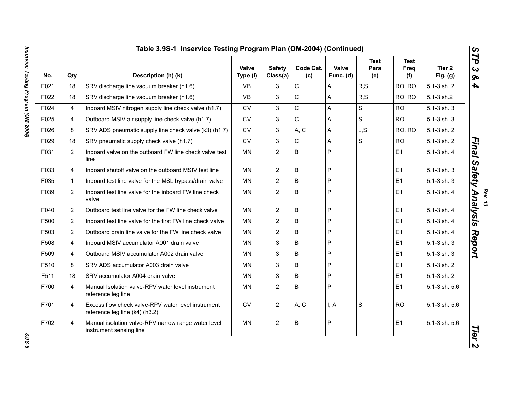| No.  | Qty            | Description (h) (k)                                                                  | <b>Valve</b><br>Type (I) | <b>Safety</b><br>Class(a) | Code Cat.<br>(c) | Valve<br>Func. (d) | <b>Test</b><br>Para<br>(e) | <b>Test</b><br>Freq<br>(f) | Tier 2<br>Fig. $(g)$ |
|------|----------------|--------------------------------------------------------------------------------------|--------------------------|---------------------------|------------------|--------------------|----------------------------|----------------------------|----------------------|
| F021 | 18             | SRV discharge line vacuum breaker (h1.6)                                             | VB.                      | 3                         | $\mathsf C$      | Α                  | R, S                       | RO, RO                     | 5.1-3 sh. 2          |
| F022 | 18             | SRV discharge line vacuum breaker (h1.6)                                             | <b>VB</b>                | $\mathbf{3}$              | $\mathsf{C}$     | A                  | R, S                       | RO, RO                     | 5.1-3 sh.2           |
| F024 | 4              | Inboard MSIV nitrogen supply line check valve (h1.7)                                 | <b>CV</b>                | 3                         | $\mathsf{C}$     | A                  | $\mathsf{s}$               | <b>RO</b>                  | 5.1-3 sh. 3          |
| F025 | 4              | Outboard MSIV air supply line check valve (h1.7)                                     | ${\sf CV}$               | 3                         | $\mathsf C$      | A                  | $\mathsf S$                | <b>RO</b>                  | 5.1-3 sh. 3          |
| F026 | 8              | SRV ADS pneumatic supply line check valve (k3) (h1.7)                                | <b>CV</b>                | 3                         | A, C             | A                  | L, S                       | RO, RO                     | 5.1-3 sh. 2          |
| F029 | 18             | SRV pneumatic supply check valve (h1.7)                                              | <b>CV</b>                | 3                         | $\mathsf C$      | A                  | $\mathsf{s}$               | <b>RO</b>                  | 5.1-3 sh. 2          |
| F031 | $\overline{2}$ | Inboard valve on the outboard FW line check valve test<br>line                       | <b>MN</b>                | $\overline{2}$            | B                | P                  |                            | E1                         | 5.1-3 sh. 4          |
| F033 | 4              | Inboard shutoff valve on the outboard MSIV test line                                 | <b>MN</b>                | 2                         | B                | P                  |                            | E1                         | 5.1-3 sh. 3          |
| F035 | $\mathbf{1}$   | Inboard test line valve for the MSL bypass/drain valve                               | <b>MN</b>                | $\overline{2}$            | B                | P                  |                            | E1                         | 5.1-3 sh. 3          |
| F039 | $\overline{2}$ | Inboard test line valve for the inboard FW line check<br>valve                       | <b>MN</b>                | $\overline{2}$            | B                | P                  |                            | E1                         | 5.1-3 sh. 4          |
| F040 | $\overline{2}$ | Outboard test line valve for the FW line check valve                                 | <b>MN</b>                | $\overline{2}$            | B                | P                  |                            | E1                         | 5.1-3 sh. 4          |
| F500 | $\overline{2}$ | Inboard test line valve for the first FW line check valve                            | <b>MN</b>                | $\overline{2}$            | B                | P                  |                            | E1                         | 5.1-3 sh. 4          |
| F503 | $\overline{2}$ | Outboard drain line valve for the FW line check valve                                | <b>MN</b>                | $\overline{2}$            | B                | P                  |                            | E1                         | 5.1-3 sh. 4          |
| F508 | 4              | Inboard MSIV accumulator A001 drain valve                                            | <b>MN</b>                | 3                         | B                | P                  |                            | E1                         | 5.1-3 sh. 3          |
| F509 | 4              | Outboard MSIV accumulator A002 drain valve                                           | <b>MN</b>                | 3                         | B                | P                  |                            | E1                         | 5.1-3 sh. 3          |
| F510 | 8              | SRV ADS accumulator A003 drain valve                                                 | <b>MN</b>                | 3                         | B                | P                  |                            | E1                         | 5.1-3 sh. 2          |
| F511 | 18             | SRV accumulator A004 drain valve                                                     | <b>MN</b>                | 3                         | B                | P                  |                            | E1                         | 5.1-3 sh. 2          |
| F700 | $\overline{4}$ | Manual Isolation valve-RPV water level instrument<br>reference leg line              | <b>MN</b>                | $\overline{2}$            | B                | P                  |                            | E1                         | 5.1-3 sh. 5,6        |
| F701 | $\overline{4}$ | Excess flow check valve-RPV water level instrument<br>reference leg line (k4) (h3.2) | ${\sf CV}$               | $\overline{2}$            | A, C             | I, A               | $\mathbf S$                | <b>RO</b>                  | 5.1-3 sh. 5,6        |
| F702 | $\overline{4}$ | Manual isolation valve-RPV narrow range water level<br>instrument sensing line       | <b>MN</b>                | $\overline{2}$            | B                | P                  |                            | E1                         | 5.1-3 sh. 5,6        |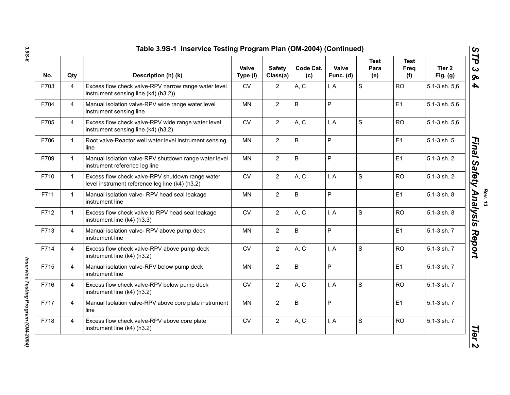| No.  | Qty            | Description (h) (k)                                                                                 | <b>Valve</b><br>Type (I) | <b>Safety</b><br>Class(a) | Code Cat.<br>(c) | Valve<br>Func. (d) | <b>Test</b><br>Para<br>(e) | <b>Test</b><br>Freq<br>(f) | Tier <sub>2</sub><br>Fig. $(g)$ |
|------|----------------|-----------------------------------------------------------------------------------------------------|--------------------------|---------------------------|------------------|--------------------|----------------------------|----------------------------|---------------------------------|
| F703 | $\overline{4}$ | Excess flow check valve-RPV narrow range water level<br>instrument sensing line (k4) (h3.2))        | <b>CV</b>                | $\overline{2}$            | A, C             | I, A               | $\mathbf S$                | <b>RO</b>                  | 5.1-3 sh. 5,6                   |
| F704 | $\overline{4}$ | Manual isolation valve-RPV wide range water level<br>instrument sensing line                        | MN                       | $\overline{2}$            | $\sf B$          | P                  |                            | E <sub>1</sub>             | 5.1-3 sh. 5,6                   |
| F705 | $\overline{4}$ | Excess flow check valve-RPV wide range water level<br>instrument sensing line (k4) (h3.2)           | CV                       | $\overline{2}$            | A, C             | I, A               | S                          | <b>RO</b>                  | 5.1-3 sh. 5,6                   |
| F706 | $\mathbf{1}$   | Root valve-Reactor well water level instrument sensing<br>line                                      | <b>MN</b>                | $\overline{2}$            | $\sf B$          | P                  |                            | E <sub>1</sub>             | 5.1-3 sh. 5                     |
| F709 | $\mathbf{1}$   | Manual isolation valve-RPV shutdown range water level<br>instrument reference leg line              | <b>MN</b>                | $\overline{2}$            | $\sf B$          | P                  |                            | E1                         | 5.1-3 sh. 2                     |
| F710 | $\mathbf{1}$   | Excess flow check valve-RPV shutdown range water<br>level instrument reference leg line (k4) (h3.2) | <b>CV</b>                | $\overline{2}$            | A, C             | I, A               | $\mathbf S$                | <b>RO</b>                  | 5.1-3 sh. 2                     |
| F711 | $\mathbf{1}$   | Manual isolation valve-RPV head seal leakage<br>instrument line                                     | <b>MN</b>                | $\overline{2}$            | B                | P                  |                            | E1                         | 5.1-3 sh. 8                     |
| F712 | $\mathbf{1}$   | Excess flow check valve to RPV head seal leakage<br>instrument line (k4) (h3.3)                     | <b>CV</b>                | $\overline{2}$            | A, C             | I, A               | S                          | <b>RO</b>                  | 5.1-3 sh. 8                     |
| F713 | $\overline{4}$ | Manual isolation valve- RPV above pump deck<br>instrument line                                      | <b>MN</b>                | $\overline{2}$            | B                | P                  |                            | E1                         | 5.1-3 sh. 7                     |
| F714 | $\overline{4}$ | Excess flow check valve-RPV above pump deck<br>instrument line (k4) (h3.2)                          | <b>CV</b>                | $\overline{2}$            | A, C             | I, A               | S                          | <b>RO</b>                  | 5.1-3 sh. 7                     |
| F715 | $\overline{4}$ | Manual isolation valve-RPV below pump deck<br>instrument line                                       | <b>MN</b>                | $\overline{2}$            | B                | P                  |                            | E1                         | 5.1-3 sh. 7                     |
| F716 | $\overline{4}$ | Excess flow check valve-RPV below pump deck<br>instrument line (k4) (h3.2)                          | <b>CV</b>                | $\overline{2}$            | A, C             | I, A               | S                          | <b>RO</b>                  | 5.1-3 sh. 7                     |
| F717 | $\overline{4}$ | Manual Isolation valve-RPV above core plate instrument<br>line                                      | <b>MN</b>                | $\overline{2}$            | B                | P                  |                            | E1                         | 5.1-3 sh. 7                     |
| F718 | $\overline{4}$ | Excess flow check valve-RPV above core plate<br>instrument line (k4) (h3.2)                         | CV                       | $\overline{2}$            | A, C             | I, A               | S                          | <b>RO</b>                  | 5.1-3 sh. 7                     |

Inservice Testing Program (OM-2004) *Inservice Testing Program (OM-2004)*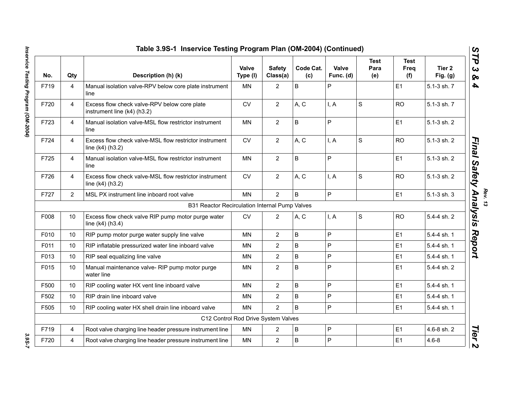|      |                | Table 3.9S-1 Inservice Testing Program Plan (OM-2004) (Continued)           |                   |                           |                  |                    |                     |                            |                                 |
|------|----------------|-----------------------------------------------------------------------------|-------------------|---------------------------|------------------|--------------------|---------------------|----------------------------|---------------------------------|
| No.  | Qty            | Description (h) (k)                                                         | Valve<br>Type (I) | <b>Safety</b><br>Class(a) | Code Cat.<br>(c) | Valve<br>Func. (d) | Test<br>Para<br>(e) | <b>Test</b><br>Freq<br>(f) | Tier <sub>2</sub><br>Fig. $(g)$ |
| F719 | $\overline{4}$ | Manual isolation valve-RPV below core plate instrument<br>line              | <b>MN</b>         | $\overline{2}$            | $\mathsf B$      | P                  |                     | E1                         | 5.1-3 sh. 7                     |
| F720 | $\overline{4}$ | Excess flow check valve-RPV below core plate<br>instrument line (k4) (h3.2) | <b>CV</b>         | $\overline{2}$            | A, C             | I, A               | S                   | <b>RO</b>                  | 5.1-3 sh. 7                     |
| F723 | $\overline{4}$ | Manual isolation valve-MSL flow restrictor instrument<br>line               | <b>MN</b>         | $\overline{2}$            | B                | $\mathsf{P}$       |                     | E1                         | 5.1-3 sh. 2                     |
| F724 | $\overline{4}$ | Excess flow check valve-MSL flow restrictor instrument<br>line (k4) (h3.2)  | <b>CV</b>         | $\overline{2}$            | A, C             | I, A               | $\mathsf S$         | <b>RO</b>                  | 5.1-3 sh. 2                     |
| F725 | $\overline{4}$ | Manual isolation valve-MSL flow restrictor instrument<br>line               | <b>MN</b>         | $\overline{2}$            | B                | $\mathsf{P}$       |                     | E1                         | 5.1-3 sh. 2                     |
| F726 | $\overline{4}$ | Excess flow check valve-MSL flow restrictor instrument<br>line (k4) (h3.2)  | <b>CV</b>         | $\overline{2}$            | A, C             | I, A               | $\mathbf S$         | <b>RO</b>                  | 5.1-3 sh. 2                     |
| F727 | 2              | MSL PX instrument line inboard root valve                                   | MN                | $\overline{2}$            | $\mathsf{B}$     | P                  |                     | E1                         | $5.1 - 3$ sh. $3$               |
|      |                | B31 Reactor Recirculation Internal Pump Valves                              |                   |                           |                  |                    |                     |                            |                                 |
| F008 | 10             | Excess flow check valve RIP pump motor purge water<br>line (k4) (h3.4)      | <b>CV</b>         | $\overline{2}$            | A, C             | I, A               | $\mathbf S$         | <b>RO</b>                  | 5.4-4 sh. 2                     |
| F010 | 10             | RIP pump motor purge water supply line valve                                | <b>MN</b>         | $\overline{2}$            | $\sf B$          | $\mathsf{P}$       |                     | E1                         | 5.4-4 sh. 1                     |
| F011 | 10             | RIP inflatable pressurized water line inboard valve                         | MN                | $\overline{2}$            | B                | $\mathsf{P}$       |                     | E <sub>1</sub>             | 5.4-4 sh. 1                     |
| F013 | 10             | RIP seal equalizing line valve                                              | MN                | $\overline{2}$            | $\sf B$          | $\overline{P}$     |                     | E <sub>1</sub>             | 5.4-4 sh. 1                     |
| F015 | 10             | Manual maintenance valve- RIP pump motor purge<br>water line                | MN                | $\overline{2}$            | B                | P                  |                     | E1                         | 5.4-4 sh. 2                     |
| F500 | 10             | RIP cooling water HX vent line inboard valve                                | <b>MN</b>         | $\overline{2}$            | $\mathsf B$      | $\mathsf{P}$       |                     | E <sub>1</sub>             | 5.4-4 sh. 1                     |
| F502 | 10             | RIP drain line inboard valve                                                | <b>MN</b>         | $\overline{2}$            | B                | $\overline{P}$     |                     | E1                         | 5.4-4 sh. 1                     |
| F505 | 10             | RIP cooling water HX shell drain line inboard valve                         | <b>MN</b>         | $\overline{2}$            | $\sf B$          | $\mathsf{P}$       |                     | E <sub>1</sub>             | 5.4-4 sh. 1                     |
|      |                | C12 Control Rod Drive System Valves                                         |                   |                           |                  |                    |                     |                            |                                 |
| F719 | 4              | Root valve charging line header pressure instrument line                    | MN                | $\overline{2}$            | B                | $\sf P$            |                     | E <sub>1</sub>             | 4.6-8 sh. 2                     |
| F720 | 4              | Root valve charging line header pressure instrument line                    | <b>MN</b>         | $\overline{2}$            | $\sf B$          | $\mathsf{P}$       |                     | E1                         | $4.6 - 8$                       |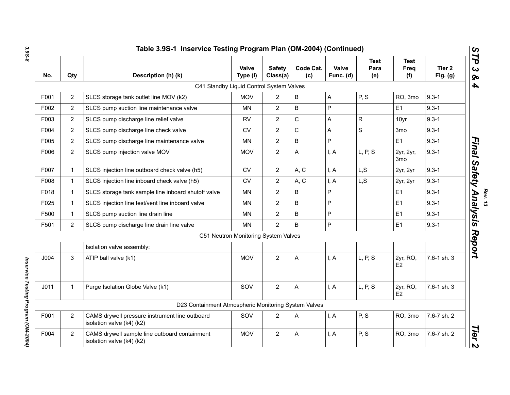| Qty            | Description (h) (k)                                                         | <b>Valve</b><br>Type (I) | <b>Safety</b><br>Class(a) | Code Cat.<br>(c) | Valve<br>Func. (d)                                                                                                                       | <b>Test</b><br>Para<br>(e) | <b>Test</b><br>Freq<br>(f) | Tier 2<br>Fig. $(g)$ |
|----------------|-----------------------------------------------------------------------------|--------------------------|---------------------------|------------------|------------------------------------------------------------------------------------------------------------------------------------------|----------------------------|----------------------------|----------------------|
|                |                                                                             |                          |                           |                  |                                                                                                                                          |                            |                            |                      |
| $\overline{2}$ | SLCS storage tank outlet line MOV (k2)                                      | <b>MOV</b>               | $\overline{2}$            | B                | A                                                                                                                                        | P, S                       | RO, 3mo                    | $9.3 - 1$            |
| $\overline{2}$ | SLCS pump suction line maintenance valve                                    | ΜN                       | $\overline{2}$            | B                | P                                                                                                                                        |                            | E1                         | $9.3 - 1$            |
| $\overline{2}$ | SLCS pump discharge line relief valve                                       | <b>RV</b>                | $\overline{2}$            | C                | A                                                                                                                                        | $\mathsf{R}$               | 10yr                       | $9.3 - 1$            |
| $\overline{2}$ | SLCS pump discharge line check valve                                        | <b>CV</b>                | $\overline{2}$            | C                | A                                                                                                                                        | $\mathsf{S}$               | 3 <sub>mo</sub>            | $9.3 - 1$            |
| $\overline{2}$ | SLCS pump discharge line maintenance valve                                  | MN                       | $\overline{2}$            | B                | P                                                                                                                                        |                            | E1                         | $9.3 - 1$            |
| $\overline{2}$ | SLCS pump injection valve MOV                                               | <b>MOV</b>               | $\overline{2}$            | A                | I, A                                                                                                                                     | L, P, S                    | 2yr, 2yr,<br>3mo           | $9.3 - 1$            |
| $\mathbf{1}$   | SLCS injection line outboard check valve (h5)                               | <b>CV</b>                | $\overline{2}$            | A, C             | I, A                                                                                                                                     | L, S                       | 2yr, 2yr                   | $9.3 - 1$            |
| $\mathbf{1}$   | SLCS injection line inboard check valve (h5)                                | CV                       | $\overline{2}$            | A, C             | I, A                                                                                                                                     | L, S                       | 2yr, 2yr                   | $9.3 - 1$            |
| $\mathbf{1}$   | SLCS storage tank sample line inboard shutoff valve                         | <b>MN</b>                | $\overline{2}$            | B                | P                                                                                                                                        |                            | E <sub>1</sub>             | $9.3 - 1$            |
| $\mathbf{1}$   | SLCS injection line test/vent line inboard valve                            | <b>MN</b>                | $\overline{2}$            | B                | P                                                                                                                                        |                            | E1                         | $9.3 - 1$            |
| $\mathbf{1}$   | SLCS pump suction line drain line                                           | MN                       | $\overline{2}$            | B                | P                                                                                                                                        |                            | E <sub>1</sub>             | $9.3 - 1$            |
| $\overline{2}$ | SLCS pump discharge line drain line valve                                   | MN                       | $\overline{2}$            | B                | P                                                                                                                                        |                            | E <sub>1</sub>             | $9.3 - 1$            |
|                |                                                                             |                          |                           |                  |                                                                                                                                          |                            |                            |                      |
|                | Isolation valve assembly:                                                   |                          |                           |                  |                                                                                                                                          |                            |                            |                      |
| 3              | ATIP ball valve (k1)                                                        | <b>MOV</b>               | 2                         | A                | I, A                                                                                                                                     | L, P, S                    | 2yr, RO,<br>E <sub>2</sub> | 7.6-1 sh. 3          |
| $\mathbf{1}$   | Purge Isolation Globe Valve (k1)                                            | SOV                      | $\overline{2}$            | Α                | I, A                                                                                                                                     | L, P, S                    | 2yr, RO,<br>E <sub>2</sub> | 7.6-1 sh. 3          |
|                |                                                                             |                          |                           |                  |                                                                                                                                          |                            |                            |                      |
| $\overline{2}$ | CAMS drywell pressure instrument line outboard<br>isolation valve (k4) (k2) | SOV                      | $\overline{2}$            | A                | I, A                                                                                                                                     | P, S                       | RO, 3mo                    | 7.6-7 sh. 2          |
| $\overline{2}$ | CAMS drywell sample line outboard containment<br>isolation valve (k4) (k2)  | <b>MOV</b>               | $\overline{2}$            | Α                | I, A                                                                                                                                     | P, S                       | RO, 3mo                    | 7.6-7 sh. 2          |
|                |                                                                             |                          |                           |                  | C41 Standby Liquid Control System Valves<br>C51 Neutron Monitoring System Valves<br>D23 Containment Atmospheric Monitoring System Valves |                            |                            |                      |

*Rev. 13*<br>Final Safety Analvsis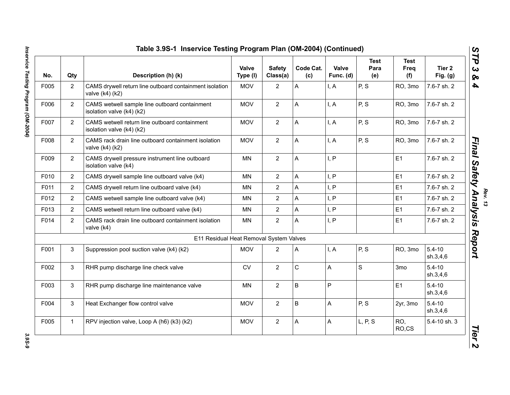| No.  | Qty            | Description (h) (k)                                                        | Valve<br>Type (I) | <b>Safety</b><br>Class(a) | Code Cat.<br>(c) | Valve<br>Func. (d) | <b>Test</b><br>Para<br>(e) | <b>Test</b><br>Freq<br>(f) | Tier <sub>2</sub><br>Fig. $(g)$ |
|------|----------------|----------------------------------------------------------------------------|-------------------|---------------------------|------------------|--------------------|----------------------------|----------------------------|---------------------------------|
| F005 | $\overline{2}$ | CAMS drywell return line outboard containment isolation<br>valve (k4) (k2) | <b>MOV</b>        | $\overline{2}$            | A                | I, A               | P, S                       | RO, 3mo                    | 7.6-7 sh. 2                     |
| F006 | $\overline{2}$ | CAMS wetwell sample line outboard containment<br>isolation valve (k4) (k2) | <b>MOV</b>        | $\overline{2}$            | Α                | I, A               | P, S                       | RO, 3mo                    | 7.6-7 sh. 2                     |
| F007 | $\overline{2}$ | CAMS wetwell return line outboard containment<br>isolation valve (k4) (k2) | <b>MOV</b>        | $\overline{2}$            | A                | I, A               | P, S                       | RO, 3mo                    | 7.6-7 sh. 2                     |
| F008 | $\overline{2}$ | CAMS rack drain line outboard containment isolation<br>valve (k4) (k2)     | <b>MOV</b>        | $\overline{2}$            | A                | I, A               | P, S                       | RO, 3mo                    | 7.6-7 sh. 2                     |
| F009 | $\overline{2}$ | CAMS drywell pressure instrument line outboard<br>isolation valve (k4)     | <b>MN</b>         | $\overline{2}$            | A                | I, P               |                            | E <sub>1</sub>             | 7.6-7 sh. 2                     |
| F010 | $\overline{2}$ | CAMS drywell sample line outboard valve (k4)                               | <b>MN</b>         | $\overline{2}$            | A                | I, P               |                            | E <sub>1</sub>             | 7.6-7 sh. 2                     |
| F011 | 2              | CAMS drywell return line outboard valve (k4)                               | <b>MN</b>         | $\overline{2}$            | A                | I, P               |                            | E <sub>1</sub>             | 7.6-7 sh. 2                     |
| F012 | $\overline{2}$ | CAMS wetwell sample line outboard valve (k4)                               | <b>MN</b>         | $\overline{2}$            | A                | I, P               |                            | E1                         | 7.6-7 sh. 2                     |
| F013 | $\overline{2}$ | CAMS wetwell return line outboard valve (k4)                               | <b>MN</b>         | $\overline{2}$            | A                | I, P               |                            | E1                         | 7.6-7 sh. 2                     |
| F014 | $\overline{2}$ | CAMS rack drain line outboard containment isolation<br>valve (k4)          | <b>MN</b>         | $\overline{2}$            | A                | I, P               |                            | E1                         | 7.6-7 sh. 2                     |
|      |                | E11 Residual Heat Removal System Valves                                    |                   |                           |                  |                    |                            |                            |                                 |
| F001 | 3              | Suppression pool suction valve (k4) (k2)                                   | <b>MOV</b>        | $\overline{2}$            | Α                | I, A               | P, S                       | RO, 3mo                    | $5.4 - 10$<br>sh.3,4,6          |
| F002 | 3              | RHR pump discharge line check valve                                        | ${\sf CV}$        | $\overline{2}$            | $\mathsf C$      | A                  | $\mathbf S$                | 3 <sub>mo</sub>            | $5.4 - 10$<br>sh.3,4,6          |
| F003 | 3              | RHR pump discharge line maintenance valve                                  | <b>MN</b>         | $\overline{2}$            | B                | P                  |                            | E1                         | $5.4 - 10$<br>sh.3,4,6          |
| F004 | 3              | Heat Exchanger flow control valve                                          | <b>MOV</b>        | $\overline{2}$            | B                | A                  | P, S                       | 2yr, 3mo                   | $5.4 - 10$<br>sh.3,4,6          |
| F005 | $\mathbf{1}$   | RPV injection valve, Loop A (h6) (k3) (k2)                                 | <b>MOV</b>        | $\overline{2}$            | Α                | A                  | L, P, S                    | RO,<br>RO,CS               | 5.4-10 sh. 3                    |

3.95-9

**Rev. 13**<br>Rev. 13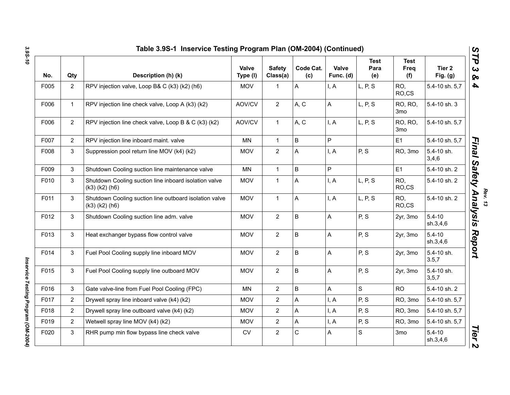| No.  | Qty            | Description (h) (k)                                                            | Valve<br>Type (I) | <b>Safety</b><br>Class(a) | Code Cat.<br>(c) | Valve<br>Func. (d) | <b>Test</b><br>Para<br>(e) | <b>Test</b><br>Freq<br>(f) | Tier 2<br>Fig. (g)     |
|------|----------------|--------------------------------------------------------------------------------|-------------------|---------------------------|------------------|--------------------|----------------------------|----------------------------|------------------------|
| F005 | $\overline{2}$ | RPV injection valve, Loop B& C (k3) (k2) (h6)                                  | <b>MOV</b>        | 1                         | Α                | I, A               | L, P, S                    | RO,<br>RO,CS               | 5.4-10 sh. 5,7         |
| F006 | $\mathbf{1}$   | RPV injection line check valve, Loop A (k3) (k2)                               | AOV/CV            | $\overline{2}$            | A, C             | Α                  | L, P, S                    | RO, RO,<br>3 <sub>mo</sub> | 5.4-10 sh. 3           |
| F006 | $\overline{2}$ | RPV injection line check valve, Loop B & C (k3) (k2)                           | AOV/CV            | $\mathbf 1$               | A, C             | I, A               | L, P, S                    | RO, RO,<br>3 <sub>mo</sub> | 5.4-10 sh. 5,7         |
| F007 | $\overline{2}$ | RPV injection line inboard maint. valve                                        | MN                | $\mathbf{1}$              | B                | P                  |                            | E <sub>1</sub>             | 5.4-10 sh. 5,7         |
| F008 | 3              | Suppression pool return line MOV (k4) (k2)                                     | <b>MOV</b>        | $\overline{2}$            | A                | I, A               | P, S                       | RO, 3mo                    | 5.4-10 sh.<br>3,4,6    |
| F009 | 3              | Shutdown Cooling suction line maintenance valve                                | MN                | $\mathbf{1}$              | $\sf B$          | P                  |                            | E1                         | 5.4-10 sh. 2           |
| F010 | 3              | Shutdown Cooling suction line inboard isolation valve<br>$(k3)$ $(k2)$ $(h6)$  | <b>MOV</b>        | $\mathbf{1}$              | A                | I, A               | L, P, S                    | RO,<br>RO,CS               | 5.4-10 sh. 2           |
| F011 | 3              | Shutdown Cooling suction line outboard isolation valve<br>$(k3)$ $(k2)$ $(h6)$ | <b>MOV</b>        | $\mathbf{1}$              | A                | I, A               | L, P, S                    | RO.<br>RO,CS               | 5.4-10 sh. 2           |
| F012 | 3              | Shutdown Cooling suction line adm. valve                                       | <b>MOV</b>        | $\overline{2}$            | $\sf B$          | A                  | P, S                       | 2yr, 3mo                   | $5.4 - 10$<br>sh.3,4,6 |
| F013 | 3              | Heat exchanger bypass flow control valve                                       | <b>MOV</b>        | $\overline{2}$            | $\sf B$          | A                  | P, S                       | 2yr, 3mo                   | $5.4 - 10$<br>sh.3,4,6 |
| F014 | 3              | Fuel Pool Cooling supply line inboard MOV                                      | <b>MOV</b>        | $\overline{2}$            | $\sf B$          | A                  | P, S                       | 2yr, 3mo                   | 5.4-10 sh.<br>3.5,7    |
| F015 | 3              | Fuel Pool Cooling supply line outboard MOV                                     | <b>MOV</b>        | $\overline{2}$            | $\sf B$          | A                  | P, S                       | 2yr, 3mo                   | 5.4-10 sh.<br>3, 5, 7  |
| F016 | 3              | Gate valve-line from Fuel Pool Cooling (FPC)                                   | MN                | $\overline{2}$            | B                | A                  | S                          | <b>RO</b>                  | 5.4-10 sh. 2           |
| F017 | $\overline{2}$ | Drywell spray line inboard valve (k4) (k2)                                     | <b>MOV</b>        | $\overline{2}$            | A                | I, A               | P, S                       | RO, 3mo                    | 5.4-10 sh. 5,7         |
| F018 | $\overline{2}$ | Drywell spray line outboard valve (k4) (k2)                                    | <b>MOV</b>        | $\overline{2}$            | A                | I, A               | P, S                       | RO, 3mo                    | 5.4-10 sh. 5,7         |
| F019 | $\overline{2}$ | Wetwell spray line MOV (k4) (k2)                                               | <b>MOV</b>        | $\overline{2}$            | A                | I, A               | P, S                       | RO, 3mo                    | 5.4-10 sh. 5,7         |
| F020 | 3              | RHR pump min flow bypass line check valve                                      | <b>CV</b>         | $\overline{2}$            | $\mathbf C$      | Α                  | S                          | 3 <sub>mo</sub>            | $5.4 - 10$<br>sh.3,4,6 |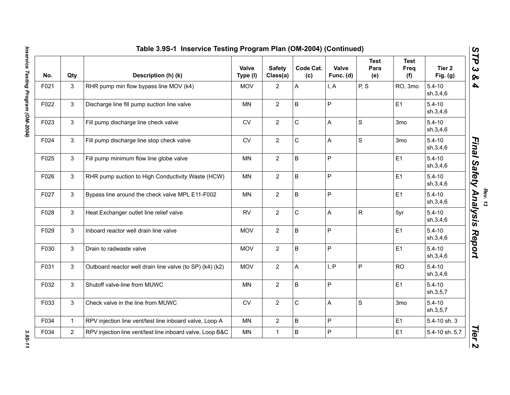|      | Table 3.9S-1 Inservice Testing Program Plan (OM-2004) (Continued)<br>$\boldsymbol{\omega}$<br>ТP |                                                           |                   |                           |                  |                           |                            |                                   |                                 |  |  |  |  |
|------|--------------------------------------------------------------------------------------------------|-----------------------------------------------------------|-------------------|---------------------------|------------------|---------------------------|----------------------------|-----------------------------------|---------------------------------|--|--|--|--|
| No.  | Qty                                                                                              | Description (h) (k)                                       | Valve<br>Type (I) | <b>Safety</b><br>Class(a) | Code Cat.<br>(c) | Valve<br>Func. (d)        | <b>Test</b><br>Para<br>(e) | <b>Test</b><br><b>Freq</b><br>(f) | Tier <sub>2</sub><br>Fig. $(g)$ |  |  |  |  |
| F021 | 3                                                                                                | RHR pump min flow bypass line MOV (k4)                    | <b>MOV</b>        | $\overline{2}$            | A                | I, A                      | P, S                       | RO, 3mo                           | $5.4 - 10$<br>sh.3,4,6          |  |  |  |  |
| F022 | 3                                                                                                | Discharge line fill pump suction line valve               | <b>MN</b>         | $\overline{2}$            | B                | P                         |                            | E1                                | $5.4 - 10$<br>sh.3,4,6          |  |  |  |  |
| F023 | 3                                                                                                | Fill pump discharge line check valve                      | CV                | $\overline{2}$            | C                | A                         | $\mathbf S$                | 3 <sub>mo</sub>                   | $5.4 - 10$<br>sh.3,4,6          |  |  |  |  |
| F024 | 3                                                                                                | Fill pump discharge line stop check valve                 | <b>CV</b>         | $\overline{2}$            | C                | $\boldsymbol{\mathsf{A}}$ | $\mathsf S$                | 3mo                               | $5.4 - 10$<br>sh.3,4,6          |  |  |  |  |
| F025 | 3                                                                                                | Fill pump minimum flow line globe valve                   | <b>MN</b>         | $\overline{2}$            | B                | $\mathsf{P}$              |                            | E1                                | $5.4 - 10$<br>sh.3,4,6          |  |  |  |  |
| F026 | 3                                                                                                | RHR pump suction to High Conductivity Waste (HCW)         | <b>MN</b>         | $\overline{2}$            | B                | P                         |                            | E1                                | $5.4 - 10$<br>sh.3,4,6          |  |  |  |  |
| F027 | 3                                                                                                | Bypass line around the check valve MPL E11-F002           | MN                | $\overline{2}$            | B                | P                         |                            | E1                                | $5.4 - 10$<br>sh.3,4,6          |  |  |  |  |
| F028 | 3                                                                                                | Heat Exchanger outlet line relief valve                   | <b>RV</b>         | $\overline{2}$            | C                | $\boldsymbol{\mathsf{A}}$ | $\mathsf{R}$               | 5yr                               | $5.4 - 10$<br>sh.3,4,6          |  |  |  |  |
| F029 | 3                                                                                                | Inboard reactor well drain line valve                     | <b>MOV</b>        | $\overline{2}$            | B                | P                         |                            | E1                                | $5.4 - 10$<br>sh.3,4,6          |  |  |  |  |
| F030 | 3                                                                                                | Drain to radwaste valve                                   | <b>MOV</b>        | $\overline{2}$            | B                | P                         |                            | E1                                | $5.4 - 10$<br>sh.3,4,6          |  |  |  |  |
| F031 | 3                                                                                                | Outboard reactor well drain line valve (to SP) (k4) (k2)  | <b>MOV</b>        | $\overline{2}$            | A                | I, P                      | P                          | <b>RO</b>                         | $5.4 - 10$<br>sh.3,4,6          |  |  |  |  |
| F032 | 3                                                                                                | Shutoff valve-line from MUWC                              | MN                | $\overline{2}$            | B                | P                         |                            | E1                                | $5.4 - 10$<br>sh.3,5,7          |  |  |  |  |
| F033 | 3                                                                                                | Check valve in the line from MUWC                         | CV                | $\overline{2}$            | C                | A                         | $\mathsf S$                | 3mo                               | $5.4 - 10$<br>sh.3,5,7          |  |  |  |  |
| F034 | $\mathbf{1}$                                                                                     | RPV injection line vent/test line inboard valve, Loop A   | <b>MN</b>         | $\overline{2}$            | B                | P                         |                            | E1                                | 5.4-10 sh. 3                    |  |  |  |  |
| F034 | $\overline{2}$                                                                                   | RPV injection line vent/test line inboard valve, Loop B&C | <b>MN</b>         | $\mathbf{1}$              | B                | $\mathsf{P}$              |                            | E1                                | 5.4-10 sh. 5,7                  |  |  |  |  |

3.95-11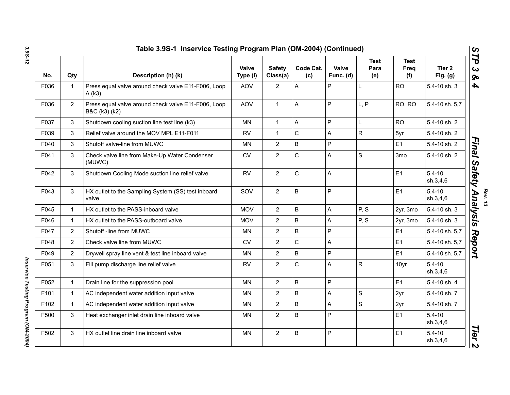| No.  | Qty            | Description (h) (k)                                                  | Valve<br>Type (I) | <b>Safety</b><br>Class(a) | Code Cat.<br>(c) | Valve<br>Func. (d) | <b>Test</b><br>Para<br>(e) | <b>Test</b><br>Freq<br>(f) | Tier <sub>2</sub><br>Fig. $(g)$ |
|------|----------------|----------------------------------------------------------------------|-------------------|---------------------------|------------------|--------------------|----------------------------|----------------------------|---------------------------------|
| F036 | $\mathbf 1$    | Press equal valve around check valve E11-F006, Loop<br>A(k3)         | <b>AOV</b>        | $\overline{2}$            | Α                | P                  | L                          | <b>RO</b>                  | 5.4-10 sh. 3                    |
| F036 | $\overline{2}$ | Press equal valve around check valve E11-F006, Loop<br>B&C (k3) (k2) | <b>AOV</b>        | $\mathbf{1}$              | Α                | P                  | L, P                       | RO, RO                     | 5.4-10 sh. 5,7                  |
| F037 | 3              | Shutdown cooling suction line test line (k3)                         | <b>MN</b>         | $\mathbf{1}$              | A                | $\mathsf{P}$       | L                          | <b>RO</b>                  | 5.4-10 sh. 2                    |
| F039 | 3              | Relief valve around the MOV MPL E11-F011                             | <b>RV</b>         | $\mathbf{1}$              | $\mathsf C$      | A                  | R                          | 5yr                        | 5.4-10 sh. 2                    |
| F040 | 3              | Shutoff valve-line from MUWC                                         | MN.               | $\overline{2}$            | B                | P                  |                            | E1                         | 5.4-10 sh. 2                    |
| F041 | 3              | Check valve line from Make-Up Water Condenser<br>(MUWC)              | <b>CV</b>         | $\overline{2}$            | $\mathsf{C}$     | A                  | $\mathsf{s}$               | 3 <sub>mo</sub>            | 5.4-10 sh. 2                    |
| F042 | 3              | Shutdown Cooling Mode suction line relief valve                      | <b>RV</b>         | $\overline{2}$            | $\mathsf C$      | A                  |                            | E1                         | $5.4 - 10$<br>sh.3,4,6          |
| F043 | 3              | HX outlet to the Sampling System (SS) test inboard<br>valve          | SOV               | $\overline{2}$            | B                | P                  |                            | E1                         | $5.4 - 10$<br>sh.3,4,6          |
| F045 | $\mathbf 1$    | HX outlet to the PASS-inboard valve                                  | <b>MOV</b>        | $\overline{2}$            | B                | A                  | P, S                       | 2yr, 3mo                   | 5.4-10 sh. 3                    |
| F046 | $\mathbf 1$    | HX outlet to the PASS-outboard valve                                 | <b>MOV</b>        | $\mathbf{2}$              | B                | A                  | P, S                       | 2yr, 3mo                   | 5.4-10 sh. 3                    |
| F047 | $\overline{2}$ | Shutoff -line from MUWC                                              | MN.               | $\overline{2}$            | B                | P                  |                            | E1                         | 5.4-10 sh. 5,7                  |
| F048 | $\overline{2}$ | Check valve line from MUWC                                           | <b>CV</b>         | $\overline{2}$            | $\mathsf{C}$     | Α                  |                            | E1                         | 5.4-10 sh. 5,7                  |
| F049 | $\overline{2}$ | Drywell spray line vent & test line inboard valve                    | MN.               | $\mathbf{2}$              | B                | P                  |                            | E1                         | 5.4-10 sh. 5,7                  |
| F051 | 3              | Fill pump discharge line relief valve                                | <b>RV</b>         | $\overline{2}$            | $\mathsf{C}$     | A                  | $\mathsf{R}$               | 10yr                       | $5.4 - 10$<br>sh.3,4,6          |
| F052 | $\mathbf{1}$   | Drain line for the suppression pool                                  | <b>MN</b>         | $\overline{2}$            | B                | P                  |                            | E1                         | 5.4-10 sh. 4                    |
| F101 | $\mathbf 1$    | AC independent water addition input valve                            | <b>MN</b>         | $\sqrt{2}$                | B                | А                  | S                          | 2yr                        | 5.4-10 sh. 7                    |
| F102 | $\mathbf{1}$   | AC independent water addition input valve                            | <b>MN</b>         | $\overline{2}$            | B                | A                  | S                          | 2yr                        | 5.4-10 sh. 7                    |
| F500 | 3              | Heat exchanger inlet drain line inboard valve                        | <b>MN</b>         | $\overline{2}$            | B                | P                  |                            | E1                         | $5.4 - 10$<br>sh.3,4,6          |
| F502 | 3              | HX outlet line drain line inboard valve                              | <b>MN</b>         | $\overline{2}$            | B                | P                  |                            | E1                         | $5.4 - 10$<br>sh.3,4,6          |

*Rev. 13*

*3.9S-12*

*Inservice Testing Program (OM-2004)* 

Inservice Testing Program (OM-2004)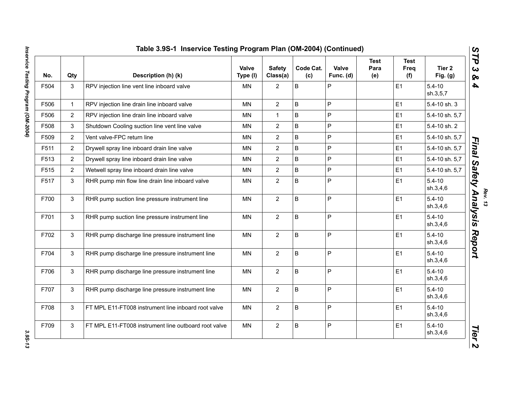| No.  | Qty            | Description (h) (k)                                  | Valve<br>Type (I) | <b>Safety</b><br>Class(a) | Code Cat.<br>(c) | Valve<br>Func. (d) | <b>Test</b><br>Para<br>(e) | <b>Test</b><br>Freq<br>(f) | Tier <sub>2</sub><br>Fig. $(g)$ |
|------|----------------|------------------------------------------------------|-------------------|---------------------------|------------------|--------------------|----------------------------|----------------------------|---------------------------------|
| F504 | 3              | RPV injection line vent line inboard valve           | MN                | $\overline{2}$            | B                | P                  |                            | E1                         | $5.4 - 10$<br>sh.3,5,7          |
| F506 | $\mathbf{1}$   | RPV injection line drain line inboard valve          | <b>MN</b>         | $\overline{2}$            | B                | P                  |                            | E1                         | 5.4-10 sh. 3                    |
| F506 | $\overline{2}$ | RPV injection line drain line inboard valve          | ΜN                | $\mathbf{1}$              | B                | P                  |                            | E1                         | 5.4-10 sh. 5,7                  |
| F508 | 3              | Shutdown Cooling suction line vent line valve        | MN                | $\overline{2}$            | B                | P                  |                            | E1                         | 5.4-10 sh. 2                    |
| F509 | $\overline{2}$ | Vent valve-FPC return line                           | <b>MN</b>         | $\overline{2}$            | B                | P                  |                            | E1                         | 5.4-10 sh. 5,7                  |
| F511 | $\overline{2}$ | Drywell spray line inboard drain line valve          | <b>MN</b>         | $\overline{2}$            | B                | P                  |                            | E1                         | 5.4-10 sh. 5,7                  |
| F513 | $\overline{2}$ | Drywell spray line inboard drain line valve          | MN                | $\overline{2}$            | B                | P                  |                            | E1                         | 5.4-10 sh. 5,7                  |
| F515 | $\overline{2}$ | Wetwell spray line inboard drain line valve          | MN                | $\overline{2}$            | B                | P                  |                            | E1                         | 5.4-10 sh. 5,7                  |
| F517 | 3              | RHR pump min flow line drain line inboard valve      | ΜN                | $\overline{2}$            | B                | P                  |                            | E1                         | $5.4 - 10$<br>sh.3,4,6          |
| F700 | 3              | RHR pump suction line pressure instrument line       | <b>MN</b>         | $\overline{2}$            | B                | P                  |                            | E1                         | $5.4 - 10$<br>sh.3,4,6          |
| F701 | 3              | RHR pump suction line pressure instrument line       | <b>MN</b>         | $\overline{2}$            | B                | P                  |                            | E1                         | $5.4 - 10$<br>sh.3,4,6          |
| F702 | 3              | RHR pump discharge line pressure instrument line     | <b>MN</b>         | $\overline{2}$            | $\sf B$          | P                  |                            | E1                         | $5.4 - 10$<br>sh.3,4,6          |
| F704 | 3              | RHR pump discharge line pressure instrument line     | MN                | $\overline{2}$            | B                | P                  |                            | E1                         | $5.4 - 10$<br>sh.3,4,6          |
| F706 | 3              | RHR pump discharge line pressure instrument line     | MN                | $\overline{2}$            | B                | P                  |                            | E1                         | $5.4 - 10$<br>sh.3,4,6          |
| F707 | 3              | RHR pump discharge line pressure instrument line     | <b>MN</b>         | $\overline{2}$            | B                | P                  |                            | E1                         | $5.4 - 10$<br>sh.3,4,6          |
| F708 | 3              | FT MPL E11-FT008 instrument line inboard root valve  | <b>MN</b>         | 2 <sup>1</sup>            | B                | P                  |                            | E1                         | $5.4 - 10$<br>sh.3,4,6          |
| F709 | 3              | FT MPL E11-FT008 instrument line outboard root valve | MN                | $\overline{2}$            | B                | P                  |                            | E <sub>1</sub>             | $5.4 - 10$<br>sh.3,4,6          |

3.95-13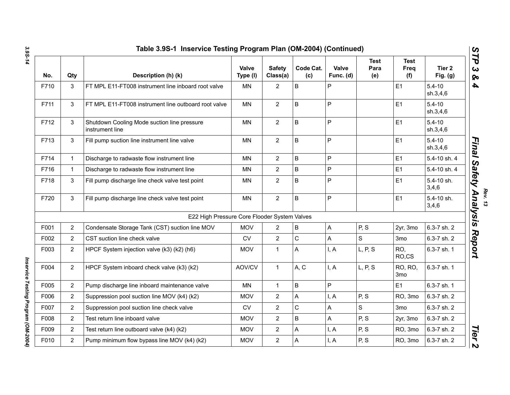| No.  | Qty            | Description (h) (k)                                            | Valve<br>Type (I) | <b>Safety</b><br>Class(a) | Code Cat.<br>(c) | Valve<br>Func. (d) | <b>Test</b><br>Para<br>(e) | <b>Test</b><br>Freq<br>(f) | Tier <sub>2</sub><br>Fig. $(g)$ |
|------|----------------|----------------------------------------------------------------|-------------------|---------------------------|------------------|--------------------|----------------------------|----------------------------|---------------------------------|
| F710 | 3              | FT MPL E11-FT008 instrument line inboard root valve            | <b>MN</b>         | $\overline{2}$            | B                | P                  |                            | E1                         | $5.4 - 10$<br>sh.3,4,6          |
| F711 | 3              | FT MPL E11-FT008 instrument line outboard root valve           | <b>MN</b>         | $\overline{2}$            | B                | P                  |                            | E1                         | $5.4 - 10$<br>sh.3,4,6          |
| F712 | 3              | Shutdown Cooling Mode suction line pressure<br>instrument line | <b>MN</b>         | $\overline{2}$            | B                | P                  |                            | E1                         | $5.4 - 10$<br>sh.3,4,6          |
| F713 | 3              | Fill pump suction line instrument line valve                   | MN                | $\overline{2}$            | $\sf B$          | P                  |                            | E1                         | $5.4 - 10$<br>sh.3,4,6          |
| F714 | $\mathbf{1}$   | Discharge to radwaste flow instrument line                     | <b>MN</b>         | $\overline{2}$            | B                | P                  |                            | E1                         | 5.4-10 sh. 4                    |
| F716 | $\mathbf{1}$   | Discharge to radwaste flow instrument line                     | MN                | $\overline{2}$            | B                | P                  |                            | E <sub>1</sub>             | 5.4-10 sh. 4                    |
| F718 | 3              | Fill pump discharge line check valve test point                | <b>MN</b>         | $\overline{2}$            | B                | P                  |                            | E1                         | 5.4-10 sh.<br>3,4,6             |
| F720 | 3              | Fill pump discharge line check valve test point                | MN                | $\overline{2}$            | $\sf B$          | P                  |                            | E1                         | 5.4-10 sh.<br>3,4,6             |
|      |                | E22 High Pressure Core Flooder System Valves                   |                   |                           |                  |                    |                            |                            |                                 |
| F001 | $\overline{2}$ | Condensate Storage Tank (CST) suction line MOV                 | <b>MOV</b>        | $\overline{2}$            | $\mathsf B$      | $\overline{A}$     | P, S                       | 2yr, 3mo                   | 6.3-7 sh. 2                     |
| F002 | $\overline{2}$ | CST suction line check valve                                   | <b>CV</b>         | $\overline{2}$            | $\mathsf{C}$     | A                  | S                          | 3 <sub>mo</sub>            | 6.3-7 sh. 2                     |
| F003 | $\overline{2}$ | HPCF System injection valve (k3) (k2) (h6)                     | <b>MOV</b>        | $\mathbf{1}$              | A                | I, A               | L, P, S                    | RO,<br>RO,CS               | 6.3-7 sh. 1                     |
| F004 | $\overline{2}$ | HPCF System inboard check valve (k3) (k2)                      | AOV/CV            | $\mathbf{1}$              | A, C             | I, A               | L, P, S                    | RO, RO,<br>3 <sub>mo</sub> | 6.3-7 sh. 1                     |
| F005 | $\overline{2}$ | Pump discharge line inboard maintenance valve                  | <b>MN</b>         | $\mathbf{1}$              | B                | P                  |                            | E1                         | 6.3-7 sh. 1                     |
| F006 | $\overline{2}$ | Suppression pool suction line MOV (k4) (k2)                    | <b>MOV</b>        | $\overline{2}$            | A                | I, A               | P, S                       | RO, 3mo                    | 6.3-7 sh. 2                     |
| F007 | $\overline{2}$ | Suppression pool suction line check valve                      | <b>CV</b>         | $\overline{2}$            | $\mathbf C$      | A                  | S                          | 3 <sub>mo</sub>            | 6.3-7 sh. 2                     |
| F008 | $\overline{2}$ | Test return line inboard valve                                 | <b>MOV</b>        | $\overline{2}$            | $\overline{B}$   | A                  | P, S                       | 2yr, 3mo                   | 6.3-7 sh. 2                     |
| F009 | $\overline{2}$ | Test return line outboard valve (k4) (k2)                      | <b>MOV</b>        | $\overline{2}$            | A                | I, A               | P, S                       | RO, 3mo                    | 6.3-7 sh. 2                     |
| F010 | $2^{\circ}$    | Pump minimum flow bypass line MOV (k4) (k2)                    | <b>MOV</b>        | $\overline{2}$            | A                | I, A               | P, S                       | RO, 3mo                    | 6.3-7 sh. 2                     |

Inservice Testing Program (OM-2004) *Inservice Testing Program (OM-2004)*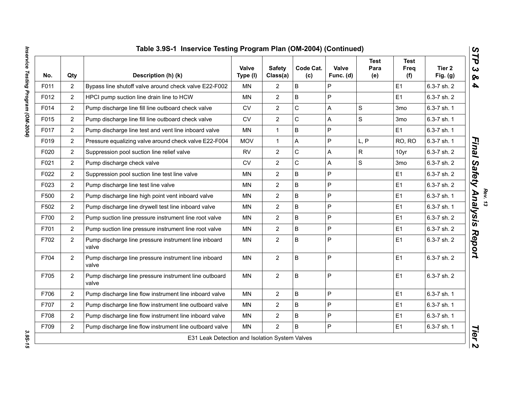|      |                | Table 3.9S-1 Inservice Testing Program Plan (OM-2004) (Continued) | Valve      | <b>Safety</b>         | Code Cat.   | Valve     | <b>Test</b><br>Para | <b>Test</b><br>Freq | Tier 2      |
|------|----------------|-------------------------------------------------------------------|------------|-----------------------|-------------|-----------|---------------------|---------------------|-------------|
| No.  | Qty            | Description (h) (k)                                               | Type (I)   | Class(a)              | (c)         | Func. (d) | (e)                 | (f)                 | Fig. $(g)$  |
| F011 | $\overline{2}$ | Bypass line shutoff valve around check valve E22-F002             | <b>MN</b>  | 2                     | B           | P         |                     | E <sub>1</sub>      | 6.3-7 sh. 2 |
| F012 | $\overline{2}$ | HPCI pump suction line drain line to HCW                          | <b>MN</b>  | $\overline{2}$        | B           | P         |                     | E1                  | 6.3-7 sh. 2 |
| F014 | $\overline{2}$ | Pump discharge line fill line outboard check valve                | <b>CV</b>  | $\overline{2}$        | C           | A         | $\mathbf S$         | 3mo                 | 6.3-7 sh. 1 |
| F015 | $\overline{2}$ | Pump discharge line fill line outboard check valve                | <b>CV</b>  | $\overline{2}$        | $\mathsf C$ | A         | ${\mathsf S}$       | 3 <sub>mo</sub>     | 6.3-7 sh. 1 |
| F017 | $\overline{2}$ | Pump discharge line test and vent line inboard valve              | MN         | $\mathbf{1}$          | B           | P         |                     | E1                  | 6.3-7 sh. 1 |
| F019 | $\overline{2}$ | Pressure equalizing valve around check valve E22-F004             | <b>MOV</b> | $\mathbf{1}$          | A           | P         | L, P                | RO, RO              | 6.3-7 sh. 1 |
| F020 | $\overline{2}$ | Suppression pool suction line relief valve                        | <b>RV</b>  | $\overline{2}$        | $\mathsf C$ | A         | ${\sf R}$           | 10yr                | 6.3-7 sh. 2 |
| F021 | $\overline{2}$ | Pump discharge check valve                                        | <b>CV</b>  | $\overline{2}$        | $\mathsf C$ | A         | S                   | 3 <sub>mo</sub>     | 6.3-7 sh. 2 |
| F022 | $\overline{2}$ | Suppression pool suction line test line valve                     | <b>MN</b>  | $\overline{2}$        | B           | P         |                     | E1                  | 6.3-7 sh. 2 |
| F023 | $\overline{2}$ | Pump discharge line test line valve                               | <b>MN</b>  | $\overline{2}$        | B           | P         |                     | E1                  | 6.3-7 sh. 2 |
| F500 | $\overline{2}$ | Pump discharge line high point vent inboard valve                 | <b>MN</b>  | $\mathbf{2}^{\prime}$ | B           | P         |                     | E1                  | 6.3-7 sh. 1 |
| F502 | $\overline{2}$ | Pump discharge line drywell test line inboard valve               | <b>MN</b>  | $\overline{2}$        | B           | P         |                     | E <sub>1</sub>      | 6.3-7 sh. 1 |
| F700 | $\overline{2}$ | Pump suction line pressure instrument line root valve             | <b>MN</b>  | $\overline{2}$        | B           | P         |                     | E1                  | 6.3-7 sh. 2 |
| F701 | $\overline{2}$ | Pump suction line pressure instrument line root valve             | <b>MN</b>  | $\overline{2}$        | B           | P         |                     | E1                  | 6.3-7 sh. 2 |
| F702 | $\overline{2}$ | Pump discharge line pressure instrument line inboard<br>valve     | <b>MN</b>  | $\overline{2}$        | B           | P         |                     | E <sub>1</sub>      | 6.3-7 sh. 2 |
| F704 | $\overline{2}$ | Pump discharge line pressure instrument line inboard<br>valve     | <b>MN</b>  | $\overline{2}$        | B           | P         |                     | E1                  | 6.3-7 sh. 2 |
| F705 | $\overline{2}$ | Pump discharge line pressure instrument line outboard<br>valve    | <b>MN</b>  | $\overline{2}$        | B           | P         |                     | E <sub>1</sub>      | 6.3-7 sh. 2 |
| F706 | $\overline{2}$ | Pump discharge line flow instrument line inboard valve            | <b>MN</b>  | $\overline{2}$        | B           | P         |                     | E <sub>1</sub>      | 6.3-7 sh. 1 |
| F707 | $\overline{2}$ | Pump discharge line flow instrument line outboard valve           | MN         | $\overline{2}$        | B           | P         |                     | E1                  | 6.3-7 sh. 1 |
| F708 | $\overline{2}$ | Pump discharge line flow instrument line inboard valve            | <b>MN</b>  | $\overline{2}$        | B           | P         |                     | E <sub>1</sub>      | 6.3-7 sh. 1 |
| F709 | $\overline{2}$ | Pump discharge line flow instrument line outboard valve           | <b>MN</b>  | $\overline{2}$        | B           | P         |                     | E1                  | 6.3-7 sh. 1 |
|      |                | E31 Leak Detection and Isolation System Valves                    |            |                       |             |           |                     |                     |             |

3.95-15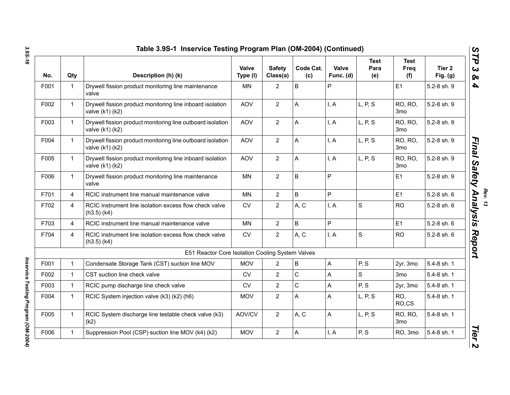| No.  | Qty            | Description (h) (k)                                                           | Valve<br>Type (I) | <b>Safety</b><br>Class(a) | Code Cat.<br>(c) | Valve<br>Func. (d)        | <b>Test</b><br>Para<br>(e) | <b>Test</b><br>Freq<br>(f) | Tier <sub>2</sub><br>Fig. $(g)$ |
|------|----------------|-------------------------------------------------------------------------------|-------------------|---------------------------|------------------|---------------------------|----------------------------|----------------------------|---------------------------------|
| F001 | $\mathbf 1$    | Drywell fission product monitoring line maintenance<br>valve                  | <b>MN</b>         | $\overline{2}$            | B                | P                         |                            | E1                         | 5.2-8 sh. 9                     |
| F002 | $\mathbf{1}$   | Drywell fission product monitoring line inboard isolation<br>valve (k1) (k2)  | <b>AOV</b>        | $\overline{2}$            | A                | I, A                      | L, P, S                    | RO, RO,<br>3 <sub>mo</sub> | 5.2-8 sh. 9                     |
| F003 | $\mathbf{1}$   | Drywell fission product monitoring line outboard isolation<br>valve (k1) (k2) | <b>AOV</b>        | $\overline{2}$            | A                | I, A                      | L, P, S                    | RO, RO,<br>3 <sub>mo</sub> | 5.2-8 sh. 9                     |
| F004 | $\mathbf{1}$   | Drywell fission product monitoring line outboard isolation<br>valve (k1) (k2) | <b>AOV</b>        | $\overline{2}$            | A                | I, A                      | L, P, S                    | RO, RO,<br>3 <sub>mo</sub> | 5.2-8 sh. 9                     |
| F005 | $\mathbf{1}$   | Drywell fission product monitoring line inboard isolation<br>valve (k1) (k2)  | <b>AOV</b>        | $\overline{2}$            | A                | I, A                      | L, P, S                    | RO, RO,<br>3 <sub>mo</sub> | 5.2-8 sh. 9                     |
| F006 | $\mathbf{1}$   | Drywell fission product monitoring line maintenance<br>valve                  | <b>MN</b>         | 2                         | $\sf B$          | P                         |                            | E1                         | 5.2-8 sh. 9                     |
| F701 | $\overline{4}$ | RCIC instrument line manual maintenance valve                                 | <b>MN</b>         | $\overline{2}$            | B                | P                         |                            | E1                         | 5.2-8 sh. 6                     |
| F702 | $\overline{4}$ | RCIC instrument line isolation excess flow check valve<br>$(h3.5)$ $(k4)$     | <b>CV</b>         | $\overline{2}$            | A, C             | I, A                      | S                          | <b>RO</b>                  | 5.2-8 sh. 6                     |
| F703 | 4              | RCIC instrument line manual maintenance valve                                 | <b>MN</b>         | 2                         | B                | P                         |                            | E1                         | 5.2-8 sh. 6                     |
| F704 | 4              | RCIC instrument line isolation excess flow check valve<br>$(h3.5)$ (k4)       | <b>CV</b>         | $\overline{2}$            | A, C             | I, A                      | $\mathbf S$                | <b>RO</b>                  | 5.2-8 sh. 6                     |
|      |                | E51 Reactor Core Isolation Cooling System Valves                              |                   |                           |                  |                           |                            |                            |                                 |
| F001 | $\mathbf{1}$   | Condensate Storage Tank (CST) suction line MOV                                | <b>MOV</b>        | $\overline{2}$            | $\sf B$          | $\overline{A}$            | P, S                       | 2yr, 3mo                   | 5.4-8 sh. 1                     |
| F002 | $\mathbf{1}$   | CST suction line check valve                                                  | <b>CV</b>         | $\overline{2}$            | $\mathsf C$      | A                         | S                          | 3mo                        | 5.4-8 sh. 1                     |
| F003 | $\mathbf 1$    | RCIC pump discharge line check valve                                          | <b>CV</b>         | $\overline{2}$            | $\mathsf C$      | A                         | P, S                       | 2yr, 3mo                   | 5.4-8 sh. 1                     |
| F004 | $\mathbf 1$    | RCIC System injection valve (k3) (k2) (h6)                                    | <b>MOV</b>        | $\overline{c}$            | A                | A                         | L, P, S                    | RO,<br>RO,CS               | 5.4-8 sh. 1                     |
| F005 | $\mathbf{1}$   | RCIC System discharge line testable check valve (k3)<br>(k2)                  | AOV/CV            | $\overline{2}$            | A, C             | $\boldsymbol{\mathsf{A}}$ | L, P, S                    | RO, RO,<br>3 <sub>mo</sub> | 5.4-8 sh. 1                     |
| F006 | $\mathbf{1}$   | Suppression Pool (CSP) suction line MOV (k4) (k2)                             | <b>MOV</b>        | $\overline{2}$            | A                | I, A                      | P, S                       | RO, 3mo                    | 5.4-8 sh. 1                     |

*Rev. 13*

*3.9S-16*

*Inservice Testing Program (OM-2004)* 

Inservice Testing Program (OM-2004)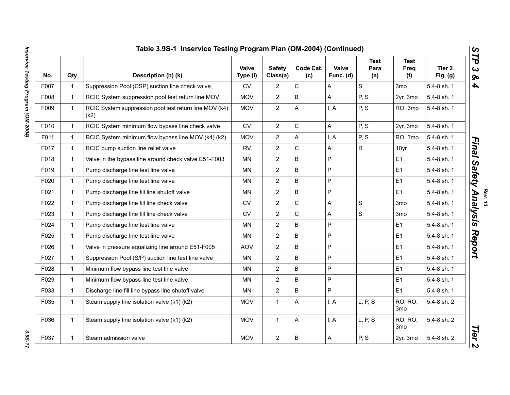|      |              | Table 3.9S-1 Inservice Testing Program Plan (OM-2004) (Continued) |                          |                           |                  |                           |                            |                            |                                 |
|------|--------------|-------------------------------------------------------------------|--------------------------|---------------------------|------------------|---------------------------|----------------------------|----------------------------|---------------------------------|
| No.  | Qty          | Description (h) (k)                                               | <b>Valve</b><br>Type (I) | <b>Safety</b><br>Class(a) | Code Cat.<br>(c) | <b>Valve</b><br>Func. (d) | <b>Test</b><br>Para<br>(e) | <b>Test</b><br>Freq<br>(f) | Tier <sub>2</sub><br>Fig. $(g)$ |
| F007 | $\mathbf{1}$ | Suppression Pool (CSP) suction line check valve                   | CV                       | $\overline{2}$            | $\mathsf C$      | A                         | $\mathbf S$                | 3 <sub>mo</sub>            | 5.4-8 sh. 1                     |
| F008 | $\mathbf{1}$ | RCIC System suppression pool test return line MOV                 | <b>MOV</b>               | $\overline{2}$            | B                | $\boldsymbol{\mathsf{A}}$ | P, S                       | 2yr, 3mo                   | 5.4-8 sh. 1                     |
| F009 | $\mathbf{1}$ | RCIC System suppression pool test return line MOV (k4)<br>(k2)    | <b>MOV</b>               | $\overline{2}$            | A                | I, A                      | P, S                       | RO, 3mo                    | 5.4-8 sh. 1                     |
| F010 | $\mathbf{1}$ | RCIC System minimum flow bypass line check valve                  | <b>CV</b>                | $\overline{2}$            | $\mathsf C$      | A                         | P, S                       | 2yr, 3mo                   | 5.4-8 sh. 1                     |
| F011 | $\mathbf{1}$ | RCIC System minimum flow bypass line MOV (k4) (k2)                | <b>MOV</b>               | $\overline{2}$            | A                | I, A                      | P, S                       | RO, 3mo                    | 5.4-8 sh. 1                     |
| F017 | $\mathbf{1}$ | RCIC pump suction line relief valve                               | <b>RV</b>                | $\overline{2}$            | $\mathbf C$      | Α                         | $\mathsf{R}$               | 10yr                       | 5.4-8 sh. 1                     |
| F018 | $\mathbf{1}$ | Valve in the bypass line around check valve E51-F003              | ΜN                       | $\overline{2}$            | B                | $\sf P$                   |                            | E <sub>1</sub>             | 5.4-8 sh. 1                     |
| F019 | $\mathbf{1}$ | Pump discharge line test line valve                               | <b>MN</b>                | $\overline{2}$            | $\sf B$          | $\mathsf{P}$              |                            | E1                         | 5.4-8 sh. 1                     |
| F020 | $\mathbf{1}$ | Pump discharge line test line valve                               | MN                       | $\overline{2}$            | $\mathsf B$      | $\mathsf{P}$              |                            | E <sub>1</sub>             | 5.4-8 sh. 1                     |
| F021 | $\mathbf{1}$ | Pump discharge line fill line shutoff valve                       | MN                       | $\overline{2}$            | B                | $\mathsf{P}$              |                            | E <sub>1</sub>             | 5.4-8 sh. 1                     |
| F022 | $\mathbf{1}$ | Pump discharge line fill line check valve                         | <b>CV</b>                | $\overline{2}$            | $\mathsf C$      | A                         | $\mathbf S$                | 3 <sub>mo</sub>            | 5.4-8 sh. 1                     |
| F023 | $\mathbf{1}$ | Pump discharge line fill line check valve                         | <b>CV</b>                | $\overline{2}$            | $\mathsf C$      | A                         | $\mathsf{s}$               | 3 <sub>mo</sub>            | 5.4-8 sh. 1                     |
| F024 | $\mathbf{1}$ | Pump discharge line test line valve                               | <b>MN</b>                | $\overline{2}$            | B                | P                         |                            | E <sub>1</sub>             | 5.4-8 sh. 1                     |
| F025 | $\mathbf{1}$ | Pump discharge line test line valve                               | MN                       | $\overline{2}$            | B                | $\overline{P}$            |                            | E <sub>1</sub>             | 5.4-8 sh. 1                     |
| F026 | $\mathbf{1}$ | Valve in pressure equalizing line around E51-F005                 | <b>AOV</b>               | $\overline{c}$            | B                | P                         |                            | E1                         | 5.4-8 sh. 1                     |
| F027 | $\mathbf{1}$ | Suppression Pool (S/P) suction line test line valve               | MN                       | $\overline{2}$            | B                | P                         |                            | E <sub>1</sub>             | 5.4-8 sh. 1                     |
| F028 | $\mathbf{1}$ | Minimum flow bypass line test line valve                          | ΜN                       | $\overline{2}$            | B                | $\mathsf{P}$              |                            | E <sub>1</sub>             | 5.4-8 sh. 1                     |
| F029 | $\mathbf{1}$ | Minimum flow bypass line test line valve                          | <b>MN</b>                | $\overline{2}$            | $\mathsf B$      | $\overline{P}$            |                            | E1                         | 5.4-8 sh. 1                     |
| F033 | $\mathbf{1}$ | Discharge line fill line bypass line shutoff valve                | MN                       | $\overline{2}$            | B                | P                         |                            | E1                         | 5.4-8 sh. 1                     |
| F035 | $\mathbf{1}$ | Steam supply line isolation valve (k1) (k2)                       | <b>MOV</b>               | $\mathbf{1}$              | A                | I, A                      | L, P, S                    | RO, RO,<br>3 <sub>mo</sub> | 5.4-8 sh. 2                     |
| F036 | $\mathbf{1}$ | Steam supply line isolation valve (k1) (k2)                       | <b>MOV</b>               | 1                         | Α                | I, A                      | L, P, S                    | RO, RO,<br>3 <sub>mo</sub> | 5.4-8 sh. 2                     |
| F037 | $\mathbf{1}$ | Steam admission valve                                             | <b>MOV</b>               | $\overline{2}$            | $\sf B$          | $\boldsymbol{\mathsf{A}}$ | P, S                       | 2yr, 3mo                   | 5.4-8 sh. 2                     |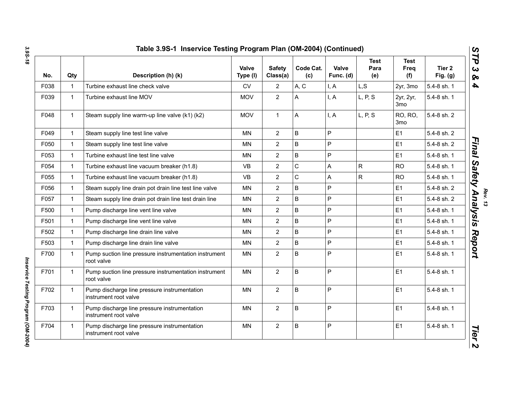| No.  | Qty          | Description (h) (k)                                                   | <b>Valve</b><br>Type (I) | <b>Safety</b><br>Class(a) | Code Cat.<br>(c) | <b>Valve</b><br>Func. (d) | <b>Test</b><br>Para<br>(e) | <b>Test</b><br>Freq<br>(f)   | Tier 2<br>Fig. $(g)$ |
|------|--------------|-----------------------------------------------------------------------|--------------------------|---------------------------|------------------|---------------------------|----------------------------|------------------------------|----------------------|
| F038 | $\mathbf 1$  | Turbine exhaust line check valve                                      | <b>CV</b>                | $\overline{2}$            | A, C             | I.A                       | L, S                       | 2yr, 3mo                     | 5.4-8 sh. 1          |
| F039 | $\mathbf{1}$ | Turbine exhaust line MOV                                              | <b>MOV</b>               | $\overline{2}$            | A                | I, A                      | L, P, S                    | 2yr, 2yr,<br>3 <sub>mo</sub> | 5.4-8 sh. 1          |
| F048 | $\mathbf{1}$ | Steam supply line warm-up line valve (k1) (k2)                        | <b>MOV</b>               | $\mathbf{1}$              | A                | I, A                      | L, P, S                    | RO, RO,<br>3 <sub>mo</sub>   | 5.4-8 sh. 2          |
| F049 | $\mathbf{1}$ | Steam supply line test line valve                                     | <b>MN</b>                | 2                         | $\sf B$          | $\mathsf{P}$              |                            | E1                           | 5.4-8 sh. 2          |
| F050 | $\mathbf 1$  | Steam supply line test line valve                                     | <b>MN</b>                | 2                         | $\sf B$          | P                         |                            | E <sub>1</sub>               | 5.4-8 sh. 2          |
| F053 | $\mathbf 1$  | Turbine exhaust line test line valve                                  | MN                       | $\overline{2}$            | $\sf B$          | $\mathsf P$               |                            | E <sub>1</sub>               | 5.4-8 sh. 1          |
| F054 | $\mathbf{1}$ | Turbine exhaust line vacuum breaker (h1.8)                            | <b>VB</b>                | $\overline{2}$            | $\mathsf{C}$     | A                         | R                          | <b>RO</b>                    | 5.4-8 sh. 1          |
| F055 | $\mathbf{1}$ | Turbine exhaust line vacuum breaker (h1.8)                            | <b>VB</b>                | $\overline{2}$            | $\mathsf{C}$     | A                         | R                          | <b>RO</b>                    | 5.4-8 sh. 1          |
| F056 | $\mathbf 1$  | Steam supply line drain pot drain line test line valve                | <b>MN</b>                | $\overline{2}$            | $\sf B$          | P                         |                            | E <sub>1</sub>               | 5.4-8 sh. 2          |
| F057 | $\mathbf 1$  | Steam supply line drain pot drain line test drain line                | MN                       | $\overline{2}$            | B                | P                         |                            | E1                           | 5.4-8 sh. 2          |
| F500 | $\mathbf{1}$ | Pump discharge line vent line valve                                   | MN                       | $\overline{2}$            | $\sf B$          | P                         |                            | E <sub>1</sub>               | 5.4-8 sh. 1          |
| F501 | $\mathbf{1}$ | Pump discharge line vent line valve                                   | <b>MN</b>                | $\overline{2}$            | $\sf B$          | $\mathsf P$               |                            | E <sub>1</sub>               | 5.4-8 sh. 1          |
| F502 | $\mathbf 1$  | Pump discharge line drain line valve                                  | <b>MN</b>                | $\overline{2}$            | $\sf B$          | P                         |                            | E <sub>1</sub>               | 5.4-8 sh. 1          |
| F503 | $\mathbf{1}$ | Pump discharge line drain line valve                                  | <b>MN</b>                | $\overline{2}$            | $\sf B$          | P                         |                            | E <sub>1</sub>               | 5.4-8 sh. 1          |
| F700 | $\mathbf{1}$ | Pump suction line pressure instrumentation instrument<br>root valve   | <b>MN</b>                | $\overline{2}$            | $\sf B$          | P                         |                            | E <sub>1</sub>               | 5.4-8 sh. 1          |
| F701 | 1            | Pump suction line pressure instrumentation instrument<br>root valve   | <b>MN</b>                | $\overline{2}$            | B                | $\mathsf{P}$              |                            | E1                           | 5.4-8 sh. 1          |
| F702 | $\mathbf{1}$ | Pump discharge line pressure instrumentation<br>instrument root valve | <b>MN</b>                | $\overline{2}$            | $\sf B$          | P                         |                            | E1                           | 5.4-8 sh. 1          |
| F703 | $\mathbf{1}$ | Pump discharge line pressure instrumentation<br>instrument root valve | <b>MN</b>                | $\overline{2}$            | B                | $\mathsf{P}$              |                            | E1                           | 5.4-8 sh. 1          |
| F704 | $\mathbf{1}$ | Pump discharge line pressure instrumentation<br>instrument root valve | MN                       | $\sqrt{2}$                | $\sf B$          | $\mathsf P$               |                            | E <sub>1</sub>               | 5.4-8 sh. 1          |

Inservice Testing Program (OM-2004) *Inservice Testing Program (OM-2004)*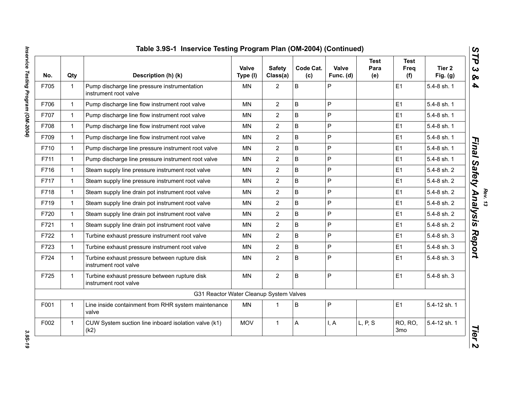| No.  | Qty          | Description (h) (k)                                                    | Valve<br>Type (I) | <b>Safety</b><br>Class(a) | Code Cat.<br>(c) | Valve<br>Func. (d) | <b>Test</b><br>Para<br>(e) | <b>Test</b><br>Freq<br>(f) | Tier 2<br>Fig. $(g)$ |
|------|--------------|------------------------------------------------------------------------|-------------------|---------------------------|------------------|--------------------|----------------------------|----------------------------|----------------------|
| F705 | $\mathbf{1}$ | Pump discharge line pressure instrumentation<br>instrument root valve  | <b>MN</b>         | $\overline{2}$            | B                | P                  |                            | E1                         | 5.4-8 sh. 1          |
| F706 | $\mathbf{1}$ | Pump discharge line flow instrument root valve                         | <b>MN</b>         | $\overline{2}$            | B                | P                  |                            | E1                         | 5.4-8 sh. 1          |
| F707 | $\mathbf{1}$ | Pump discharge line flow instrument root valve                         | MN                | $\overline{2}$            | B                | P                  |                            | E1                         | 5.4-8 sh. 1          |
| F708 | $\mathbf{1}$ | Pump discharge line flow instrument root valve                         | <b>MN</b>         | $\overline{2}$            | $\sf B$          | P                  |                            | E1                         | 5.4-8 sh. 1          |
| F709 | $\mathbf{1}$ | Pump discharge line flow instrument root valve                         | MN                | $\overline{2}$            | $\sf B$          | P                  |                            | E1                         | 5.4-8 sh. 1          |
| F710 | $\mathbf{1}$ | Pump discharge line pressure instrument root valve                     | <b>MN</b>         | $\overline{2}$            | $\sf B$          | P                  |                            | E1                         | 5.4-8 sh. 1          |
| F711 | $\mathbf{1}$ | Pump discharge line pressure instrument root valve                     | <b>MN</b>         | $\overline{2}$            | B                | P                  |                            | E1                         | 5.4-8 sh. 1          |
| F716 | $\mathbf{1}$ | Steam supply line pressure instrument root valve                       | <b>MN</b>         | $\overline{2}$            | $\sf B$          | P                  |                            | E1                         | 5.4-8 sh. 2          |
| F717 | $\mathbf{1}$ | Steam supply line pressure instrument root valve                       | <b>MN</b>         | $\overline{2}$            | $\sf B$          | P                  |                            | E1                         | 5.4-8 sh. 2          |
| F718 | $\mathbf{1}$ | Steam supply line drain pot instrument root valve                      | <b>MN</b>         | $\overline{2}$            | $\sf B$          | P                  |                            | E1                         | 5.4-8 sh. 2          |
| F719 | $\mathbf{1}$ | Steam supply line drain pot instrument root valve                      | <b>MN</b>         | $\overline{2}$            | B                | P                  |                            | E1                         | 5.4-8 sh. 2          |
| F720 | $\mathbf{1}$ | Steam supply line drain pot instrument root valve                      | <b>MN</b>         | $\overline{2}$            | B                | P                  |                            | E1                         | 5.4-8 sh. 2          |
| F721 | $\mathbf{1}$ | Steam supply line drain pot instrument root valve                      | <b>MN</b>         | $\overline{2}$            | B                | P                  |                            | E1                         | 5.4-8 sh. 2          |
| F722 | $\mathbf{1}$ | Turbine exhaust pressure instrument root valve                         | MN                | $\overline{2}$            | $\sf B$          | P                  |                            | E1                         | 5.4-8 sh. 3          |
| F723 | $\mathbf{1}$ | Turbine exhaust pressure instrument root valve                         | <b>MN</b>         | $\overline{2}$            | $\mathsf B$      | P                  |                            | E1                         | 5.4-8 sh. 3          |
| F724 | $\mathbf{1}$ | Turbine exhaust pressure between rupture disk<br>instrument root valve | <b>MN</b>         | $\overline{2}$            | B                | P                  |                            | E1                         | 5.4-8 sh. 3          |
| F725 | $\mathbf{1}$ | Turbine exhaust pressure between rupture disk<br>instrument root valve | <b>MN</b>         | $\overline{2}$            | $\sf B$          | P                  |                            | E1                         | 5.4-8 sh. 3          |
|      |              | G31 Reactor Water Cleanup System Valves                                |                   |                           |                  |                    |                            |                            |                      |
| F001 | $\mathbf{1}$ | Line inside containment from RHR system maintenance<br>valve           | <b>MN</b>         | $\mathbf 1$               | B                | P                  |                            | E1                         | 5.4-12 sh. 1         |
| F002 | $\mathbf{1}$ | CUW System suction line inboard isolation valve (k1)<br>(k2)           | <b>MOV</b>        | $\mathbf 1$               | A                | I, A               | L, P, S                    | RO, RO,<br>3 <sub>mo</sub> | 5.4-12 sh. 1         |

3.95-19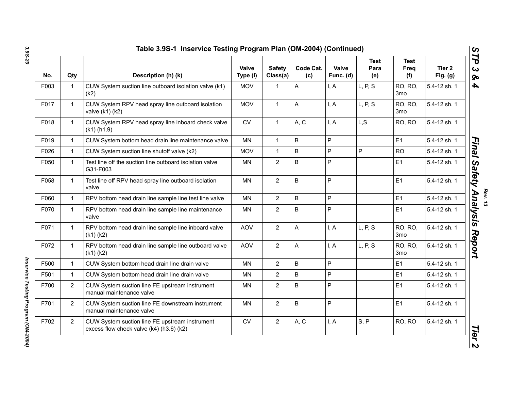| No.  | Qty            | Description (h) (k)                                                                        | Valve<br>Type (I) | <b>Safety</b><br>Class(a) | Code Cat.<br>(c) | Valve<br>Func. (d) | <b>Test</b><br>Para<br>(e) | Test<br>Freq<br>(f)        | Tier <sub>2</sub><br>Fig. $(g)$ |
|------|----------------|--------------------------------------------------------------------------------------------|-------------------|---------------------------|------------------|--------------------|----------------------------|----------------------------|---------------------------------|
| F003 | $\mathbf{1}$   | CUW System suction line outboard isolation valve (k1)<br>(k2)                              | <b>MOV</b>        | 1                         | A                | I, A               | L, P, S                    | RO, RO,<br>3 <sub>mo</sub> | 5.4-12 sh. 1                    |
| F017 | $\mathbf{1}$   | CUW System RPV head spray line outboard isolation<br>valve (k1) (k2)                       | <b>MOV</b>        | $\mathbf{1}$              | A                | I, A               | L, P, S                    | RO, RO,<br>3 <sub>mo</sub> | 5.4-12 sh. 1                    |
| F018 | $\mathbf{1}$   | CUW System RPV head spray line inboard check valve<br>$(k1)$ (h1.9)                        | <b>CV</b>         | $\mathbf{1}$              | A, C             | I, A               | L, S                       | RO, RO                     | 5.4-12 sh. 1                    |
| F019 | $\mathbf{1}$   | CUW System bottom head drain line maintenance valve                                        | <b>MN</b>         | $\mathbf{1}$              | B                | $\mathsf{P}$       |                            | E1                         | 5.4-12 sh. 1                    |
| F026 | $\mathbf{1}$   | CUW System suction line shutoff valve (k2)                                                 | <b>MOV</b>        | $\mathbf{1}$              | B                | $\overline{P}$     | P                          | <b>RO</b>                  | 5.4-12 sh. 1                    |
| F050 | $\mathbf{1}$   | Test line off the suction line outboard isolation valve<br>G31-F003                        | <b>MN</b>         | $\overline{2}$            | B                | $\mathsf{P}$       |                            | E1                         | 5.4-12 sh. 1                    |
| F058 | $\mathbf{1}$   | Test line off RPV head spray line outboard isolation<br>valve                              | <b>MN</b>         | $\overline{2}$            | B                | $\mathsf{P}$       |                            | E1                         | 5.4-12 sh. 1                    |
| F060 | $\mathbf{1}$   | RPV bottom head drain line sample line test line valve                                     | <b>MN</b>         | $\overline{2}$            | B                | P                  |                            | E1                         | 5.4-12 sh. 1                    |
| F070 | $\mathbf{1}$   | RPV bottom head drain line sample line maintenance<br>valve                                | <b>MN</b>         | $\overline{2}$            | B                | P                  |                            | E1                         | 5.4-12 sh. 1                    |
| F071 | $\mathbf{1}$   | RPV bottom head drain line sample line inboard valve<br>$(k1)$ $(k2)$                      | <b>AOV</b>        | $\overline{2}$            | A                | I, A               | L, P, S                    | RO, RO,<br>3 <sub>mo</sub> | 5.4-12 sh. 1                    |
| F072 | $\mathbf{1}$   | RPV bottom head drain line sample line outboard valve<br>$(k1)$ $(k2)$                     | <b>AOV</b>        | $\overline{2}$            | A                | I, A               | L, P, S                    | RO, RO,<br>3 <sub>mo</sub> | 5.4-12 sh. 1                    |
| F500 | $\mathbf{1}$   | CUW System bottom head drain line drain valve                                              | <b>MN</b>         | $\overline{2}$            | $\sf B$          | $\mathsf{P}$       |                            | E1                         | 5.4-12 sh. 1                    |
| F501 | $\mathbf{1}$   | CUW System bottom head drain line drain valve                                              | <b>MN</b>         | $\overline{2}$            | B                | $\mathsf{P}$       |                            | E1                         | 5.4-12 sh. 1                    |
| F700 | 2              | CUW System suction line FE upstream instrument<br>manual maintenance valve                 | MN                | $\overline{2}$            | B                | $\mathsf P$        |                            | E <sub>1</sub>             | 5.4-12 sh. 1                    |
| F701 | $\overline{2}$ | CUW System suction line FE downstream instrument<br>manual maintenance valve               | <b>MN</b>         | $\overline{2}$            | B                | P                  |                            | E1                         | 5.4-12 sh. 1                    |
| F702 | $\overline{2}$ | CUW System suction line FE upstream instrument<br>excess flow check valve (k4) (h3.6) (k2) | <b>CV</b>         | $\overline{2}$            | A, C             | I, A               | S, P                       | RO, RO                     | 5.4-12 sh. 1                    |

Inservice Testing Program (OM-2004) *Inservice Testing Program (OM-2004)*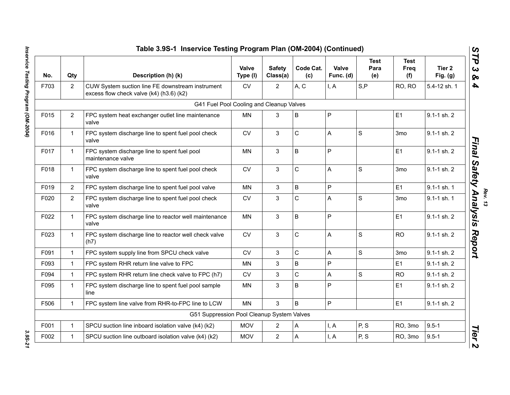| No.  | Qty            | Description (h) (k)                                                                          | Valve<br>Type (I) | <b>Safety</b><br>Class(a) | Code Cat.<br>(c) | Valve<br>Func. (d) | <b>Test</b><br>Para<br>(e) | <b>Test</b><br><b>Freq</b><br>(f) | Tier <sub>2</sub><br>Fig. $(g)$ |
|------|----------------|----------------------------------------------------------------------------------------------|-------------------|---------------------------|------------------|--------------------|----------------------------|-----------------------------------|---------------------------------|
| F703 | $\overline{2}$ | CUW System suction line FE downstream instrument<br>excess flow check valve (k4) (h3.6) (k2) | CV                | $\overline{2}$            | A, C             | I, A               | S, P                       | RO, RO                            | 5.4-12 sh. 1                    |
|      |                | G41 Fuel Pool Cooling and Cleanup Valves                                                     |                   |                           |                  |                    |                            |                                   |                                 |
| F015 | $\overline{2}$ | FPC system heat exchanger outlet line maintenance<br>valve                                   | MN                | 3                         | B                | P                  |                            | E1                                | 9.1-1 sh. 2                     |
| F016 |                | FPC system discharge line to spent fuel pool check<br>valve                                  | <b>CV</b>         | 3                         | $\mathsf C$      | Α                  | $\mathbf S$                | 3 <sub>mo</sub>                   | $9.1 - 1$ sh. $2$               |
| F017 |                | FPC system discharge line to spent fuel pool<br>maintenance valve                            | MN                | 3                         | B                | P                  |                            | E1                                | 9.1-1 sh. 2                     |
| F018 |                | FPC system discharge line to spent fuel pool check<br>valve                                  | <b>CV</b>         | 3                         | $\mathsf C$      | A                  | $\mathsf{s}$               | 3 <sub>mo</sub>                   | 9.1-1 sh. 2                     |
| F019 | $\overline{2}$ | FPC system discharge line to spent fuel pool valve                                           | <b>MN</b>         | 3                         | B                | P                  |                            | E1                                | $9.1 - 1$ sh. 1                 |
| F020 | $\overline{2}$ | FPC system discharge line to spent fuel pool check<br>valve                                  | ${\sf CV}$        | 3                         | $\mathsf C$      | Α                  | $\mathbf S$                | 3 <sub>mo</sub>                   | 9.1-1 sh. 1                     |
| F022 |                | FPC system discharge line to reactor well maintenance<br>valve                               | MN                | 3                         | B                | P                  |                            | E1                                | 9.1-1 sh. 2                     |
| F023 |                | FPC system discharge line to reactor well check valve<br>(h7)                                | <b>CV</b>         | 3 <sup>1</sup>            | $\mathsf C$      | A                  | $\mathsf S$                | <b>RO</b>                         | 9.1-1 sh. 2                     |
| F091 |                | FPC system supply line from SPCU check valve                                                 | <b>CV</b>         | 3                         | $\mathsf C$      | A                  | $\mathsf S$                | 3 <sub>mo</sub>                   | $9.1 - 1$ sh. $2$               |
| F093 | $\mathbf{1}$   | FPC system RHR return line valve to FPC                                                      | <b>MN</b>         | 3                         | $\sf B$          | P                  |                            | E1                                | 9.1-1 sh. 2                     |
| F094 | $\mathbf{1}$   | FPC system RHR return line check valve to FPC (h7)                                           | <b>CV</b>         | 3                         | $\mathsf C$      | A                  | $\mathsf{s}$               | <b>RO</b>                         | $9.1 - 1$ sh. $2$               |
| F095 | 1              | FPC system discharge line to spent fuel pool sample<br>line                                  | <b>MN</b>         | 3                         | B                | P                  |                            | E1                                | $9.1 - 1$ sh. $2$               |
| F506 |                | FPC system line valve from RHR-to-FPC line to LCW                                            | <b>MN</b>         | 3                         | B                | P                  |                            | E1                                | 9.1-1 sh. 2                     |
|      |                | G51 Suppression Pool Cleanup System Valves                                                   |                   |                           |                  |                    |                            |                                   |                                 |
| F001 |                | SPCU suction line inboard isolation valve (k4) (k2)                                          | <b>MOV</b>        | $\mathbf{2}^{\prime}$     | A                | I, A               | P, S                       | RO, 3mo                           | $9.5 - 1$                       |
| F002 |                | SPCU suction line outboard isolation valve (k4) (k2)                                         | <b>MOV</b>        | $\overline{2}$            | A                | I, A               | P, S                       | RO, 3mo                           | $9.5 - 1$                       |

Inservice Testing Program (OM-2004) *Inservice Testing Program (OM-2004) 3.9S-21*

3.95-21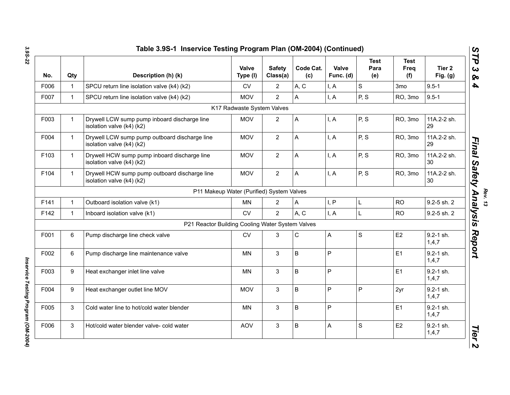| No.  | Qty          | Description (h) (k)                                                        | Valve<br>Type (I)                         | <b>Safety</b><br>Class(a) | Code Cat.<br>(c) | Valve<br>Func. (d) | <b>Test</b><br>Para<br>(e) | <b>Test</b><br>Freq<br>(f) | Tier <sub>2</sub><br>Fig. $(g)$ |
|------|--------------|----------------------------------------------------------------------------|-------------------------------------------|---------------------------|------------------|--------------------|----------------------------|----------------------------|---------------------------------|
| F006 | $\mathbf 1$  | SPCU return line isolation valve (k4) (k2)                                 | <b>CV</b>                                 | $\overline{2}$            | A, C             | I, A               | S                          | 3 <sub>mo</sub>            | $9.5 - 1$                       |
| F007 | $\mathbf{1}$ | SPCU return line isolation valve (k4) (k2)                                 | <b>MOV</b>                                | $\overline{2}$            | A                | I, A               | P, S                       | RO, 3mo                    | $9.5 - 1$                       |
|      |              |                                                                            | K17 Radwaste System Valves                |                           |                  |                    |                            |                            |                                 |
| F003 | 1            | Drywell LCW sump pump inboard discharge line<br>isolation valve (k4) (k2)  | <b>MOV</b>                                | $\overline{2}$            | A                | I, A               | P, S                       | RO, 3mo                    | 11A.2-2 sh.<br>29               |
| F004 | $\mathbf{1}$ | Drywell LCW sump pump outboard discharge line<br>isolation valve (k4) (k2) | <b>MOV</b>                                | $\overline{2}$            | A                | I, A               | P, S                       | RO, 3mo                    | 11A.2-2 sh.<br>29               |
| F103 | $\mathbf{1}$ | Drywell HCW sump pump inboard discharge line<br>isolation valve (k4) (k2)  | <b>MOV</b>                                | $\overline{2}$            | A                | I, A               | P, S                       | RO, 3mo                    | 11A.2-2 sh.<br>30               |
| F104 | $\mathbf 1$  | Drywell HCW sump pump outboard discharge line<br>isolation valve (k4) (k2) | <b>MOV</b>                                | $\overline{2}$            | A                | I, A               | P, S                       | RO, 3mo                    | 11A.2-2 sh.<br>30               |
|      |              |                                                                            | P11 Makeup Water (Purified) System Valves |                           |                  |                    |                            |                            |                                 |
| F141 | $\mathbf{1}$ | Outboard isolation valve (k1)                                              | <b>MN</b>                                 | $\overline{2}$            | A                | I, P               | L                          | <b>RO</b>                  | 9.2-5 sh. 2                     |
| F142 | $\mathbf{1}$ | Inboard isolation valve (k1)                                               | <b>CV</b>                                 | $\overline{2}$            | A, C             | I, A               | L                          | <b>RO</b>                  | 9.2-5 sh. 2                     |
|      |              | P21 Reactor Building Cooling Water System Valves                           |                                           |                           |                  |                    |                            |                            |                                 |
| F001 | 6            | Pump discharge line check valve                                            | <b>CV</b>                                 | 3                         | $\mathsf C$      | A                  | S                          | E <sub>2</sub>             | $9.2 - 1$ sh.<br>1,4,7          |
| F002 | 6            | Pump discharge line maintenance valve                                      | <b>MN</b>                                 | $\mathbf{3}$              | B                | $\mathsf P$        |                            | E1                         | 9.2-1 sh.<br>1,4,7              |
| F003 | 9            | Heat exchanger inlet line valve                                            | MN                                        | $\mathbf{3}$              | B                | P                  |                            | E1                         | $9.2 - 1$ sh.<br>1,4,7          |
| F004 | 9            | Heat exchanger outlet line MOV                                             | <b>MOV</b>                                | 3                         | B                | P                  | P                          | 2yr                        | 9.2-1 sh.<br>1,4,7              |
| F005 | 3            | Cold water line to hot/cold water blender                                  | MN                                        | 3                         | B                | P                  |                            | E1                         | $9.2 - 1$ sh.<br>1,4,7          |
| F006 | 3            | Hot/cold water blender valve- cold water                                   | <b>AOV</b>                                | 3                         | B                | A                  | S                          | E <sub>2</sub>             | 9.2-1 sh.<br>1,4,7              |

Inservice Testing Program (OM-2004) *Inservice Testing Program (OM-2004)* 

Rev. 13<br>Rev. 13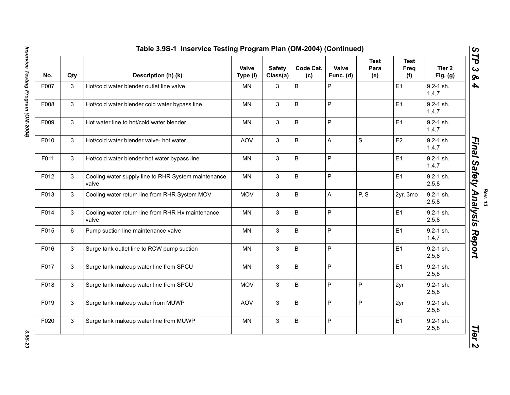| No.  | Qty          | Description (h) (k)                                          | Valve<br>Type (I) | <b>Safety</b><br>Class(a) | Code Cat.<br>(c) | Valve<br>Func. (d)        | <b>Test</b><br>Para<br>(e) | <b>Test</b><br>Freq<br>(f) | Tier <sub>2</sub><br>Fig. $(g)$ |
|------|--------------|--------------------------------------------------------------|-------------------|---------------------------|------------------|---------------------------|----------------------------|----------------------------|---------------------------------|
| F007 | 3            | Hot/cold water blender outlet line valve                     | <b>MN</b>         | 3                         | B                | P                         |                            | E1                         | 9.2-1 sh.<br>1,4,7              |
| F008 | 3            | Hot/cold water blender cold water bypass line                | MN                | $\mathbf{3}$              | B                | $\overline{P}$            |                            | E1                         | $9.2 - 1$ sh.<br>1,4,7          |
| F009 | 3            | Hot water line to hot/cold water blender                     | <b>MN</b>         | 3                         | B                | $\mathsf{P}$              |                            | E1                         | $9.2 - 1$ sh.<br>1,4,7          |
| F010 | 3            | Hot/cold water blender valve- hot water                      | <b>AOV</b>        | 3                         | B                | $\boldsymbol{\mathsf{A}}$ | $\mathbf S$                | E <sub>2</sub>             | 9.2-1 sh.<br>1,4,7              |
| F011 | 3            | Hot/cold water blender hot water bypass line                 | <b>MN</b>         | $\mathbf{3}$              | B                | $\mathsf{P}$              |                            | E1                         | $9.2 - 1$ sh.<br>1,4,7          |
| F012 | 3            | Cooling water supply line to RHR System maintenance<br>valve | <b>MN</b>         | $\mathbf{3}$              | B                | $\mathsf{P}$              |                            | E1                         | $9.2 - 1$ sh.<br>2,5,8          |
| F013 | 3            | Cooling water return line from RHR System MOV                | <b>MOV</b>        | 3                         | B                | A                         | P, S                       | 2yr, 3mo                   | $9.2 - 1$ sh.<br>2,5,8          |
| F014 | 3            | Cooling water return line from RHR Hx maintenance<br>valve   | <b>MN</b>         | $\mathbf{3}$              | B                | $\mathsf{P}$              |                            | E1                         | $9.2 - 1$ sh.<br>2,5,8          |
| F015 | 6            | Pump suction line maintenance valve                          | MN                | 3                         | B                | P                         |                            | E1                         | $9.2 - 1$ sh.<br>1,4,7          |
| F016 | 3            | Surge tank outlet line to RCW pump suction                   | <b>MN</b>         | 3                         | B                | P                         |                            | E1                         | $9.2 - 1$ sh.<br>2,5,8          |
| F017 | $\mathbf{3}$ | Surge tank makeup water line from SPCU                       | <b>MN</b>         | 3                         | B                | P                         |                            | E1                         | $9.2 - 1$ sh.<br>2,5,8          |
| F018 | 3            | Surge tank makeup water line from SPCU                       | <b>MOV</b>        | 3                         | B                | P                         | P                          | 2yr                        | $9.2 - 1$ sh.<br>2,5,8          |
| F019 | 3            | Surge tank makeup water from MUWP                            | AOV               | 3                         | B                | P                         | $\mathsf{P}$               | 2yr                        | 9.2-1 sh.<br>2,5,8              |
| F020 | 3            | Surge tank makeup water line from MUWP                       | <b>MN</b>         | 3                         | B                | P                         |                            | E1                         | $9.2 - 1$ sh.<br>2,5,8          |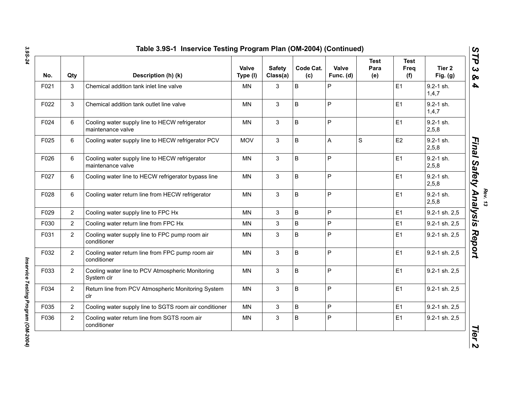| No.  | Qty            | Description (h) (k)                                                 | <b>Valve</b><br>Type (I) | <b>Safety</b><br>Class(a) | Code Cat.<br>(c) | Valve<br>Func. (d) | <b>Test</b><br>Para<br>(e) | <b>Test</b><br>Freq<br>(f) | Tier <sub>2</sub><br>Fig. $(g)$ |
|------|----------------|---------------------------------------------------------------------|--------------------------|---------------------------|------------------|--------------------|----------------------------|----------------------------|---------------------------------|
| F021 | 3              | Chemical addition tank inlet line valve                             | <b>MN</b>                | 3                         | B                | P                  |                            | E1                         | $9.2 - 1$ sh.<br>1,4,7          |
| F022 | 3              | Chemical addition tank outlet line valve                            | <b>MN</b>                | $\mathbf{3}$              | B                | $\mathsf P$        |                            | E <sub>1</sub>             | $9.2 - 1$ sh.<br>1,4,7          |
| F024 | 6              | Cooling water supply line to HECW refrigerator<br>maintenance valve | <b>MN</b>                | $\mathbf{3}$              | B                | $\mathsf P$        |                            | E1                         | $9.2 - 1$ sh.<br>2,5,8          |
| F025 | 6              | Cooling water supply line to HECW refrigerator PCV                  | <b>MOV</b>               | 3                         | B                | A                  | S                          | E2                         | $9.2 - 1$ sh.<br>2,5,8          |
| F026 | 6              | Cooling water supply line to HECW refrigerator<br>maintenance valve | <b>MN</b>                | $\mathbf{3}$              | B                | $\mathsf{P}$       |                            | E1                         | $9.2 - 1$ sh.<br>2,5,8          |
| F027 | 6              | Cooling water line to HECW refrigerator bypass line                 | <b>MN</b>                | $\mathbf{3}$              | B                | $\mathsf{P}$       |                            | E1                         | $9.2 - 1$ sh.<br>2,5,8          |
| F028 | 6              | Cooling water return line from HECW refrigerator                    | <b>MN</b>                | 3                         | B                | $\mathsf{P}$       |                            | E1                         | $9.2 - 1$ sh.<br>2,5,8          |
| F029 | $\overline{2}$ | Cooling water supply line to FPC Hx                                 | <b>MN</b>                | 3                         | B                | P                  |                            | E <sub>1</sub>             | 9.2-1 sh. 2,5                   |
| F030 | $\overline{2}$ | Cooling water return line from FPC Hx                               | <b>MN</b>                | 3                         | B                | P                  |                            | E <sub>1</sub>             | 9.2-1 sh. 2,5                   |
| F031 | $\overline{2}$ | Cooling water supply line to FPC pump room air<br>conditioner       | <b>MN</b>                | $\mathbf{3}$              | B                | P                  |                            | E1                         | 9.2-1 sh. 2,5                   |
| F032 | $\overline{2}$ | Cooling water return line from FPC pump room air<br>conditioner     | <b>MN</b>                | $\mathbf{3}$              | B                | P                  |                            | E1                         | 9.2-1 sh. 2,5                   |
| F033 | $\overline{2}$ | Cooling water line to PCV Atmospheric Monitoring<br>System clr      | <b>MN</b>                | $\mathbf{3}$              | B                | $\mathsf{P}$       |                            | E1                         | 9.2-1 sh. 2,5                   |
| F034 | $\overline{2}$ | Return line from PCV Atmospheric Monitoring System<br>clr           | <b>MN</b>                | $\mathbf{3}$              | B                | P                  |                            | E1                         | 9.2-1 sh. 2,5                   |
| F035 | $\overline{2}$ | Cooling water supply line to SGTS room air conditioner              | <b>MN</b>                | 3                         | B                | $\mathsf P$        |                            | E <sub>1</sub>             | 9.2-1 sh. 2,5                   |
| F036 | $\overline{2}$ | Cooling water return line from SGTS room air<br>conditioner         | MN                       | 3                         | $\sf B$          | P                  |                            | E1                         | 9.2-1 sh. 2,5                   |

Inservice Testing Program (OM-2004) *Inservice Testing Program (OM-2004)*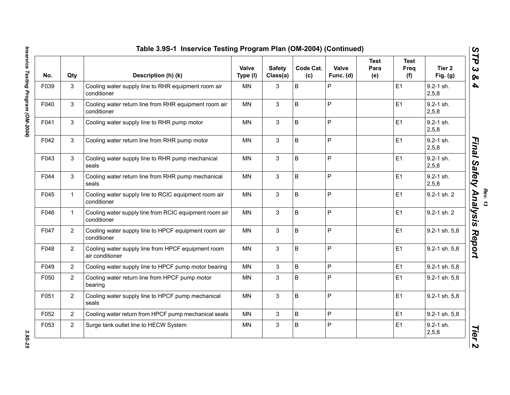| No.  | Qty            | Description (h) (k)                                                   | Valve<br>Type (I) | <b>Safety</b><br>Class(a) | Code Cat.<br>(c) | Valve<br>Func. (d) | <b>Test</b><br>Para<br>(e) | Test<br>Freq<br>(f) | Tier <sub>2</sub><br>Fig. $(g)$ |
|------|----------------|-----------------------------------------------------------------------|-------------------|---------------------------|------------------|--------------------|----------------------------|---------------------|---------------------------------|
| F039 | 3              | Cooling water supply line to RHR equipment room air<br>conditioner    | <b>MN</b>         | 3                         | B                | P                  |                            | E1                  | $9.2 - 1$ sh.<br>2,5,8          |
| F040 | 3              | Cooling water return line from RHR equipment room air<br>conditioner  | <b>MN</b>         | $\mathbf{3}$              | B                | P                  |                            | E1                  | $9.2 - 1$ sh.<br>2,5,8          |
| F041 | 3              | Cooling water supply line to RHR pump motor                           | <b>MN</b>         | 3                         | B                | $\overline{P}$     |                            | E1                  | $9.2 - 1$ sh.<br>2,5,8          |
| F042 | 3              | Cooling water return line from RHR pump motor                         | MN                | 3                         | B                | $\mathsf{P}$       |                            | E <sub>1</sub>      | 9.2-1 sh.<br>2,5,8              |
| F043 | 3              | Cooling water supply line to RHR pump mechanical<br>seals             | MN                | 3                         | B                | $\mathsf{P}$       |                            | E1                  | 9.2-1 sh.<br>2,5,8              |
| F044 | 3              | Cooling water return line from RHR pump mechanical<br>seals           | MN                | 3                         | B                | $\mathsf{P}$       |                            | E <sub>1</sub>      | $9.2 - 1$ sh.<br>2,5,8          |
| F045 | $\mathbf{1}$   | Cooling water supply line to RCIC equipment room air<br>conditioner   | <b>MN</b>         | 3                         | B                | P                  |                            | E1                  | 9.2-1 sh. 2                     |
| F046 | $\mathbf{1}$   | Cooling water supply line from RCIC equipment room air<br>conditioner | <b>MN</b>         | 3                         | B                | $\mathsf{P}$       |                            | E1                  | 9.2-1 sh. 2                     |
| F047 | $\overline{2}$ | Cooling water supply line to HPCF equipment room air<br>conditioner   | MN                | 3                         | B                | P                  |                            | E1                  | 9.2-1 sh. 5,8                   |
| F048 | $\overline{2}$ | Cooling water supply line from HPCF equipment room<br>air conditioner | MN                | 3                         | B                | P                  |                            | E1                  | 9.2-1 sh. 5,8                   |
| F049 | $\overline{2}$ | Cooling water supply line to HPCF pump motor bearing                  | <b>MN</b>         | 3                         | B                | P                  |                            | E1                  | 9.2-1 sh. 5,8                   |
| F050 | $\overline{2}$ | Cooling water return line from HPCF pump motor<br>bearing             | MN                | 3                         | B                | P                  |                            | E <sub>1</sub>      | 9.2-1 sh. 5,8                   |
| F051 | $\overline{2}$ | Cooling water supply line to HPCF pump mechanical<br>seals            | <b>MN</b>         | 3                         | B                | P                  |                            | E1                  | 9.2-1 sh. 5,8                   |
| F052 | $\overline{2}$ | Cooling water return from HPCF pump mechanical seals                  | MN                | 3                         | B                | $\mathsf{P}$       |                            | E <sub>1</sub>      | 9.2-1 sh. 5,8                   |
| F053 | $\overline{2}$ | Surge tank outlet line to HECW System                                 | MN                | 3                         | B                | P                  |                            | E <sub>1</sub>      | 9.2-1 sh.<br>2,5,8              |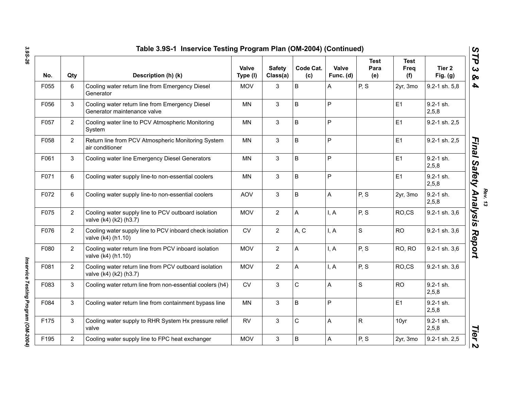| No.  | Qty            | Description (h) (k)                                                             | Valve<br>Type (I) | <b>Safety</b><br>Class(a) | Code Cat.<br>(c) | Valve<br>Func. (d) | <b>Test</b><br>Para<br>(e) | <b>Test</b><br>Freq<br>(f) | Tier <sub>2</sub><br>Fig. $(g)$ |
|------|----------------|---------------------------------------------------------------------------------|-------------------|---------------------------|------------------|--------------------|----------------------------|----------------------------|---------------------------------|
| F055 | 6              | Cooling water return line from Emergency Diesel<br>Generator                    | <b>MOV</b>        | 3                         | B                | Α                  | P, S                       | 2yr, 3mo                   | 9.2-1 sh. 5,8                   |
| F056 | 3              | Cooling water return line from Emergency Diesel<br>Generator maintenance valve  | MN                | 3                         | B                | P                  |                            | E1                         | $9.2 - 1$ sh.<br>2,5,8          |
| F057 | $\overline{2}$ | Cooling water line to PCV Atmospheric Monitoring<br>System                      | <b>MN</b>         | 3                         | B                | P                  |                            | E1                         | 9.2-1 sh. 2,5                   |
| F058 | $\overline{2}$ | Return line from PCV Atmospheric Monitoring System<br>air conditioner           | MN                | 3                         | B                | P                  |                            | E1                         | 9.2-1 sh. 2,5                   |
| F061 | 3              | Cooling water line Emergency Diesel Generators                                  | MN                | 3                         | B                | P                  |                            | E1                         | 9.2-1 sh.<br>2,5,8              |
| F071 | 6              | Cooling water supply line-to non-essential coolers                              | MN                | 3                         | B                | P                  |                            | E1                         | $9.2 - 1$ sh.<br>2,5,8          |
| F072 | 6              | Cooling water supply line-to non-essential coolers                              | <b>AOV</b>        | 3                         | B                | A                  | P, S                       | 2yr, 3mo                   | 9.2-1 sh.<br>2,5,8              |
| F075 | $\overline{2}$ | Cooling water supply line to PCV outboard isolation<br>valve (k4) (k2) (h3.7)   | <b>MOV</b>        | $\overline{2}$            | A                | I, A               | P, S                       | RO,CS                      | 9.2-1 sh. 3,6                   |
| F076 | $\overline{2}$ | Cooling water supply line to PCV inboard check isolation<br>valve (k4) (h1.10)  | <b>CV</b>         | $\overline{2}$            | A, C             | I, A               | S                          | <b>RO</b>                  | 9.2-1 sh. 3,6                   |
| F080 | $\overline{2}$ | Cooling water return line from PCV inboard isolation<br>valve (k4) (h1.10)      | <b>MOV</b>        | $\overline{2}$            | A                | I, A               | P, S                       | RO, RO                     | 9.2-1 sh. 3,6                   |
| F081 | $\overline{2}$ | Cooling water return line from PCV outboard isolation<br>valve (k4) (k2) (h3.7) | <b>MOV</b>        | $\overline{2}$            | A                | I, A               | P, S                       | RO,CS                      | 9.2-1 sh. 3,6                   |
| F083 | 3              | Cooling water return line from non-essential coolers (h4)                       | <b>CV</b>         | 3                         | $\mathsf{C}$     | A                  | S                          | <b>RO</b>                  | $9.2 - 1$ sh.<br>2,5,8          |
| F084 | 3              | Cooling water return line from containment bypass line                          | <b>MN</b>         | 3                         | B                | P                  |                            | E1                         | $9.2 - 1$ sh.<br>2,5,8          |
| F175 | 3              | Cooling water supply to RHR System Hx pressure relief<br>valve                  | <b>RV</b>         | 3                         | $\mathsf{C}$     | Α                  | R                          | 10yr                       | $9.2 - 1$ sh.<br>2,5,8          |
| F195 | $\overline{2}$ | Cooling water supply line to FPC heat exchanger                                 | <b>MOV</b>        | 3                         | B                | A                  | P, S                       | 2yr, 3mo                   | 9.2-1 sh. 2,5                   |

Inservice Testing Program (OM-2004) *Inservice Testing Program (OM-2004)*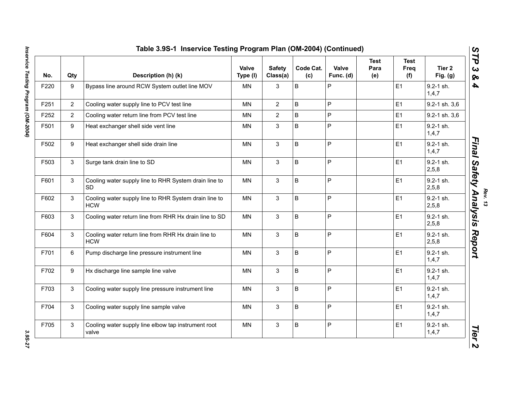| No.  | Qty            | Description (h) (k)                                                 | Valve<br>Type (I) | <b>Safety</b><br>Class(a) | Code Cat.<br>(c) | Valve<br>Func. (d) | <b>Test</b><br>Para<br>(e) | <b>Test</b><br>Freq<br>(f) | Tier <sub>2</sub><br>Fig. $(g)$ |
|------|----------------|---------------------------------------------------------------------|-------------------|---------------------------|------------------|--------------------|----------------------------|----------------------------|---------------------------------|
| F220 | 9              | Bypass line around RCW System outlet line MOV                       | <b>MN</b>         | 3                         | B                | P                  |                            | E1                         | $9.2 - 1$ sh.<br>1, 4, 7        |
| F251 | $\overline{2}$ | Cooling water supply line to PCV test line                          | <b>MN</b>         | $\overline{2}$            | B                | P                  |                            | E1                         | 9.2-1 sh. 3,6                   |
| F252 | $\overline{2}$ | Cooling water return line from PCV test line                        | ΜN                | $\overline{2}$            | $\sf B$          | P                  |                            | E1                         | 9.2-1 sh. 3,6                   |
| F501 | 9              | Heat exchanger shell side vent line                                 | MN                | $\mathbf{3}$              | B                | P                  |                            | E1                         | $9.2 - 1$ sh.<br>1, 4, 7        |
| F502 | 9              | Heat exchanger shell side drain line                                | <b>MN</b>         | $\mathfrak{S}$            | $\sf B$          | P                  |                            | E1                         | 9.2-1 sh.<br>1, 4, 7            |
| F503 | 3              | Surge tank drain line to SD                                         | <b>MN</b>         | $\mathbf{3}$              | $\overline{B}$   | P                  |                            | E1                         | $9.2 - 1$ sh.<br>2, 5, 8        |
| F601 | 3              | Cooling water supply line to RHR System drain line to<br><b>SD</b>  | MN                | $\mathfrak{S}$            | $\sf B$          | P                  |                            | E1                         | 9.2-1 sh.<br>2,5,8              |
| F602 | 3              | Cooling water supply line to RHR System drain line to<br><b>HCW</b> | MN                | $\mathfrak{S}$            | B                | P                  |                            | E1                         | 9.2-1 sh.<br>2,5,8              |
| F603 | 3              | Cooling water return line from RHR Hx drain line to SD              | MN                | $\mathfrak{S}$            | B                | P                  |                            | E1                         | 9.2-1 sh.<br>2,5,8              |
| F604 | 3              | Cooling water return line from RHR Hx drain line to<br><b>HCW</b>   | <b>MN</b>         | $\mathbf{3}$              | $\sf B$          | P                  |                            | E1                         | $9.2 - 1$ sh.<br>2,5,8          |
| F701 | 6              | Pump discharge line pressure instrument line                        | MN                | $\mathbf{3}$              | B                | P                  |                            | E1                         | $9.2 - 1$ sh.<br>1,4,7          |
| F702 | 9              | Hx discharge line sample line valve                                 | <b>MN</b>         | $\mathbf{3}$              | B                | P                  |                            | E1                         | $9.2 - 1$ sh.<br>1,4,7          |
| F703 | 3              | Cooling water supply line pressure instrument line                  | <b>MN</b>         | 3                         | B                | P                  |                            | E1                         | $9.2 - 1$ sh.<br>1,4,7          |
| F704 | 3              | Cooling water supply line sample valve                              | <b>MN</b>         | 3                         | B                | P                  |                            | E1                         | $9.2 - 1$ sh.<br>1,4,7          |
| F705 | 3              | Cooling water supply line elbow tap instrument root<br>valve        | MN                | $\mathbf{3}$              | $\sf B$          | P                  |                            | E1                         | 9.2-1 sh.<br>1,4,7              |

3.95-27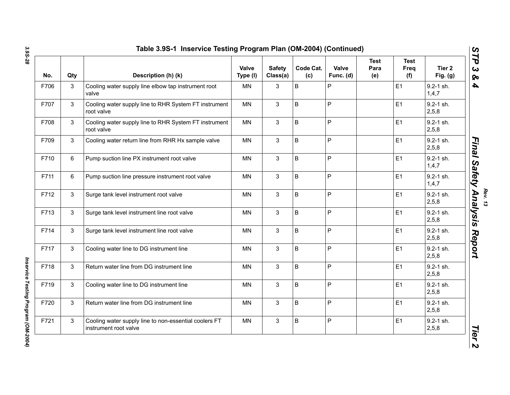| No.  | Qty            | Description (h) (k)                                                            | Valve<br>Type (I) | <b>Safety</b><br>Class(a) | Code Cat.<br>(c) | Valve<br>Func. (d) | <b>Test</b><br>Para<br>(e) | <b>Test</b><br>Freq<br>(f) | Tier <sub>2</sub><br>Fig. $(g)$ |
|------|----------------|--------------------------------------------------------------------------------|-------------------|---------------------------|------------------|--------------------|----------------------------|----------------------------|---------------------------------|
| F706 | 3              | Cooling water supply line elbow tap instrument root<br>valve                   | <b>MN</b>         | 3                         | $\sf B$          | P                  |                            | E1                         | $9.2 - 1$ sh.<br>1, 4, 7        |
| F707 | 3              | Cooling water supply line to RHR System FT instrument<br>root valve            | <b>MN</b>         | $\mathfrak{S}$            | $\sf B$          | P                  |                            | E1                         | $9.2 - 1$ sh.<br>2,5,8          |
| F708 | 3              | Cooling water supply line to RHR System FT instrument<br>root valve            | <b>MN</b>         | 3                         | B                | P                  |                            | E1                         | $9.2 - 1$ sh.<br>2,5,8          |
| F709 | 3              | Cooling water return line from RHR Hx sample valve                             | <b>MN</b>         | 3                         | $\sf B$          | P                  |                            | E1                         | $9.2 - 1$ sh.<br>2,5,8          |
| F710 | 6              | Pump suction line PX instrument root valve                                     | <b>MN</b>         | 3                         | $\sf B$          | P                  |                            | E1                         | $9.2 - 1$ sh.<br>1,4,7          |
| F711 | 6              | Pump suction line pressure instrument root valve                               | <b>MN</b>         | 3                         | $\sf B$          | P                  |                            | E1                         | $9.2 - 1$ sh.<br>1,4,7          |
| F712 | 3              | Surge tank level instrument root valve                                         | MN                | 3                         | B                | P                  |                            | E1                         | $9.2 - 1$ sh.<br>2,5,8          |
| F713 | 3              | Surge tank level instrument line root valve                                    | MN                | 3                         | B                | P                  |                            | E1                         | $9.2 - 1$ sh.<br>2,5,8          |
| F714 | 3              | Surge tank level instrument line root valve                                    | <b>MN</b>         | 3                         | B                | P                  |                            | E1                         | $9.2 - 1$ sh.<br>2,5,8          |
| F717 | 3              | Cooling water line to DG instrument line                                       | MN                | $\mathfrak{S}$            | B                | P                  |                            | E1                         | $9.2 - 1$ sh.<br>2,5,8          |
| F718 | 3              | Return water line from DG instrument line                                      | <b>MN</b>         | 3                         | B                | P                  |                            | E1                         | $9.2 - 1$ sh.<br>2,5,8          |
| F719 | 3              | Cooling water line to DG instrument line                                       | <b>MN</b>         | 3                         | B                | P                  |                            | E1                         | $9.2 - 1$ sh.<br>2,5,8          |
| F720 | $\mathfrak{S}$ | Return water line from DG instrument line                                      | <b>MN</b>         | 3                         | B                | P                  |                            | E1                         | $9.2 - 1$ sh.<br>2,5,8          |
| F721 | 3              | Cooling water supply line to non-essential coolers FT<br>instrument root valve | <b>MN</b>         | 3                         | B                | P                  |                            | E1                         | $9.2 - 1$ sh.<br>2, 5, 8        |

Inservice Testing Program (OM-2004) *Inservice Testing Program (OM-2004)*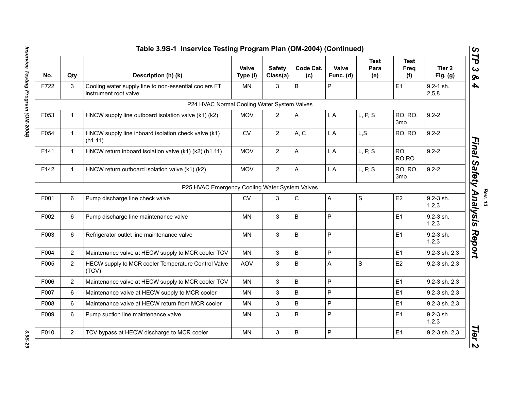| No.  | Qty            | Description (h) (k)                                                            | Valve<br>Type (I) | <b>Safety</b><br>Class(a) | Code Cat.<br>(c) | Valve<br>Func. (d) | <b>Test</b><br>Para<br>(e) | <b>Test</b><br>Freq<br>(f) | Tier <sub>2</sub><br>Fig. $(g)$ |
|------|----------------|--------------------------------------------------------------------------------|-------------------|---------------------------|------------------|--------------------|----------------------------|----------------------------|---------------------------------|
| F722 | 3              | Cooling water supply line to non-essential coolers FT<br>instrument root valve | <b>MN</b>         | 3                         | $\mathsf B$      | P                  |                            | E1                         | 9.2-1 sh.<br>2,5,8              |
|      |                | P24 HVAC Normal Cooling Water System Valves                                    |                   |                           |                  |                    |                            |                            |                                 |
| F053 | $\mathbf{1}$   | HNCW supply line outboard isolation valve (k1) (k2)                            | <b>MOV</b>        | 2                         | A                | I, A               | L, P, S                    | RO, RO,<br>3 <sub>mo</sub> | $9.2 - 2$                       |
| F054 | $\mathbf{1}$   | HNCW supply line inboard isolation check valve (k1)<br>(h1.11)                 | ${\sf CV}$        | $\overline{2}$            | A, C             | I, A               | L, S                       | RO, RO                     | $9.2 - 2$                       |
| F141 | $\mathbf{1}$   | HNCW return inboard isolation valve (k1) (k2) (h1.11)                          | <b>MOV</b>        | $\overline{2}$            | A                | I, A               | L, P, S                    | RO,<br>RO,RO               | $9.2 - 2$                       |
| F142 | $\mathbf{1}$   | HNCW return outboard isolation valve (k1) (k2)                                 | <b>MOV</b>        | $\overline{2}$            | A                | I, A               | L, P, S                    | RO, RO,<br>3 <sub>mo</sub> | $9.2 - 2$                       |
|      |                | P25 HVAC Emergency Cooling Water System Valves                                 |                   |                           |                  |                    |                            |                            |                                 |
| F001 | 6              | Pump discharge line check valve                                                | <b>CV</b>         | 3                         | $\mathbf C$      | A                  | S                          | E2                         | 9.2-3 sh.<br>1,2,3              |
| F002 | 6              | Pump discharge line maintenance valve                                          | MN.               | 3                         | $\sf B$          | $\mathsf{P}$       |                            | E1                         | $9.2 - 3$ sh.<br>1,2,3          |
| F003 | 6              | Refrigerator outlet line maintenance valve                                     | <b>MN</b>         | 3                         | $\sf B$          | $\mathsf{P}$       |                            | E1                         | 9.2-3 sh.<br>1,2,3              |
| F004 | $\overline{2}$ | Maintenance valve at HECW supply to MCR cooler TCV                             | <b>MN</b>         | $\mathbf{3}$              | $\sf B$          | $\mathsf{P}$       |                            | E1                         | 9.2-3 sh. 2,3                   |
| F005 | $\overline{2}$ | HECW supply to MCR cooler Temperature Control Valve<br>(TCV)                   | AOV               | 3                         | $\sf B$          | A                  | $\mathbf S$                | E2                         | 9.2-3 sh. 2,3                   |
| F006 | $\overline{2}$ | Maintenance valve at HECW supply to MCR cooler TCV                             | <b>MN</b>         | 3                         | B                | $\mathsf{P}$       |                            | E1                         | 9.2-3 sh. 2,3                   |
| F007 | 6              | Maintenance valve at HECW supply to MCR cooler                                 | <b>MN</b>         | 3                         | B                | $\mathsf{P}$       |                            | E <sub>1</sub>             | 9.2-3 sh. 2,3                   |
| F008 | 6              | Maintenance valve at HECW return from MCR cooler                               | <b>MN</b>         | 3                         | $\sf B$          | $\overline{P}$     |                            | E1                         | 9.2-3 sh. 2,3                   |
| F009 | 6              | Pump suction line maintenance valve                                            | <b>MN</b>         | 3                         | $\sf B$          | $\overline{P}$     |                            | E1                         | 9.2-3 sh.<br>1,2,3              |
| F010 | $\overline{2}$ | TCV bypass at HECW discharge to MCR cooler                                     | <b>MN</b>         | $\mathbf{3}$              | $\mathsf B$      | $\overline{P}$     |                            | E1                         | 9.2-3 sh. 2,3                   |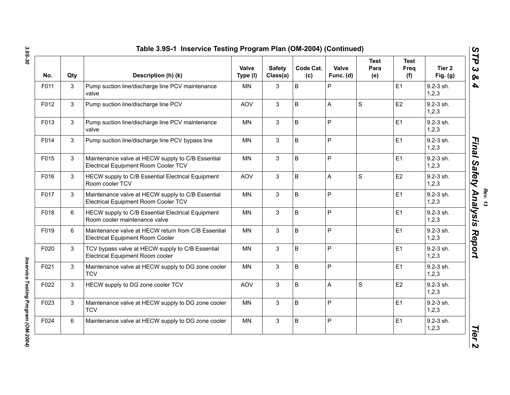| No.  | Qty | Description (h) (k)                                                                            | Valve<br>Type (I) | <b>Safety</b><br>Class(a) | Code Cat.<br>(c) | Valve<br>Func. (d) | <b>Test</b><br>Para<br>(e) | <b>Test</b><br>Freq<br>(f) | Tier 2<br>Fig. $(g)$   |
|------|-----|------------------------------------------------------------------------------------------------|-------------------|---------------------------|------------------|--------------------|----------------------------|----------------------------|------------------------|
| F011 | 3   | Pump suction line/discharge line PCV maintenance<br>valve                                      | <b>MN</b>         | 3                         | B                | P                  |                            | E1                         | 9.2-3 sh.<br>1, 2, 3   |
| F012 | 3   | Pump suction line/discharge line PCV                                                           | <b>AOV</b>        | 3                         | B                | A                  | $\mathbf S$                | E <sub>2</sub>             | $9.2 - 3$ sh.<br>1,2,3 |
| F013 | 3   | Pump suction line/discharge line PCV maintenance<br>valve                                      | <b>MN</b>         | 3                         | B                | P                  |                            | E1                         | 9.2-3 sh.<br>1,2,3     |
| F014 | 3   | Pump suction line/discharge line PCV bypass line                                               | <b>MN</b>         | 3                         | B                | P                  |                            | E1                         | 9.2-3 sh.<br>1,2,3     |
| F015 | 3   | Maintenance valve at HECW supply to C/B Essential<br>Electrical Equipment Room Cooler TCV      | <b>MN</b>         | 3                         | B                | P                  |                            | E1                         | 9.2-3 sh.<br>1, 2, 3   |
| F016 | 3   | HECW supply to C/B Essential Electrical Equipment<br>Room cooler TCV                           | <b>AOV</b>        | 3                         | $\sf B$          | A                  | S                          | E <sub>2</sub>             | 9.2-3 sh.<br>1,2,3     |
| F017 | 3   | Maintenance valve at HECW supply to C/B Essential<br>Electrical Equipment Room Cooler TCV      | <b>MN</b>         | 3                         | B                | P                  |                            | E1                         | 9.2-3 sh.<br>1,2,3     |
| F018 | 6   | HECW supply to C/B Essential Electrical Equipment<br>Room cooler maintenance valve             | <b>MN</b>         | 3                         | B                | P                  |                            | E1                         | 9.2-3 sh.<br>1,2,3     |
| F019 | 6   | Maintenance valve at HECW return from C/B Essential<br><b>Electrical Equipment Room Cooler</b> | <b>MN</b>         | 3                         | B                | P                  |                            | E1                         | 9.2-3 sh.<br>1,2,3     |
| F020 | 3   | TCV bypass valve at HECW supply to C/B Essential<br>Electrical Equipment Room cooler           | <b>MN</b>         | 3                         | B                | P                  |                            | E1                         | 9.2-3 sh.<br>1,2,3     |
| F021 | 3   | Maintenance valve at HECW supply to DG zone cooler<br><b>TCV</b>                               | <b>MN</b>         | 3                         | B                | P                  |                            | E1                         | 9.2-3 sh.<br>1,2,3     |
| F022 | 3   | HECW supply to DG zone cooler TCV                                                              | <b>AOV</b>        | 3                         | B                | A                  | $\mathbf S$                | E2                         | $9.2 - 3$ sh.<br>1,2,3 |
| F023 | 3   | Maintenance valve at HECW supply to DG zone cooler<br><b>TCV</b>                               | <b>MN</b>         | 3                         | B                | P                  |                            | E1                         | 9.2-3 sh.<br>1,2,3     |
| F024 | 6   | Maintenance valve at HECW supply to DG zone cooler                                             | <b>MN</b>         | 3                         | B                | P                  |                            | E1                         | 9.2-3 sh.<br>1,2,3     |

Inservice Testing Program (OM-2004) *Inservice Testing Program (OM-2004)*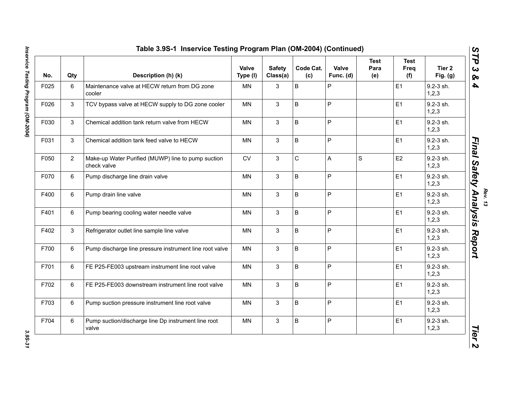| No.  | Qty            | Description (h) (k)                                               | Valve<br>Type (I) | <b>Safety</b><br>Class(a) | Code Cat.<br>(c) | Valve<br>Func. (d) | <b>Test</b><br>Para<br>(e) | <b>Test</b><br>Freq<br>(f) | Tier <sub>2</sub><br>Fig. $(g)$ |
|------|----------------|-------------------------------------------------------------------|-------------------|---------------------------|------------------|--------------------|----------------------------|----------------------------|---------------------------------|
| F025 | 6              | Maintenance valve at HECW return from DG zone<br>cooler           | <b>MN</b>         | 3                         | $\mathsf B$      | P                  |                            | E1                         | $9.2 - 3$ sh.<br>1, 2, 3        |
| F026 | 3              | TCV bypass valve at HECW supply to DG zone cooler                 | MN                | $\mathbf{3}$              | B                | P                  |                            | E <sub>1</sub>             | 9.2-3 sh.<br>1,2,3              |
| F030 | 3              | Chemical addition tank return valve from HECW                     | <b>MN</b>         | $\mathbf{3}$              | B                | P                  |                            | E1                         | 9.2-3 sh.<br>1,2,3              |
| F031 | 3              | Chemical addition tank feed valve to HECW                         | <b>MN</b>         | $\mathbf{3}$              | B                | $\overline{P}$     |                            | E1                         | 9.2-3 sh.<br>1,2,3              |
| F050 | $\overline{2}$ | Make-up Water Purified (MUWP) line to pump suction<br>check valve | <b>CV</b>         | 3                         | $\mathsf C$      | $\mathsf{A}$       | S                          | E2                         | $9.2 - 3$ sh.<br>1, 2, 3        |
| F070 | $\,6\,$        | Pump discharge line drain valve                                   | <b>MN</b>         | $\mathbf{3}$              | B                | $\mathsf{P}$       |                            | E1                         | $9.2 - 3$ sh.<br>1,2,3          |
| F400 | 6              | Pump drain line valve                                             | <b>MN</b>         | $\mathbf{3}$              | B                | $\overline{P}$     |                            | E1                         | 9.2-3 sh.<br>1,2,3              |
| F401 | 6              | Pump bearing cooling water needle valve                           | MN                | 3                         | $\sf B$          | $\mathsf{P}$       |                            | E1                         | 9.2-3 sh.<br>1,2,3              |
| F402 | 3              | Refrigerator outlet line sample line valve                        | MN                | 3                         | $\sf B$          | $\mathsf{P}$       |                            | E1                         | 9.2-3 sh.<br>1,2,3              |
| F700 | 6              | Pump discharge line pressure instrument line root valve           | MN                | 3                         | $\sf B$          | $\mathsf{P}$       |                            | E1                         | 9.2-3 sh.<br>1,2,3              |
| F701 | 6              | FE P25-FE003 upstream instrument line root valve                  | <b>MN</b>         | 3                         | B                | P                  |                            | E1                         | $9.2 - 3$ sh.<br>1,2,3          |
| F702 | 6              | FE P25-FE003 downstream instrument line root valve                | <b>MN</b>         | 3                         | B                | $\overline{P}$     |                            | E1                         | $9.2 - 3$ sh.<br>1, 2, 3        |
| F703 | 6              | Pump suction pressure instrument line root valve                  | MN                | $\mathbf{3}$              | B                | $\mathsf{P}$       |                            | E1                         | 9.2-3 sh.<br>1,2,3              |
| F704 | 6              | Pump suction/discharge line Dp instrument line root<br>valve      | <b>MN</b>         | 3                         | B                | P                  |                            | E1                         | 9.2-3 sh.<br>1, 2, 3            |

Inservice Testing Program (OM-2004) *Inservice Testing Program (OM-2004) 3.9S-31*

3.95-31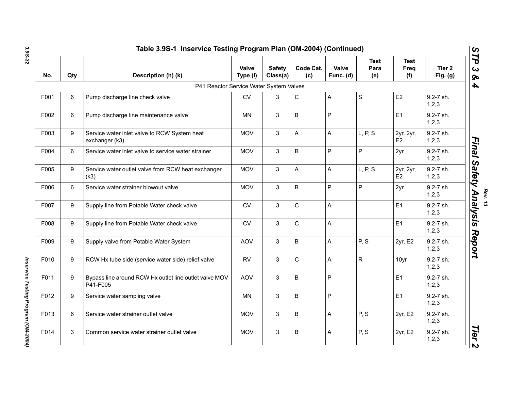| No.  | Qty | Description (h) (k)                                                | Valve<br>Type (I) | <b>Safety</b><br>Class(a) | Code Cat.<br>(c)          | Valve<br>Func. (d) | <b>Test</b><br>Para<br>(e) | <b>Test</b><br>Freq<br>(f)  | Tier <sub>2</sub><br>Fig. $(g)$ |
|------|-----|--------------------------------------------------------------------|-------------------|---------------------------|---------------------------|--------------------|----------------------------|-----------------------------|---------------------------------|
|      |     | P41 Reactor Service Water System Valves                            |                   |                           |                           |                    |                            |                             |                                 |
| F001 | 6   | Pump discharge line check valve                                    | <b>CV</b>         | 3                         | $\mathsf C$               | A                  | $\mathbf S$                | E2                          | 9.2-7 sh.<br>1,2,3              |
| F002 | 6   | Pump discharge line maintenance valve                              | <b>MN</b>         | 3                         | $\sf B$                   | P                  |                            | E1                          | 9.2-7 sh.<br>1, 2, 3            |
| F003 | 9   | Service water inlet valve to RCW System heat<br>exchanger (k3)     | <b>MOV</b>        | 3                         | $\boldsymbol{\mathsf{A}}$ | $\mathsf{A}$       | L, P, S                    | 2yr, 2yr,<br>E <sub>2</sub> | 9.2-7 sh.<br>1,2,3              |
| F004 | 6   | Service water inlet valve to service water strainer                | <b>MOV</b>        | 3                         | $\sf B$                   | P                  | $\mathsf{P}$               | 2yr                         | 9.2-7 sh.<br>1, 2, 3            |
| F005 | 9   | Service water outlet valve from RCW heat exchanger<br>(k3)         | <b>MOV</b>        | 3                         | A                         | A                  | L, P, S                    | 2yr, 2yr,<br>E <sub>2</sub> | 9.2-7 sh.<br>1,2,3              |
| F006 | 6   | Service water strainer blowout valve                               | <b>MOV</b>        | 3                         | $\overline{B}$            | $\overline{P}$     | $\overline{P}$             | 2yr                         | 9.2-7 sh.<br>1,2,3              |
| F007 | 9   | Supply line from Potable Water check valve                         | <b>CV</b>         | 3                         | $\mathsf{C}$              | A                  |                            | E1                          | 9.2-7 sh.<br>1,2,3              |
| F008 | 9   | Supply line from Potable Water check valve                         | <b>CV</b>         | 3                         | $\mathsf{C}$              | A                  |                            | E1                          | $9.2 - 7$ sh.<br>1, 2, 3        |
| F009 | 9   | Supply valve from Potable Water System                             | <b>AOV</b>        | 3                         | $\sf B$                   | A                  | P, S                       | 2yr, E2                     | 9.2-7 sh.<br>1,2,3              |
| F010 | 9   | RCW Hx tube side (service water side) relief valve                 | <b>RV</b>         | 3                         | $\mathsf C$               | A                  | $\mathsf{R}$               | 10yr                        | 9.2-7 sh.<br>1,2,3              |
| F011 | 9   | Bypass line around RCW Hx outlet line outlet valve MOV<br>P41-F005 | AOV               | 3                         | $\sf B$                   | ${\sf P}$          |                            | E1                          | 9.2-7 sh.<br>1,2,3              |
| F012 | 9   | Service water sampling valve                                       | <b>MN</b>         | 3                         | $\sf B$                   | $\mathsf{P}$       |                            | E1                          | 9.2-7 sh.<br>1,2,3              |
| F013 | 6   | Service water strainer outlet valve                                | <b>MOV</b>        | 3                         | $\sf B$                   | A                  | P, S                       | 2yr, E2                     | 9.2-7 sh.<br>1,2,3              |
| F014 | 3   | Common service water strainer outlet valve                         | <b>MOV</b>        | 3                         | $\overline{B}$            | Α                  | P, S                       | 2yr, E2                     | 9.2-7 sh.<br>1,2,3              |

Inservice Testing Program (OM-2004) *Inservice Testing Program (OM-2004)*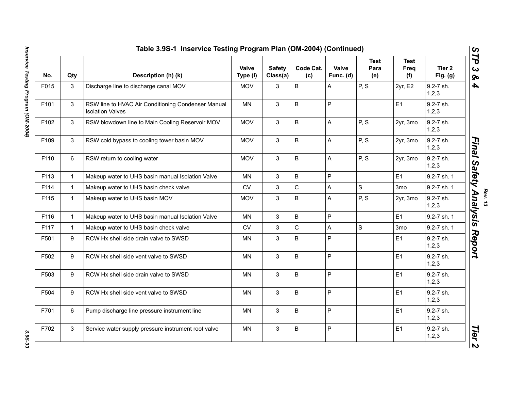| No.  | Qty          | Description (h) (k)                                                           | Valve<br>Type (I) | <b>Safety</b><br>Class(a) | Code Cat.<br>(c) | Valve<br>Func. (d) | <b>Test</b><br>Para<br>(e) | <b>Test</b><br>Freq<br>(f) | Tier <sub>2</sub><br>Fig. $(g)$ |
|------|--------------|-------------------------------------------------------------------------------|-------------------|---------------------------|------------------|--------------------|----------------------------|----------------------------|---------------------------------|
| F015 | 3            | Discharge line to discharge canal MOV                                         | <b>MOV</b>        | 3                         | $\mathsf B$      | A                  | P, S                       | 2yr, E2                    | 9.2-7 sh.<br>1, 2, 3            |
| F101 | 3            | RSW line to HVAC Air Conditioning Condenser Manual<br><b>Isolation Valves</b> | MN                | $\mathbf{3}$              | B                | $\overline{P}$     |                            | E1                         | 9.2-7 sh.<br>1,2,3              |
| F102 | 3            | RSW blowdown line to Main Cooling Reservoir MOV                               | <b>MOV</b>        | 3                         | B                | A                  | P, S                       | 2yr, 3mo                   | 9.2-7 sh.<br>1,2,3              |
| F109 | 3            | RSW cold bypass to cooling tower basin MOV                                    | <b>MOV</b>        | 3                         | B                | A                  | P, S                       | 2yr, 3mo                   | 9.2-7 sh.<br>1,2,3              |
| F110 | 6            | RSW return to cooling water                                                   | <b>MOV</b>        | 3                         | B                | A                  | P, S                       | 2yr, 3mo                   | 9.2-7 sh.<br>1,2,3              |
| F113 | $\mathbf{1}$ | Makeup water to UHS basin manual Isolation Valve                              | <b>MN</b>         | 3                         | B                | $\mathsf{P}$       |                            | E1                         | 9.2-7 sh. 1                     |
| F114 | $\mathbf{1}$ | Makeup water to UHS basin check valve                                         | <b>CV</b>         | 3                         | $\mathbf C$      | A                  | S                          | 3 <sub>mo</sub>            | 9.2-7 sh. 1                     |
| F115 | $\mathbf{1}$ | Makeup water to UHS basin MOV                                                 | <b>MOV</b>        | 3                         | B                | A                  | P, S                       | 2yr, 3mo                   | 9.2-7 sh.<br>1,2,3              |
| F116 | $\mathbf{1}$ | Makeup water to UHS basin manual Isolation Valve                              | MN                | 3                         | $\sf B$          | $\mathsf P$        |                            | E1                         | 9.2-7 sh. 1                     |
| F117 | $\mathbf{1}$ | Makeup water to UHS basin check valve                                         | <b>CV</b>         | 3                         | $\mathsf{C}$     | A                  | S                          | 3 <sub>mo</sub>            | 9.2-7 sh. 1                     |
| F501 | 9            | RCW Hx shell side drain valve to SWSD                                         | MN                | 3                         | B                | P                  |                            | E <sub>1</sub>             | 9.2-7 sh.<br>1,2,3              |
| F502 | 9            | RCW Hx shell side vent valve to SWSD                                          | <b>MN</b>         | 3                         | B                | $\mathsf P$        |                            | E1                         | 9.2-7 sh.<br>1,2,3              |
| F503 | 9            | RCW Hx shell side drain valve to SWSD                                         | <b>MN</b>         | 3                         | B                | P                  |                            | E1                         | 9.2-7 sh.<br>1,2,3              |
| F504 | 9            | RCW Hx shell side vent valve to SWSD                                          | <b>MN</b>         | 3                         | B                | $\mathsf{P}$       |                            | E1                         | 9.2-7 sh.<br>1,2,3              |
| F701 | 6            | Pump discharge line pressure instrument line                                  | <b>MN</b>         | 3                         | B                | P                  |                            | E <sub>1</sub>             | 9.2-7 sh.<br>1, 2, 3            |
| F702 | 3            | Service water supply pressure instrument root valve                           | <b>MN</b>         | 3                         | B                | $\mathsf{P}$       |                            | E1                         | 9.2-7 sh.<br>1, 2, 3            |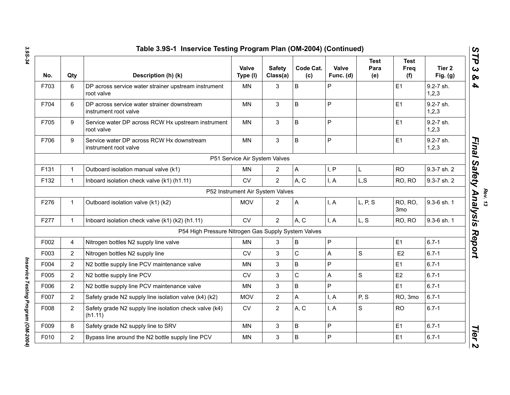| No.  | Qty            | Description (h) (k)                                                  | <b>Valve</b><br>Type (I)      | <b>Safety</b><br>Class(a)        | Code Cat.<br>(c) | Valve<br>Func. (d) | <b>Test</b><br>Para<br>(e) | <b>Test</b><br>Freq<br>(f) | Tier <sub>2</sub><br>Fig. $(g)$ |
|------|----------------|----------------------------------------------------------------------|-------------------------------|----------------------------------|------------------|--------------------|----------------------------|----------------------------|---------------------------------|
| F703 | 6              | DP across service water strainer upstream instrument<br>root valve   | <b>MN</b>                     | 3                                | B                | P                  |                            | E1                         | 9.2-7 sh.<br>1,2,3              |
| F704 | 6              | DP across service water strainer downstream<br>instrument root valve | MN                            | 3                                | B                | P                  |                            | E1                         | 9.2-7 sh.<br>1,2,3              |
| F705 | 9              | Service water DP across RCW Hx upstream instrument<br>root valve     | <b>MN</b>                     | 3                                | B                | P                  |                            | E1                         | 9.2-7 sh.<br>1,2,3              |
| F706 | 9              | Service water DP across RCW Hx downstream<br>instrument root valve   | <b>MN</b>                     | 3                                | B                | P                  |                            | E <sub>1</sub>             | 9.2-7 sh.<br>1, 2, 3            |
|      |                |                                                                      | P51 Service Air System Valves |                                  |                  |                    |                            |                            |                                 |
| F131 | $\mathbf{1}$   | Outboard isolation manual valve (k1)                                 | MN                            | $\overline{2}$                   | A                | I, P               | L                          | <b>RO</b>                  | 9.3-7 sh. 2                     |
| F132 | $\mathbf{1}$   | Inboard isolation check valve (k1) (h1.11)                           | <b>CV</b>                     | $\overline{2}$                   | A, C             | I, A               | L, S                       | RO, RO                     | 9.3-7 sh. 2                     |
|      |                |                                                                      |                               | P52 Instrument Air System Valves |                  |                    |                            |                            |                                 |
| F276 | $\mathbf{1}$   | Outboard isolation valve (k1) (k2)                                   | <b>MOV</b>                    | $\overline{2}$                   | A                | I, A               | L, P, S                    | RO, RO,<br>3mo             | 9.3-6 sh. 1                     |
| F277 | $\mathbf{1}$   | Inboard isolation check valve (k1) (k2) (h1.11)                      | <b>CV</b>                     | $\overline{2}$                   | A, C             | I, A               | L, S                       | RO, RO                     | 9.3-6 sh. 1                     |
|      |                | P54 High Pressure Nitrogen Gas Supply System Valves                  |                               |                                  |                  |                    |                            |                            |                                 |
| F002 | $\overline{4}$ | Nitrogen bottles N2 supply line valve                                | MN.                           | 3                                | B                | P                  |                            | E1                         | $6.7 - 1$                       |
| F003 | $\overline{2}$ | Nitrogen bottles N2 supply line                                      | <b>CV</b>                     | 3                                | $\mathsf C$      | A                  | $\mathsf S$                | E <sub>2</sub>             | $6.7 - 1$                       |
| F004 | $\overline{2}$ | N2 bottle supply line PCV maintenance valve                          | <b>MN</b>                     | 3                                | B                | P                  |                            | E1                         | $6.7 - 1$                       |
| F005 | $\overline{2}$ | N2 bottle supply line PCV                                            | <b>CV</b>                     | 3                                | $\mathsf C$      | Α                  | $\mathsf{s}$               | E <sub>2</sub>             | $6.7 - 1$                       |
| F006 | 2              | N2 bottle supply line PCV maintenance valve                          | <b>MN</b>                     | 3                                | B                | P                  |                            | E1                         | $6.7 - 1$                       |
| F007 | $\overline{2}$ | Safety grade N2 supply line isolation valve (k4) (k2)                | <b>MOV</b>                    | $\mathbf{2}$                     | A                | I, A               | P, S                       | RO, 3mo                    | $6.7 - 1$                       |
| F008 | $\overline{2}$ | Safety grade N2 supply line isolation check valve (k4)<br>(h1.11)    | <b>CV</b>                     | $\overline{2}$                   | A, C             | I, A               | S                          | <b>RO</b>                  | $6.7 - 1$                       |
| F009 | 8              | Safety grade N2 supply line to SRV                                   | <b>MN</b>                     | 3                                | B                | P                  |                            | E1                         | $6.7 - 1$                       |
| F010 | $\overline{2}$ | Bypass line around the N2 bottle supply line PCV                     | <b>MN</b>                     | 3                                | B                | P                  |                            | E1                         | $6.7 - 1$                       |

Inservice Testing Program (OM-2004) *Inservice Testing Program (OM-2004)* 

**Rev. 13**<br>Rev. 13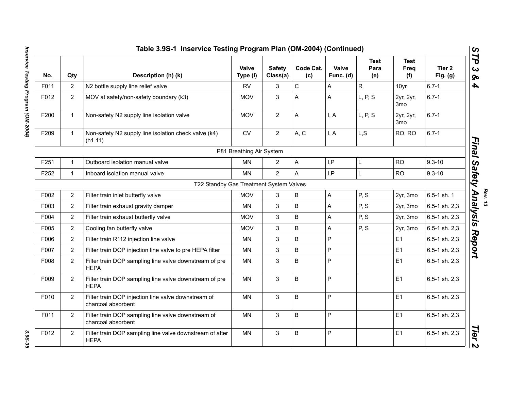|      |                | Table 3.9S-1 Inservice Testing Program Plan (OM-2004) (Continued)         |                          |                           |                  |                    |                            |                              |                                 |
|------|----------------|---------------------------------------------------------------------------|--------------------------|---------------------------|------------------|--------------------|----------------------------|------------------------------|---------------------------------|
| No.  | Qty            | Description (h) (k)                                                       | Valve<br>Type (I)        | <b>Safety</b><br>Class(a) | Code Cat.<br>(c) | Valve<br>Func. (d) | <b>Test</b><br>Para<br>(e) | Test<br>Freq<br>(f)          | Tier <sub>2</sub><br>Fig. $(g)$ |
| F011 | $\overline{2}$ | N2 bottle supply line relief valve                                        | <b>RV</b>                | 3                         | $\mathsf C$      | A                  | $\mathsf{R}$               | 10yr                         | $6.7 - 1$                       |
| F012 | $\overline{2}$ | MOV at safety/non-safety boundary (k3)                                    | <b>MOV</b>               | 3                         | A                | A                  | L, P, S                    | 2yr, 2yr,<br>3 <sub>mo</sub> | $6.7 - 1$                       |
| F200 | $\mathbf{1}$   | Non-safety N2 supply line isolation valve                                 | <b>MOV</b>               | $\overline{2}$            | A                | I, A               | L, P, S                    | 2yr, 2yr,<br>3 <sub>mo</sub> | $6.7 - 1$                       |
| F209 | $\mathbf{1}$   | Non-safety N2 supply line isolation check valve (k4)<br>(h1.11)           | CV                       | $\overline{2}$            | A, C             | I, A               | L, S                       | RO, RO                       | $6.7 - 1$                       |
|      |                |                                                                           | P81 Breathing Air System |                           |                  |                    |                            |                              |                                 |
| F251 | $\mathbf{1}$   | Outboard isolation manual valve                                           | <b>MN</b>                | $\overline{2}$            | A                | I, P               | L                          | <b>RO</b>                    | $9.3 - 10$                      |
| F252 | $\mathbf{1}$   | Inboard isolation manual valve                                            | <b>MN</b>                | $\overline{2}$            | A                | I, P               | L                          | <b>RO</b>                    | $9.3 - 10$                      |
|      |                | T22 Standby Gas Treatment System Valves                                   |                          |                           |                  |                    |                            |                              |                                 |
| F002 | $\overline{2}$ | Filter train inlet butterfly valve                                        | <b>MOV</b>               | 3                         | $\sf B$          | $\mathsf{A}$       | P, S                       | 2yr, 3mo                     | 6.5-1 sh. 1                     |
| F003 | $\overline{2}$ | Filter train exhaust gravity damper                                       | <b>MN</b>                | 3                         | B                | $\overline{A}$     | P, S                       | 2yr, 3mo                     | 6.5-1 sh. 2,3                   |
| F004 | $\overline{2}$ | Filter train exhaust butterfly valve                                      | <b>MOV</b>               | 3                         | B                | A                  | P, S                       | 2yr, 3mo                     | 6.5-1 sh. 2,3                   |
| F005 | $\overline{2}$ | Cooling fan butterfly valve                                               | <b>MOV</b>               | 3                         | B                | Α                  | P, S                       | 2yr, 3mo                     | 6.5-1 sh. 2,3                   |
| F006 | $\overline{2}$ | Filter train R112 injection line valve                                    | <b>MN</b>                | 3                         | $\mathsf B$      | $\overline{P}$     |                            | E1                           | 6.5-1 sh. 2,3                   |
| F007 | $\overline{2}$ | Filter train DOP injection line valve to pre HEPA filter                  | <b>MN</b>                | 3                         | B                | $\overline{P}$     |                            | E1                           | 6.5-1 sh. 2,3                   |
| F008 | $\overline{2}$ | Filter train DOP sampling line valve downstream of pre<br><b>HEPA</b>     | <b>MN</b>                | 3                         | $\sf B$          | $\mathsf{P}$       |                            | E1                           | 6.5-1 sh. 2,3                   |
| F009 | $\overline{2}$ | Filter train DOP sampling line valve downstream of pre<br><b>HEPA</b>     | MN                       | 3                         | $\sf B$          | $\mathsf{P}$       |                            | E1                           | 6.5-1 sh. 2,3                   |
| F010 | $\overline{2}$ | Filter train DOP injection line valve downstream of<br>charcoal absorbent | MN                       | 3                         | B                | $\mathsf{P}$       |                            | E1                           | 6.5-1 sh. 2,3                   |
| F011 | $\overline{2}$ | Filter train DOP sampling line valve downstream of<br>charcoal absorbent  | <b>MN</b>                | $\mathbf{3}$              | B                | $\mathsf{P}$       |                            | E1                           | 6.5-1 sh. 2,3                   |
| F012 | $\overline{2}$ | Filter train DOP sampling line valve downstream of after<br><b>HEPA</b>   | <b>MN</b>                | 3                         | $\sf B$          | $\overline{P}$     |                            | E1                           | 6.5-1 sh. 2,3                   |
|      |                |                                                                           |                          |                           |                  |                    |                            |                              |                                 |

<sup>Rev. 13</sup><br>Final Safety Analysis Report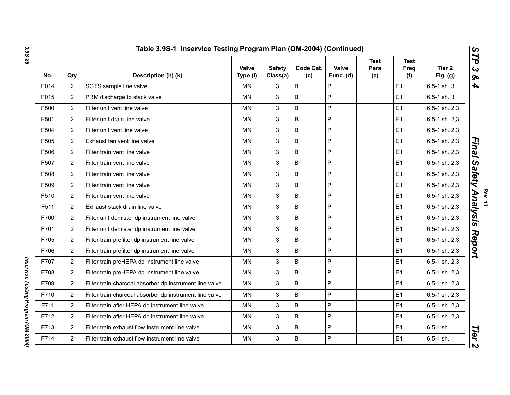| No.  | Qty            | Description (h) (k)                                     | Valve<br>Type (I) | <b>Safety</b><br>Class(a) | Code Cat.<br>(c) | Valve<br>Func. (d) | <b>Test</b><br>Para<br>(e) | <b>Test</b><br>Freq<br>(f) | Tier <sub>2</sub><br>Fig. $(g)$ |
|------|----------------|---------------------------------------------------------|-------------------|---------------------------|------------------|--------------------|----------------------------|----------------------------|---------------------------------|
| F014 | $\overline{2}$ | SGTS sample line valve                                  | <b>MN</b>         | 3                         | B                | P                  |                            | E1                         | 6.5-1 sh. 3                     |
| F015 | $\overline{2}$ | PRM discharge to stack valve                            | <b>MN</b>         | 3                         | B                | P                  |                            | E <sub>1</sub>             | 6.5-1 sh. 3                     |
| F500 | $\overline{2}$ | Filter unit vent line valve                             | <b>MN</b>         | 3                         | $\mathsf B$      | P                  |                            | E <sub>1</sub>             | 6.5-1 sh. 2,3                   |
| F501 | $\overline{2}$ | Filter unit drain line valve                            | MN                | 3                         | B                | P                  |                            | E <sub>1</sub>             | 6.5-1 sh. 2,3                   |
| F504 | $\overline{2}$ | Filter unit vent line valve                             | <b>MN</b>         | 3                         | $\mathsf B$      | P                  |                            | E <sub>1</sub>             | 6.5-1 sh. 2,3                   |
| F505 | $\overline{2}$ | Exhaust fan vent line valve                             | <b>MN</b>         | $\mathbf{3}$              | $\mathsf B$      | P                  |                            | E <sub>1</sub>             | 6.5-1 sh. 2,3                   |
| F506 | $\overline{2}$ | Filter train vent line valve                            | MN                | 3                         | $\sf B$          | P                  |                            | E <sub>1</sub>             | 6.5-1 sh. 2,3                   |
| F507 | $\overline{2}$ | Filter train vent line valve                            | <b>MN</b>         | 3                         | $\mathsf B$      | P                  |                            | E <sub>1</sub>             | 6.5-1 sh. 2,3                   |
| F508 | $\overline{2}$ | Filter train vent line valve                            | <b>MN</b>         | 3                         | $\mathsf B$      | P                  |                            | E <sub>1</sub>             | 6.5-1 sh. 2,3                   |
| F509 | $\overline{2}$ | Filter train vent line valve                            | <b>MN</b>         | 3                         | $\sf B$          | P                  |                            | E1                         | 6.5-1 sh. 2,3                   |
| F510 | $\overline{2}$ | Filter train vent line valve                            | MN                | 3                         | B                | P                  |                            | E <sub>1</sub>             | 6.5-1 sh. 2,3                   |
| F511 | $\overline{2}$ | Exhaust stack drain line valve                          | <b>MN</b>         | 3                         | $\sf B$          | $\mathsf{P}$       |                            | E1                         | 6.5-1 sh. 2,3                   |
| F700 | $\overline{2}$ | Filter unit demister dp instrument line valve           | <b>MN</b>         | 3                         | B                | P                  |                            | E <sub>1</sub>             | 6.5-1 sh. 2,3                   |
| F701 | $\overline{2}$ | Filter unit demister dp instrument line valve           | ΜN                | 3                         | B                | $\sf P$            |                            | E1                         | 6.5-1 sh. 2,3                   |
| F705 | $\overline{2}$ | Filter train prefilter dp instrument line valve         | <b>MN</b>         | 3                         | $\sf B$          | P                  |                            | E1                         | 6.5-1 sh. 2,3                   |
| F706 | $\overline{2}$ | Filter train prefilter dp instrument line valve         | ΜN                | 3                         | B                | P                  |                            | E <sub>1</sub>             | 6.5-1 sh. 2,3                   |
| F707 | $\overline{2}$ | Filter train preHEPA dp instrument line valve           | MN                | 3                         | B                | P                  |                            | E <sub>1</sub>             | 6.5-1 sh. 2,3                   |
| F708 | $\overline{2}$ | Filter train preHEPA dp instrument line valve           | MN                | 3                         | B                | P                  |                            | E <sub>1</sub>             | $6.5 - 1$ sh. $2,3$             |
| F709 | $\overline{2}$ | Filter train charcoal absorber dp instrument line valve | <b>MN</b>         | 3                         | $\mathsf B$      | P                  |                            | E <sub>1</sub>             | $6.5-1$ sh. $2,3$               |
| F710 | $\overline{2}$ | Filter train charcoal absorber dp instrument line valve | <b>MN</b>         | 3                         | B                | P                  |                            | E <sub>1</sub>             | 6.5-1 sh. 2,3                   |
| F711 | $\overline{2}$ | Filter train after HEPA dp instrument line valve        | MN                | 3                         | $\sf B$          | P                  |                            | E1                         | 6.5-1 sh. 2,3                   |
| F712 | $\overline{2}$ | Filter train after HEPA dp instrument line valve        | <b>MN</b>         | 3                         | B                | P                  |                            | E <sub>1</sub>             | 6.5-1 sh. 2,3                   |
| F713 | $\overline{2}$ | Filter train exhaust flow instrument line valve         | <b>MN</b>         | 3                         | $\mathsf B$      | P                  |                            | E <sub>1</sub>             | 6.5-1 sh. 1                     |
| F714 | $\overline{2}$ | Filter train exhaust flow instrument line valve         | <b>MN</b>         | 3                         | B                | P                  |                            | E1                         | 6.5-1 sh. 1                     |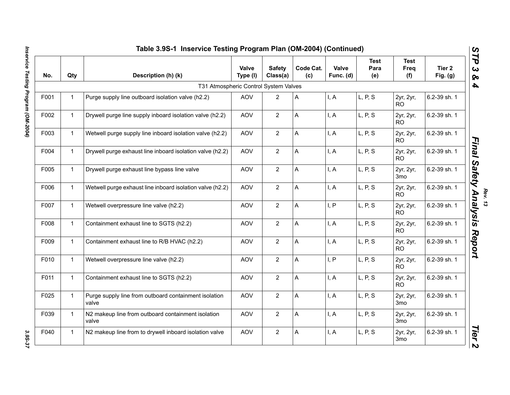|      | Table 3.9S-1 Inservice Testing Program Plan (OM-2004) (Continued) |                                                                |                   |                           |                  |                    |                            |                              |                                 |  |
|------|-------------------------------------------------------------------|----------------------------------------------------------------|-------------------|---------------------------|------------------|--------------------|----------------------------|------------------------------|---------------------------------|--|
| No.  | Qty                                                               | Description (h) (k)                                            | Valve<br>Type (I) | <b>Safety</b><br>Class(a) | Code Cat.<br>(c) | Valve<br>Func. (d) | <b>Test</b><br>Para<br>(e) | <b>Test</b><br>Freq<br>(f)   | Tier <sub>2</sub><br>Fig. $(g)$ |  |
|      |                                                                   | T31 Atmospheric Control System Valves                          |                   |                           |                  |                    |                            |                              |                                 |  |
| F001 | $\mathbf{1}$                                                      | Purge supply line outboard isolation valve (h2.2)              | <b>AOV</b>        | $\overline{2}$            | A                | I, A               | L, P, S                    | 2yr, 2yr,<br><b>RO</b>       | 6.2-39 sh. 1                    |  |
| F002 | $\mathbf{1}$                                                      | Drywell purge line supply inboard isolation valve (h2.2)       | AOV               | $\overline{2}$            | A                | I, A               | L, P, S                    | 2yr, 2yr,<br><b>RO</b>       | 6.2-39 sh. 1                    |  |
| F003 | $\mathbf{1}$                                                      | Wetwell purge supply line inboard isolation valve (h2.2)       | AOV               | $\overline{2}$            | A                | I, A               | L, P, S                    | 2yr, 2yr,<br><b>RO</b>       | 6.2-39 sh. 1                    |  |
| F004 | $\mathbf{1}$                                                      | Drywell purge exhaust line inboard isolation valve (h2.2)      | AOV               | $\overline{2}$            | A                | I, A               | L, P, S                    | 2yr, 2yr,<br><b>RO</b>       | 6.2-39 sh. 1                    |  |
| F005 | $\mathbf{1}$                                                      | Drywell purge exhaust line bypass line valve                   | <b>AOV</b>        | $\overline{2}$            | Α                | I, A               | L, P, S                    | 2yr, 2yr,<br>3mo             | 6.2-39 sh. 1                    |  |
| F006 | $\mathbf{1}$                                                      | Wetwell purge exhaust line inboard isolation valve (h2.2)      | <b>AOV</b>        | $\overline{2}$            | A                | I, A               | L, P, S                    | 2yr, 2yr,<br><b>RO</b>       | 6.2-39 sh. 1                    |  |
| F007 | $\mathbf{1}$                                                      | Wetwell overpressure line valve (h2.2)                         | <b>AOV</b>        | 2                         | A                | I, P               | L, P, S                    | 2yr, 2yr,<br>RO.             | 6.2-39 sh. 1                    |  |
| F008 | $\mathbf{1}$                                                      | Containment exhaust line to SGTS (h2.2)                        | <b>AOV</b>        | $\overline{2}$            | A                | I, A               | L, P, S                    | 2yr, 2yr,<br><b>RO</b>       | 6.2-39 sh. 1                    |  |
| F009 | $\mathbf{1}$                                                      | Containment exhaust line to R/B HVAC (h2.2)                    | <b>AOV</b>        | 2                         | Α                | I, A               | L, P, S                    | 2yr, 2yr,<br><b>RO</b>       | 6.2-39 sh. 1                    |  |
| F010 | $\mathbf{1}$                                                      | Wetwell overpressure line valve (h2.2)                         | AOV               | $\overline{2}$            | A                | I, P               | L, P, S                    | 2yr, 2yr,<br><b>RO</b>       | 6.2-39 sh. 1                    |  |
| F011 | $\mathbf{1}$                                                      | Containment exhaust line to SGTS (h2.2)                        | <b>AOV</b>        | $\overline{2}$            | A                | I, A               | L, P, S                    | 2yr, 2yr,<br><b>RO</b>       | 6.2-39 sh. 1                    |  |
| F025 | $\mathbf{1}$                                                      | Purge supply line from outboard containment isolation<br>valve | AOV               | $\overline{2}$            | A                | I, A               | L, P, S                    | 2yr, 2yr,<br>3 <sub>mo</sub> | 6.2-39 sh. 1                    |  |
| F039 | $\mathbf{1}$                                                      | N2 makeup line from outboard containment isolation<br>valve    | <b>AOV</b>        | 2                         | A                | I, A               | L, P, S                    | 2yr, 2yr,<br>3 <sub>mo</sub> | 6.2-39 sh. 1                    |  |
| F040 | $\mathbf{1}$                                                      | N2 makeup line from to drywell inboard isolation valve         | AOV               | $\overline{2}$            | Α                | I, A               | L, P, S                    | 2yr, 2yr,<br>3 <sub>mo</sub> | 6.2-39 sh. 1                    |  |

3.95-37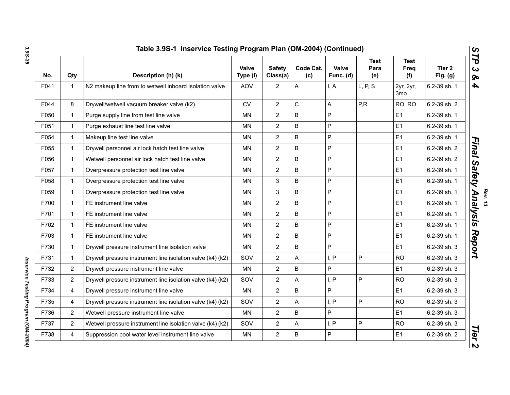| No.  | Qty              | Description (h) (k)                                        | Valve<br>Type (I) | <b>Safety</b><br>Class(a) | Code Cat.<br>(c) | Valve<br>Func. (d) | <b>Test</b><br>Para<br>(e) | <b>Test</b><br><b>Freq</b><br>(f) | Tier 2<br>Fig. $(g)$ |
|------|------------------|------------------------------------------------------------|-------------------|---------------------------|------------------|--------------------|----------------------------|-----------------------------------|----------------------|
| F041 | $\mathbf{1}$     | N2 makeup line from to wetwell inboard isolation valve     | AOV               | $\overline{2}$            | A                | I, A               | L, P, S                    | 2yr, 2yr,<br>3 <sub>mo</sub>      | 6.2-39 sh. 1         |
| F044 | 8                | Drywell/wetwell vacuum breaker valve (k2)                  | <b>CV</b>         | $\overline{2}$            | $\mathsf C$      | А                  | P, R                       | RO, RO                            | 6.2-39 sh. 2         |
| F050 | $\mathbf{1}$     | Purge supply line from test line valve                     | <b>MN</b>         | $\overline{2}$            | B                | P                  |                            | E1                                | 6.2-39 sh. 1         |
| F051 | $\mathbf{1}$     | Purge exhaust line test line valve                         | MN                | $\overline{2}$            | B                | P                  |                            | E1                                | 6.2-39 sh. 1         |
| F054 | $\mathbf{1}$     | Makeup line test line valve                                | MN                | $\overline{2}$            | B                | P                  |                            | E1                                | 6.2-39 sh. 1         |
| F055 | $\mathbf{1}$     | Drywell personnel air lock hatch test line valve           | ΜN                | $\overline{c}$            | B                | P                  |                            | E <sub>1</sub>                    | 6.2-39 sh. 2         |
| F056 | $\mathbf{1}$     | Wetwell personnel air lock hatch test line valve           | <b>MN</b>         | $\overline{2}$            | B                | P                  |                            | E1                                | 6.2-39 sh. 2         |
| F057 | $\mathbf{1}$     | Overpressure protection test line valve                    | <b>MN</b>         | $\overline{2}$            | B                | P                  |                            | E1                                | 6.2-39 sh. 1         |
| F058 | $\mathbf{1}$     | Overpressure protection test line valve                    | MN                | 3                         | B                | P                  |                            | E1                                | 6.2-39 sh. 1         |
| F059 | $\mathbf{1}$     | Overpressure protection test line valve                    | <b>MN</b>         | 3                         | B                | P                  |                            | E1                                | 6.2-39 sh. 1         |
| F700 | $\mathbf{1}$     | FE instrument line valve                                   | <b>MN</b>         | $\overline{2}$            | B                | P                  |                            | E1                                | 6.2-39 sh. 1         |
| F701 | $\mathbf{1}$     | FE instrument line valve                                   | <b>MN</b>         | $\overline{2}$            | B                | P                  |                            | E1                                | 6.2-39 sh. 1         |
| F702 | $\mathbf{1}$     | FE instrument line valve                                   | MN                | $\overline{2}$            | B                | P                  |                            | E1                                | 6.2-39 sh. 1         |
| F703 | $\mathbf{1}$     | FE instrument line valve                                   | <b>MN</b>         | $\overline{2}$            | B                | P                  |                            | E1                                | 6.2-39 sh. 1         |
| F730 | $\mathbf{1}$     | Drywell pressure instrument line isolation valve           | <b>MN</b>         | $\overline{2}$            | B                | P                  |                            | E1                                | 6.2-39 sh. 3         |
| F731 | $\mathbf{1}$     | Drywell pressure instrument line isolation valve (k4) (k2) | SOV               | $\overline{2}$            | A                | I, P               | $\mathsf{P}$               | <b>RO</b>                         | 6.2-39 sh. 3         |
| F732 | $\overline{2}$   | Drywell pressure instrument line valve                     | <b>MN</b>         | $\overline{2}$            | B                | P                  |                            | E1                                | 6.2-39 sh. 3         |
| F733 | 2                | Drywell pressure instrument line isolation valve (k4) (k2) | SOV               | $\overline{2}$            | A                | I, P               | $\mathsf{P}$               | <b>RO</b>                         | 6.2-39 sh. 3         |
| F734 | 4                | Drywell pressure instrument line valve                     | <b>MN</b>         | $\overline{2}$            | B                | P                  |                            | E1                                | 6.2-39 sh. 3         |
| F735 | 4                | Drywell pressure instrument line isolation valve (k4) (k2) | SOV               | $\overline{c}$            | Α                | I, P               | $\mathsf P$                | <b>RO</b>                         | 6.2-39 sh. 3         |
| F736 | $\overline{2}$   | Wetwell pressure instrument line valve                     | MN                | $\overline{2}$            | B                | P                  |                            | E1                                | 6.2-39 sh. 3         |
| F737 | $\boldsymbol{2}$ | Wetwell pressure instrument line isolation valve (k4) (k2) | SOV               | $\overline{2}$            | A                | I, P               | $\mathsf{P}$               | <b>RO</b>                         | 6.2-39 sh. 3         |
| F738 | 4                | Suppression pool water level instrument line valve         | MN                | $\overline{c}$            | B                | P                  |                            | E1                                | 6.2-39 sh. 2         |

Inservice Testing Program (OM-2004) *Inservice Testing Program (OM-2004)*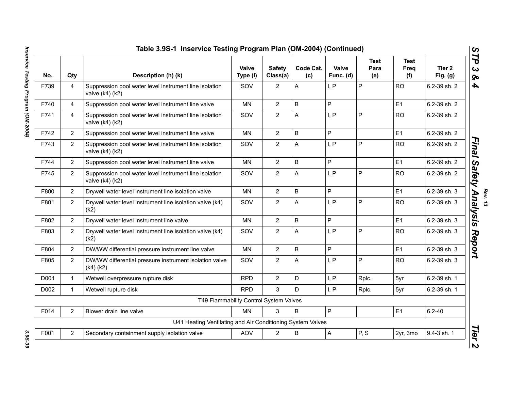| No.  | Qty            | Description (h) (k)                                                           | Valve<br>Type (I) | <b>Safety</b><br>Class(a) | Code Cat.<br>(c) | Valve<br>Func. (d) | <b>Test</b><br>Para<br>(e) | <b>Test</b><br>Freq<br>(f) | Tier <sub>2</sub><br>Fig. $(g)$ |
|------|----------------|-------------------------------------------------------------------------------|-------------------|---------------------------|------------------|--------------------|----------------------------|----------------------------|---------------------------------|
| F739 | $\overline{4}$ | Suppression pool water level instrument line isolation<br>valve $(k4)(k2)$    | SOV               | $\overline{2}$            | A                | I, P               | P                          | <b>RO</b>                  | 6.2-39 sh. 2                    |
| F740 | $\overline{4}$ | Suppression pool water level instrument line valve                            | <b>MN</b>         | $\overline{2}$            | B                | P                  |                            | E1                         | 6.2-39 sh. 2                    |
| F741 | 4              | Suppression pool water level instrument line isolation<br>valve (k4) (k2)     | SOV               | $\overline{2}$            | Α                | I, P               | P                          | <b>RO</b>                  | 6.2-39 sh. 2                    |
| F742 | $\overline{2}$ | Suppression pool water level instrument line valve                            | <b>MN</b>         | $\overline{2}$            | B                | P                  |                            | E1                         | 6.2-39 sh. 2                    |
| F743 | $\overline{2}$ | Suppression pool water level instrument line isolation<br>valve (k4) (k2)     | SOV               | $\overline{2}$            | A                | I, P               | P                          | <b>RO</b>                  | 6.2-39 sh. 2                    |
| F744 | $\overline{2}$ | Suppression pool water level instrument line valve                            | <b>MN</b>         | $\overline{2}$            | B                | P                  |                            | E1                         | 6.2-39 sh. 2                    |
| F745 | $\overline{2}$ | Suppression pool water level instrument line isolation<br>valve $(k4)$ $(k2)$ | SOV               | $\overline{2}$            | A                | I, P               | P                          | <b>RO</b>                  | 6.2-39 sh. 2                    |
| F800 | $\overline{2}$ | Drywell water level instrument line isolation valve                           | <b>MN</b>         | $\overline{2}$            | B                | P                  |                            | E1                         | 6.2-39 sh. 3                    |
| F801 | $2^{\circ}$    | Drywell water level instrument line isolation valve (k4)<br>(k2)              | SOV               | $\overline{2}$            | A                | I, P               | P                          | <b>RO</b>                  | 6.2-39 sh. 3                    |
| F802 | $\overline{2}$ | Drywell water level instrument line valve                                     | <b>MN</b>         | $\overline{2}$            | B                | P                  |                            | E1                         | 6.2-39 sh. 3                    |
| F803 | $\overline{2}$ | Drywell water level instrument line isolation valve (k4)<br>(k2)              | SOV               | $\overline{2}$            | A                | I, P               | P                          | <b>RO</b>                  | 6.2-39 sh. 3                    |
| F804 | $\overline{2}$ | DW/WW differential pressure instrument line valve                             | <b>MN</b>         | $\overline{2}$            | B                | P                  |                            | E1                         | 6.2-39 sh. 3                    |
| F805 | $\overline{2}$ | DW/WW differential pressure instrument isolation valve<br>$(k4)$ $(k2)$       | SOV               | $\overline{2}$            | A                | I, P               | P                          | <b>RO</b>                  | 6.2-39 sh. 3                    |
| D001 | $\mathbf{1}$   | Wetwell overpressure rupture disk                                             | <b>RPD</b>        | $\overline{2}$            | D                | I, P               | Rplc.                      | 5yr                        | 6.2-39 sh. 1                    |
| D002 | $\mathbf{1}$   | Wetwell rupture disk                                                          | <b>RPD</b>        | 3                         | D                | I, P               | Rplc.                      | 5yr                        | 6.2-39 sh. 1                    |
|      |                | T49 Flammability Control System Valves                                        |                   |                           |                  |                    |                            |                            |                                 |
| F014 | $\overline{2}$ | Blower drain line valve                                                       | <b>MN</b>         | 3                         | B                | $\mathsf{P}$       |                            | E1                         | $6.2 - 40$                      |
|      |                | U41 Heating Ventilating and Air Conditioning System Valves                    |                   |                           |                  |                    |                            |                            |                                 |
| F001 | $\overline{2}$ | Secondary containment supply isolation valve                                  | <b>AOV</b>        | $\overline{2}$            | B                | $\overline{A}$     | P, S                       | 2yr, 3mo                   | 9.4-3 sh. 1                     |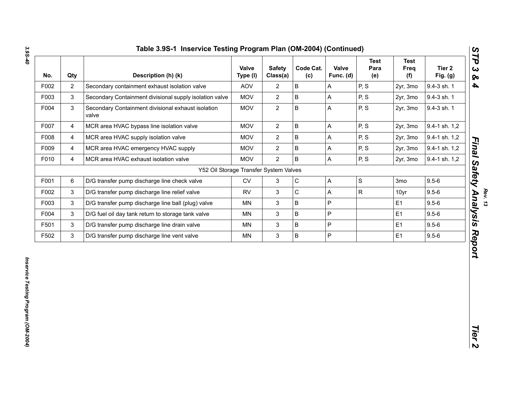| F002 | Qty            | Description (h) (k)                                         | Valve<br>Type (I) | <b>Safety</b><br>Class(a) | Code Cat.<br>(c) | Valve<br>Func. (d) | <b>Test</b><br>Para<br>(e) | <b>Test</b><br>Freq<br>(f) | Tier <sub>2</sub><br>Fig. $(g)$ |
|------|----------------|-------------------------------------------------------------|-------------------|---------------------------|------------------|--------------------|----------------------------|----------------------------|---------------------------------|
| F003 | $\overline{2}$ | Secondary containment exhaust isolation valve               | <b>AOV</b>        | $\overline{2}$            | B                | A                  | P, S                       | 2yr, 3mo                   | 9.4-3 sh. 1                     |
|      | 3              | Secondary Containment divisional supply isolation valve     | <b>MOV</b>        | $\overline{2}$            | B                | A                  | P, S                       | 2yr, 3mo                   | 9.4-3 sh. 1                     |
| F004 | 3              | Secondary Containment divisional exhaust isolation<br>valve | <b>MOV</b>        | $\overline{2}$            | B                | A                  | P, S                       | 2yr, 3mo                   | 9.4-3 sh. 1                     |
| F007 | $\overline{4}$ | MCR area HVAC bypass line isolation valve                   | <b>MOV</b>        | $\overline{2}$            | B                | A                  | P, S                       | 2yr, 3mo                   | 9.4-1 sh. 1,2                   |
| F008 | 4              | MCR area HVAC supply isolation valve                        | <b>MOV</b>        | $\overline{2}$            | B                | Α                  | P, S                       | 2yr, 3mo                   | 9.4-1 sh. 1,2                   |
| F009 | 4              | MCR area HVAC emergency HVAC supply                         | <b>MOV</b>        | $\overline{2}$            | B                | A                  | P, S                       | 2yr, 3mo                   | 9.4-1 sh. 1,2                   |
| F010 | $\overline{4}$ | MCR area HVAC exhaust isolation valve                       | <b>MOV</b>        | $\overline{2}$            | B                | A                  | P, S                       | 2yr, 3mo                   | 9.4-1 sh. 1,2                   |
|      |                | Y52 Oil Storage Transfer System Valves                      |                   |                           |                  |                    |                            |                            |                                 |
| F001 | 6              | D/G transfer pump discharge line check valve                | CV                | 3                         | $\mathsf C$      | A                  | $\mathsf S$                | 3 <sub>mo</sub>            | $9.5 - 6$                       |
| F002 | 3              | D/G transfer pump discharge line relief valve               | <b>RV</b>         | 3                         | $\mathsf C$      | A                  | R.                         | 10yr                       | $9.5 - 6$                       |
| F003 | $\mathfrak{S}$ | D/G transfer pump discharge line ball (plug) valve          | MN                | 3                         | B                | P                  |                            | E <sub>1</sub>             | $9.5 - 6$                       |
| F004 | $\mathfrak{S}$ | D/G fuel oil day tank return to storage tank valve          | MN                | 3                         | B                | P                  |                            | E <sub>1</sub>             | $9.5 - 6$                       |
| F501 | 3              | D/G transfer pump discharge line drain valve                | ΜN                | 3                         | B                | P                  |                            | E <sub>1</sub>             | $9.5 - 6$                       |
| F502 | $\mathfrak{S}$ | D/G transfer pump discharge line vent valve                 | MN                | 3                         | B                | P                  |                            | E1                         | $9.5 - 6$                       |

*Rev. 13*<br>*Final Safety Analysis Report*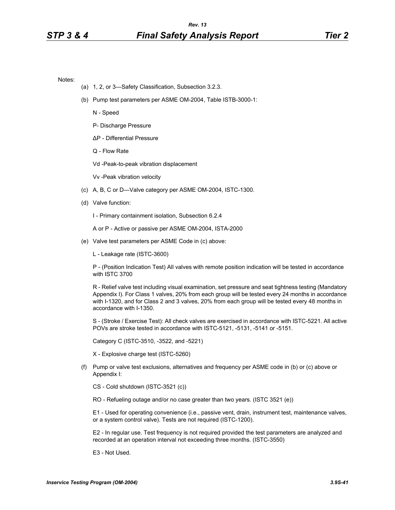Notes:

- (a) 1, 2, or 3—Safety Classification, Subsection 3.2.3.
- (b) Pump test parameters per ASME OM-2004, Table ISTB-3000-1:
	- N Speed
	- P- Discharge Pressure
	- ∆P Differential Pressure
	- Q Flow Rate

Vd -Peak-to-peak vibration displacement

Vv -Peak vibration velocity

- (c) A, B, C or D—Valve category per ASME OM-2004, ISTC-1300.
- (d) Valve function:
	- I Primary containment isolation, Subsection 6.2.4

A or P - Active or passive per ASME OM-2004, ISTA-2000

- (e) Valve test parameters per ASME Code in (c) above:
	- L Leakage rate (ISTC-3600)

P - (Position Indication Test) All valves with remote position indication will be tested in accordance with ISTC 3700

R - Relief valve test including visual examination, set pressure and seat tightness testing (Mandatory Appendix I). For Class 1 valves, 20% from each group will be tested every 24 months in accordance with I-1320, and for Class 2 and 3 valves, 20% from each group will be tested every 48 months in accordance with I-1350.

S - (Stroke / Exercise Test): All check valves are exercised in accordance with ISTC-5221. All active POVs are stroke tested in accordance with ISTC-5121, -5131, -5141 or -5151.

Category C (ISTC-3510, -3522, and -5221)

X - Explosive charge test (ISTC-5260)

(f) Pump or valve test exclusions, alternatives and frequency per ASME code in (b) or (c) above or Appendix I:

CS - Cold shutdown (ISTC-3521 (c))

RO - Refueling outage and/or no case greater than two years. (ISTC 3521 (e))

E1 - Used for operating convenience (i.e., passive vent, drain, instrument test, maintenance valves, or a system control valve). Tests are not required (ISTC-1200).

E2 - In regular use. Test frequency is not required provided the test parameters are analyzed and recorded at an operation interval not exceeding three months. (ISTC-3550)

E3 - Not Used.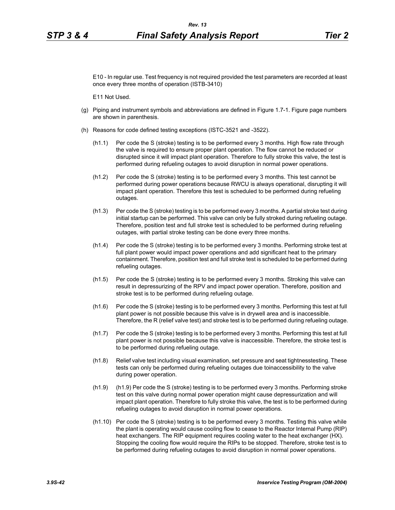E10 - In regular use. Test frequency is not required provided the test parameters are recorded at least once every three months of operation (ISTB-3410)

E11 Not Used.

- (g) Piping and instrument symbols and abbreviations are defined in Figure 1.7-1. Figure page numbers are shown in parenthesis.
- (h) Reasons for code defined testing exceptions (ISTC-3521 and -3522).
	- (h1.1) Per code the S (stroke) testing is to be performed every 3 months. High flow rate through the valve is required to ensure proper plant operation. The flow cannot be reduced or disrupted since it will impact plant operation. Therefore to fully stroke this valve, the test is performed during refueling outages to avoid disruption in normal power operations.
	- (h1.2) Per code the S (stroke) testing is to be performed every 3 months. This test cannot be performed during power operations because RWCU is always operational, disrupting it will impact plant operation. Therefore this test is scheduled to be performed during refueling outages.
	- (h1.3) Per code the S (stroke) testing is to be performed every 3 months. A partial stroke test during initial startup can be performed. This valve can only be fully stroked during refueling outage. Therefore, position test and full stroke test is scheduled to be performed during refueling outages, with partial stroke testing can be done every three months.
	- (h1.4) Per code the S (stroke) testing is to be performed every 3 months. Performing stroke test at full plant power would impact power operations and add significant heat to the primary containment. Therefore, position test and full stroke test is scheduled to be performed during refueling outages.
	- (h1.5) Per code the S (stroke) testing is to be performed every 3 months. Stroking this valve can result in depressurizing of the RPV and impact power operation. Therefore, position and stroke test is to be performed during refueling outage.
	- (h1.6) Per code the S (stroke) testing is to be performed every 3 months. Performing this test at full plant power is not possible because this valve is in drywell area and is inaccessible. Therefore, the R (relief valve test) and stroke test is to be performed during refueling outage.
	- (h1.7) Per code the S (stroke) testing is to be performed every 3 months. Performing this test at full plant power is not possible because this valve is inaccessible. Therefore, the stroke test is to be performed during refueling outage.
	- (h1.8) Relief valve test including visual examination, set pressure and seat tightnesstesting. These tests can only be performed during refueling outages due toinaccessibility to the valve during power operation.
	- (h1.9) (h1.9) Per code the S (stroke) testing is to be performed every 3 months. Performing stroke test on this valve during normal power operation might cause depressurization and will impact plant operation. Therefore to fully stroke this valve, the test is to be performed during refueling outages to avoid disruption in normal power operations.
	- (h1.10) Per code the S (stroke) testing is to be performed every 3 months. Testing this valve while the plant is operating would cause cooling flow to cease to the Reactor Internal Pump (RIP) heat exchangers. The RIP equipment requires cooling water to the heat exchanger (HX). Stopping the cooling flow would require the RIPs to be stopped. Therefore, stroke test is to be performed during refueling outages to avoid disruption in normal power operations.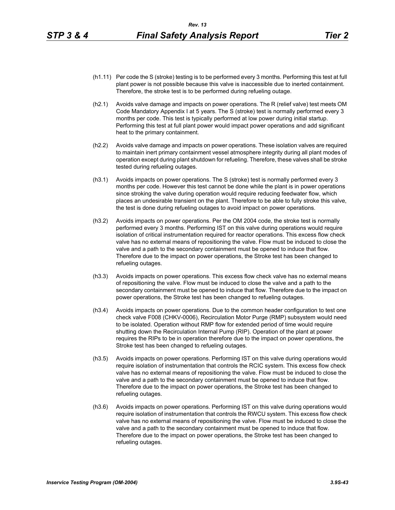- (h1.11) Per code the S (stroke) testing is to be performed every 3 months. Performing this test at full plant power is not possible because this valve is inaccessible due to inerted containment. Therefore, the stroke test is to be performed during refueling outage.
- (h2.1) Avoids valve damage and impacts on power operations. The R (relief valve) test meets OM Code Mandatory Appendix I at 5 years. The S (stroke) test is normally performed every 3 months per code. This test is typically performed at low power during initial startup. Performing this test at full plant power would impact power operations and add significant heat to the primary containment.
- (h2.2) Avoids valve damage and impacts on power operations. These isolation valves are required to maintain inert primary containment vessel atmosphere integrity during all plant modes of operation except during plant shutdown for refueling. Therefore, these valves shall be stroke tested during refueling outages.
- (h3.1) Avoids impacts on power operations. The S (stroke) test is normally performed every 3 months per code. However this test cannot be done while the plant is in power operations since stroking the valve during operation would require reducing feedwater flow, which places an undesirable transient on the plant. Therefore to be able to fully stroke this valve, the test is done during refueling outages to avoid impact on power operations.
- (h3.2) Avoids impacts on power operations. Per the OM 2004 code, the stroke test is normally performed every 3 months. Performing IST on this valve during operations would require isolation of critical instrumentation required for reactor operations. This excess flow check valve has no external means of repositioning the valve. Flow must be induced to close the valve and a path to the secondary containment must be opened to induce that flow. Therefore due to the impact on power operations, the Stroke test has been changed to refueling outages.
- (h3.3) Avoids impacts on power operations. This excess flow check valve has no external means of repositioning the valve. Flow must be induced to close the valve and a path to the secondary containment must be opened to induce that flow. Therefore due to the impact on power operations, the Stroke test has been changed to refueling outages.
- (h3.4) Avoids impacts on power operations. Due to the common header configuration to test one check valve F008 (CHKV-0006), Recirculation Motor Purge (RMP) subsystem would need to be isolated. Operation without RMP flow for extended period of time would require shutting down the Recirculation Internal Pump (RIP). Operation of the plant at power requires the RIPs to be in operation therefore due to the impact on power operations, the Stroke test has been changed to refueling outages.
- (h3.5) Avoids impacts on power operations. Performing IST on this valve during operations would require isolation of instrumentation that controls the RCIC system. This excess flow check valve has no external means of repositioning the valve. Flow must be induced to close the valve and a path to the secondary containment must be opened to induce that flow. Therefore due to the impact on power operations, the Stroke test has been changed to refueling outages.
- (h3.6) Avoids impacts on power operations. Performing IST on this valve during operations would require isolation of instrumentation that controls the RWCU system. This excess flow check valve has no external means of repositioning the valve. Flow must be induced to close the valve and a path to the secondary containment must be opened to induce that flow. Therefore due to the impact on power operations, the Stroke test has been changed to refueling outages.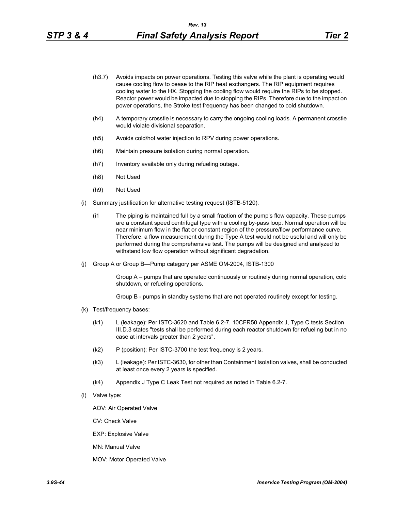- (h3.7) Avoids impacts on power operations. Testing this valve while the plant is operating would cause cooling flow to cease to the RIP heat exchangers. The RIP equipment requires cooling water to the HX. Stopping the cooling flow would require the RIPs to be stopped. Reactor power would be impacted due to stopping the RIPs. Therefore due to the impact on power operations, the Stroke test frequency has been changed to cold shutdown.
- (h4) A temporary crosstie is necessary to carry the ongoing cooling loads. A permanent crosstie would violate divisional separation.
- (h5) Avoids cold/hot water injection to RPV during power operations.
- (h6) Maintain pressure isolation during normal operation.
- (h7) Inventory available only during refueling outage.
- (h8) Not Used
- (h9) Not Used
- (i) Summary justification for alternative testing request (ISTB-5120).
	- (i1 The piping is maintained full by a small fraction of the pump's flow capacity. These pumps are a constant speed centrifugal type with a cooling by-pass loop. Normal operation will be near minimum flow in the flat or constant region of the pressure/flow performance curve. Therefore, a flow measurement during the Type A test would not be useful and will only be performed during the comprehensive test. The pumps will be designed and analyzed to withstand low flow operation without significant degradation.
- (j) Group A or Group B—Pump category per ASME OM-2004, ISTB-1300

Group A – pumps that are operated continuously or routinely during normal operation, cold shutdown, or refueling operations.

Group B - pumps in standby systems that are not operated routinely except for testing.

- (k) Test/frequency bases:
	- (k1) L (leakage): Per ISTC-3620 and Table 6.2-7, 10CFR50 Appendix J, Type C tests Section III.D.3 states "tests shall be performed during each reactor shutdown for refueling but in no case at intervals greater than 2 years".
	- (k2) P (position): Per ISTC-3700 the test frequency is 2 years.
	- (k3) L (leakage): Per ISTC-3630, for other than Containment Isolation valves, shall be conducted at least once every 2 years is specified.
	- (k4) Appendix J Type C Leak Test not required as noted in Table 6.2-7.
- (l) Valve type:

AOV: Air Operated Valve

CV: Check Valve

EXP: Explosive Valve

MN: Manual Valve

MOV: Motor Operated Valve